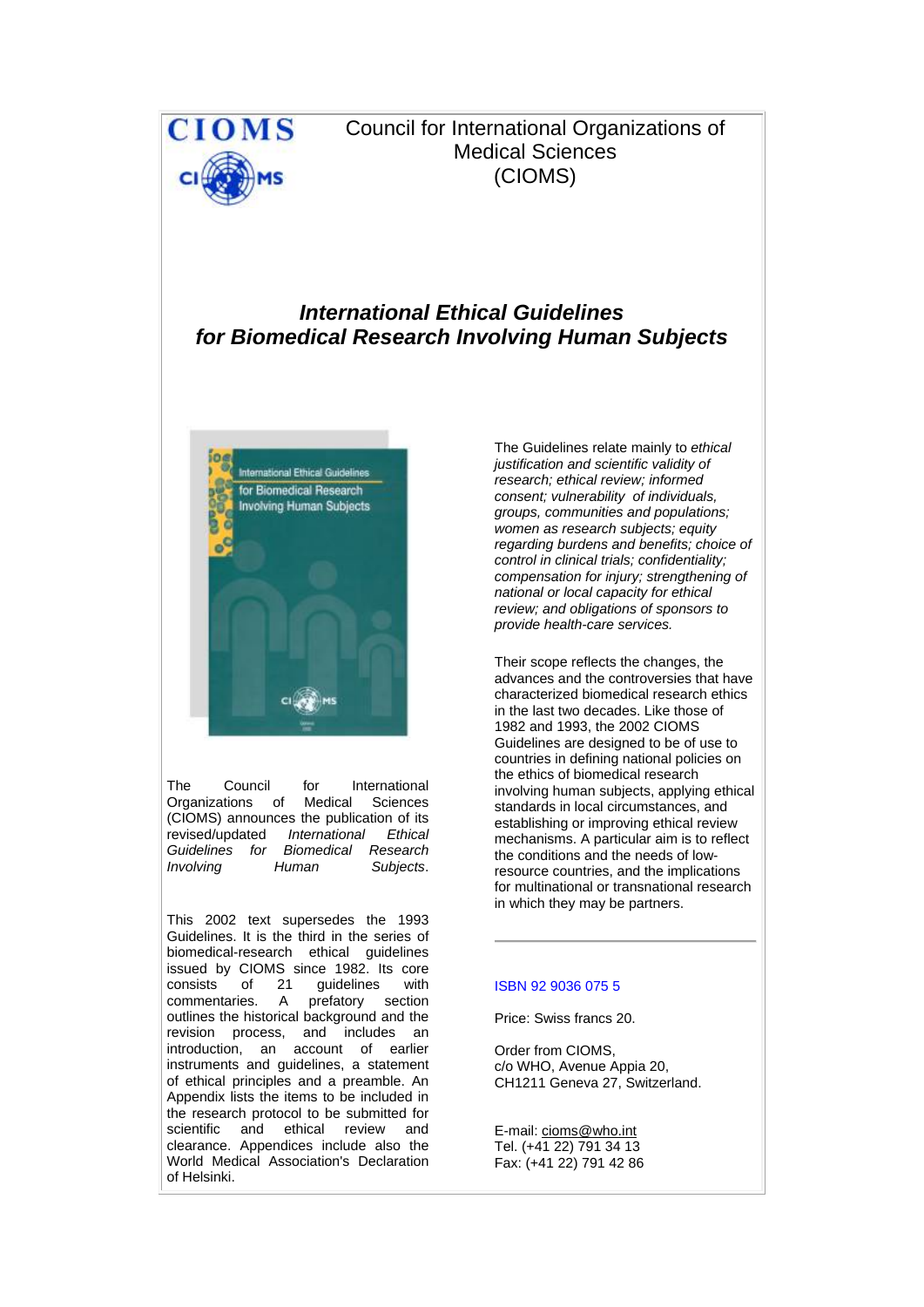

Council for International Organizations of Medical Sciences (CIOMS)

# *International Ethical Guidelines for Biomedical Research Involving Human Subjects*



The Council for International Organizations of Medical Sciences (CIOMS) announces the publication of its revised/updated *International Ethical Guidelines for Biomedical Research Involving Human Subjects*.

This 2002 text supersedes the 1993 Guidelines. It is the third in the series of biomedical-research ethical guidelines issued by CIOMS since 1982. Its core consists of 21 guidelines with<br>commentaries. A prefatory section prefatory section outlines the historical background and the revision process, and includes an introduction, an account of earlier instruments and guidelines, a statement of ethical principles and a preamble. An Appendix lists the items to be included in the research protocol to be submitted for scientific and ethical review and clearance. Appendices include also the World Medical Association's Declaration of Helsinki.

The Guidelines relate mainly to *ethical justification and scientific validity of research; ethical review; informed consent; vulnerability of individuals, groups, communities and populations; women as research subjects; equity regarding burdens and benefits; choice of control in clinical trials; confidentiality; compensation for injury; strengthening of national or local capacity for ethical review; and obligations of sponsors to provide health-care services.*

Their scope reflects the changes, the advances and the controversies that have characterized biomedical research ethics in the last two decades. Like those of 1982 and 1993, the 2002 CIOMS Guidelines are designed to be of use to countries in defining national policies on the ethics of biomedical research involving human subjects, applying ethical standards in local circumstances, and establishing or improving ethical review mechanisms. A particular aim is to reflect the conditions and the needs of lowresource countries, and the implications for multinational or transnational research in which they may be partners.

#### ISBN 92 9036 075 5

Price: Swiss francs 20.

Order from CIOMS, c/o WHO, Avenue Appia 20, CH1211 Geneva 27, Switzerland.

E-mail: cioms@who.int Tel. (+41 22) 791 34 13 Fax: (+41 22) 791 42 86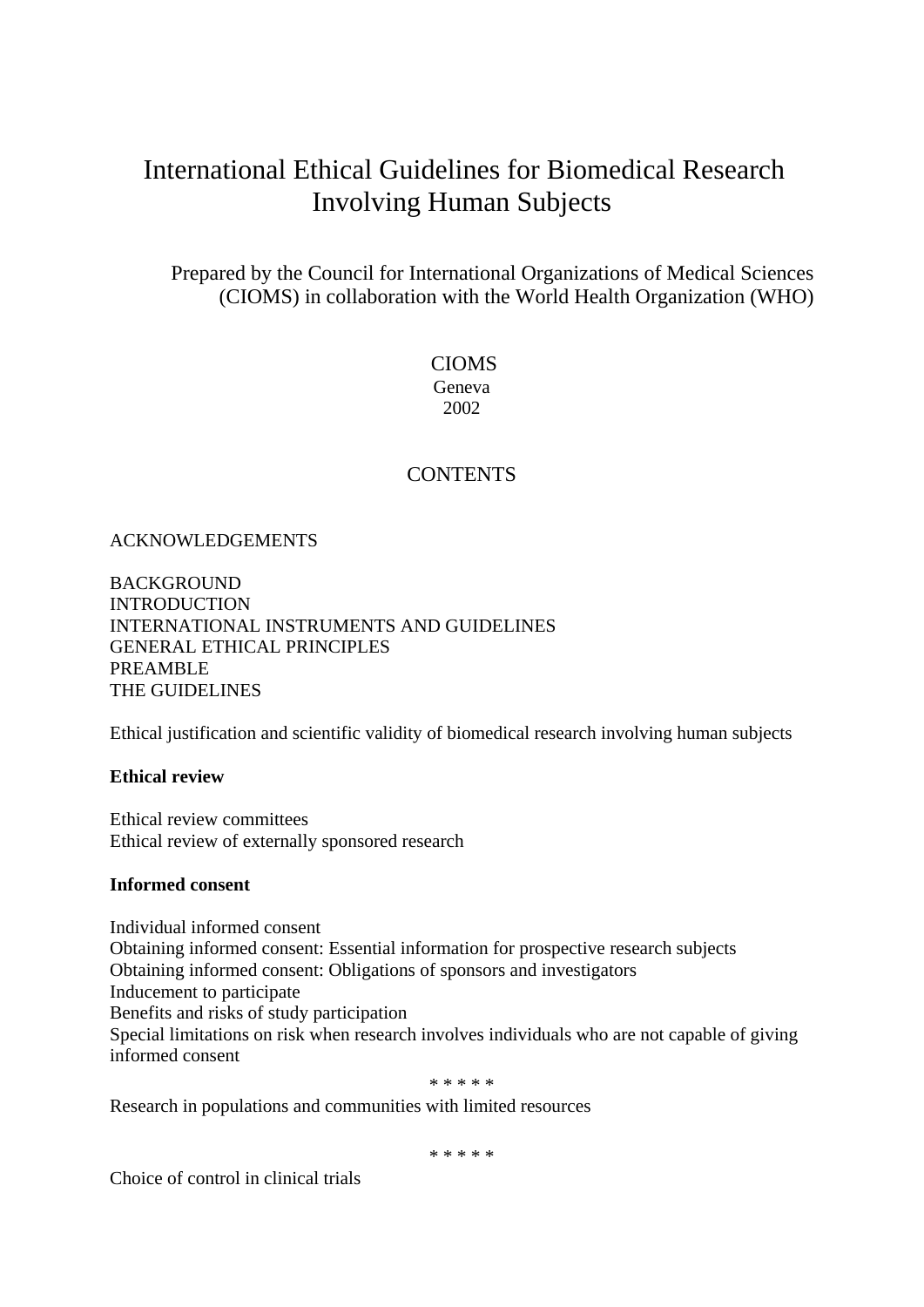# International Ethical Guidelines for Biomedical Research Involving Human Subjects

Prepared by the Council for International Organizations of Medical Sciences (CIOMS) in collaboration with the World Health Organization (WHO)

### CIOMS Geneva 2002

# **CONTENTS**

#### ACKNOWLEDGEMENTS

BACKGROUND INTRODUCTION INTERNATIONAL INSTRUMENTS AND GUIDELINES GENERAL ETHICAL PRINCIPLES PREAMBLE THE GUIDELINES

Ethical justification and scientific validity of biomedical research involving human subjects

#### **Ethical review**

Ethical review committees Ethical review of externally sponsored research

#### **Informed consent**

Individual informed consent Obtaining informed consent: Essential information for prospective research subjects Obtaining informed consent: Obligations of sponsors and investigators Inducement to participate Benefits and risks of study participation Special limitations on risk when research involves individuals who are not capable of giving informed consent

\* \* \* \* \*

Research in populations and communities with limited resources

\* \* \* \* \*

Choice of control in clinical trials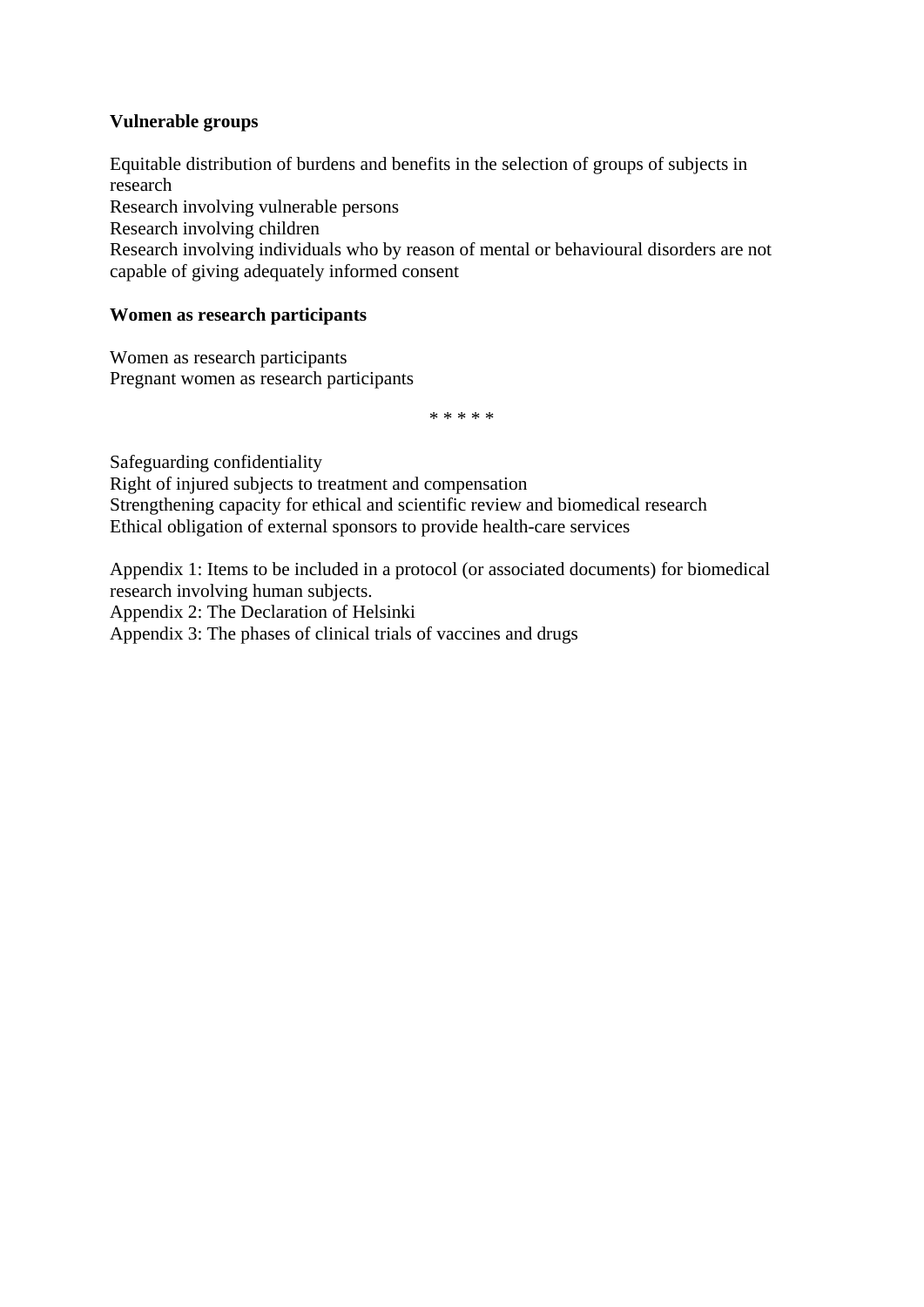# **Vulnerable groups**

Equitable distribution of burdens and benefits in the selection of groups of subjects in research Research involving vulnerable persons Research involving children Research involving individuals who by reason of mental or behavioural disorders are not capable of giving adequately informed consent

#### **Women as research participants**

Women as research participants Pregnant women as research participants

\* \* \* \* \*

Safeguarding confidentiality Right of injured subjects to treatment and compensation Strengthening capacity for ethical and scientific review and biomedical research Ethical obligation of external sponsors to provide health-care services

Appendix 1: Items to be included in a protocol (or associated documents) for biomedical research involving human subjects. Appendix 2: The Declaration of Helsinki Appendix 3: The phases of clinical trials of vaccines and drugs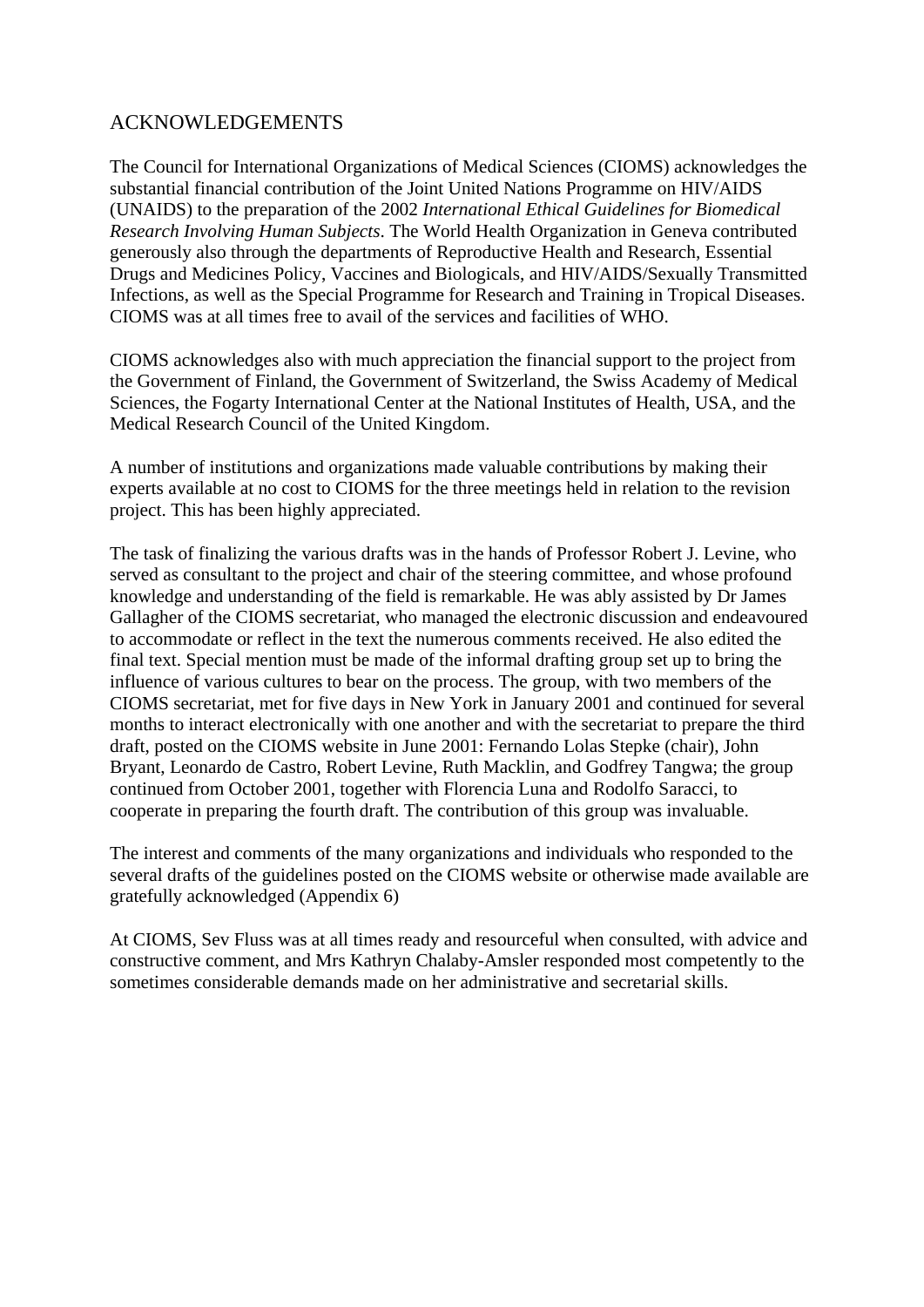# ACKNOWLEDGEMENTS

The Council for International Organizations of Medical Sciences (CIOMS) acknowledges the substantial financial contribution of the Joint United Nations Programme on HIV/AIDS (UNAIDS) to the preparation of the 2002 *International Ethical Guidelines for Biomedical Research Involving Human Subjects*. The World Health Organization in Geneva contributed generously also through the departments of Reproductive Health and Research, Essential Drugs and Medicines Policy, Vaccines and Biologicals, and HIV/AIDS/Sexually Transmitted Infections, as well as the Special Programme for Research and Training in Tropical Diseases. CIOMS was at all times free to avail of the services and facilities of WHO.

CIOMS acknowledges also with much appreciation the financial support to the project from the Government of Finland, the Government of Switzerland, the Swiss Academy of Medical Sciences, the Fogarty International Center at the National Institutes of Health, USA, and the Medical Research Council of the United Kingdom.

A number of institutions and organizations made valuable contributions by making their experts available at no cost to CIOMS for the three meetings held in relation to the revision project. This has been highly appreciated.

The task of finalizing the various drafts was in the hands of Professor Robert J. Levine, who served as consultant to the project and chair of the steering committee, and whose profound knowledge and understanding of the field is remarkable. He was ably assisted by Dr James Gallagher of the CIOMS secretariat, who managed the electronic discussion and endeavoured to accommodate or reflect in the text the numerous comments received. He also edited the final text. Special mention must be made of the informal drafting group set up to bring the influence of various cultures to bear on the process. The group, with two members of the CIOMS secretariat, met for five days in New York in January 2001 and continued for several months to interact electronically with one another and with the secretariat to prepare the third draft, posted on the CIOMS website in June 2001: Fernando Lolas Stepke (chair), John Bryant, Leonardo de Castro, Robert Levine, Ruth Macklin, and Godfrey Tangwa; the group continued from October 2001, together with Florencia Luna and Rodolfo Saracci, to cooperate in preparing the fourth draft. The contribution of this group was invaluable.

The interest and comments of the many organizations and individuals who responded to the several drafts of the guidelines posted on the CIOMS website or otherwise made available are gratefully acknowledged (Appendix 6)

At CIOMS, Sev Fluss was at all times ready and resourceful when consulted, with advice and constructive comment, and Mrs Kathryn Chalaby-Amsler responded most competently to the sometimes considerable demands made on her administrative and secretarial skills.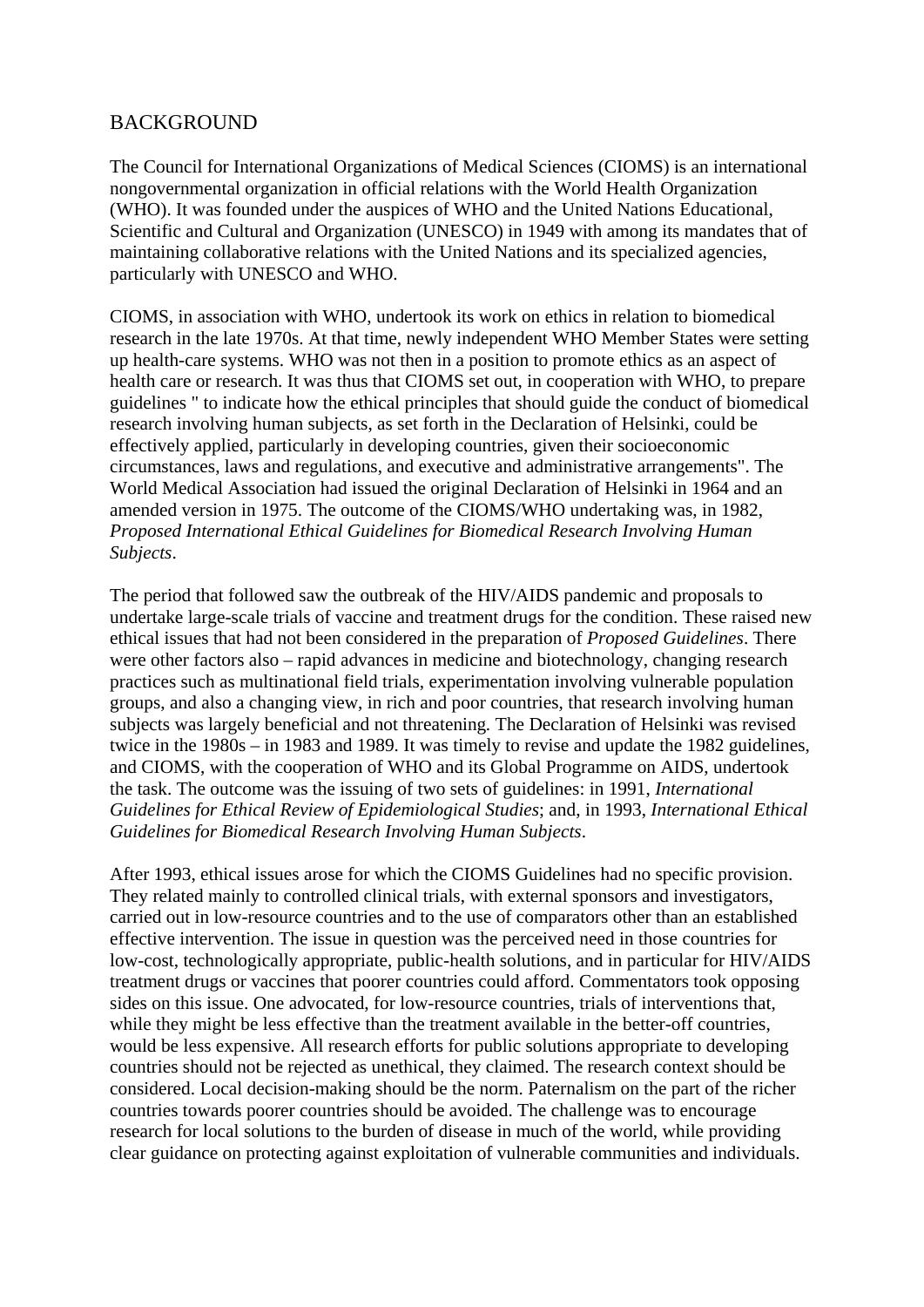# BACKGROUND

The Council for International Organizations of Medical Sciences (CIOMS) is an international nongovernmental organization in official relations with the World Health Organization (WHO). It was founded under the auspices of WHO and the United Nations Educational, Scientific and Cultural and Organization (UNESCO) in 1949 with among its mandates that of maintaining collaborative relations with the United Nations and its specialized agencies, particularly with UNESCO and WHO.

CIOMS, in association with WHO, undertook its work on ethics in relation to biomedical research in the late 1970s. At that time, newly independent WHO Member States were setting up health-care systems. WHO was not then in a position to promote ethics as an aspect of health care or research. It was thus that CIOMS set out, in cooperation with WHO, to prepare guidelines " to indicate how the ethical principles that should guide the conduct of biomedical research involving human subjects, as set forth in the Declaration of Helsinki, could be effectively applied, particularly in developing countries, given their socioeconomic circumstances, laws and regulations, and executive and administrative arrangements". The World Medical Association had issued the original Declaration of Helsinki in 1964 and an amended version in 1975. The outcome of the CIOMS/WHO undertaking was, in 1982, *Proposed International Ethical Guidelines for Biomedical Research Involving Human Subjects*.

The period that followed saw the outbreak of the HIV/AIDS pandemic and proposals to undertake large-scale trials of vaccine and treatment drugs for the condition. These raised new ethical issues that had not been considered in the preparation of *Proposed Guidelines*. There were other factors also – rapid advances in medicine and biotechnology, changing research practices such as multinational field trials, experimentation involving vulnerable population groups, and also a changing view, in rich and poor countries, that research involving human subjects was largely beneficial and not threatening*.* The Declaration of Helsinki was revised twice in the 1980s – in 1983 and 1989. It was timely to revise and update the 1982 guidelines, and CIOMS, with the cooperation of WHO and its Global Programme on AIDS, undertook the task. The outcome was the issuing of two sets of guidelines: in 1991, *International Guidelines for Ethical Review of Epidemiological Studies*; and, in 1993, *International Ethical Guidelines for Biomedical Research Involving Human Subjects*.

After 1993, ethical issues arose for which the CIOMS Guidelines had no specific provision. They related mainly to controlled clinical trials, with external sponsors and investigators, carried out in low-resource countries and to the use of comparators other than an established effective intervention. The issue in question was the perceived need in those countries for low-cost, technologically appropriate, public-health solutions, and in particular for HIV/AIDS treatment drugs or vaccines that poorer countries could afford. Commentators took opposing sides on this issue. One advocated, for low-resource countries, trials of interventions that, while they might be less effective than the treatment available in the better-off countries, would be less expensive. All research efforts for public solutions appropriate to developing countries should not be rejected as unethical, they claimed. The research context should be considered. Local decision-making should be the norm. Paternalism on the part of the richer countries towards poorer countries should be avoided. The challenge was to encourage research for local solutions to the burden of disease in much of the world, while providing clear guidance on protecting against exploitation of vulnerable communities and individuals.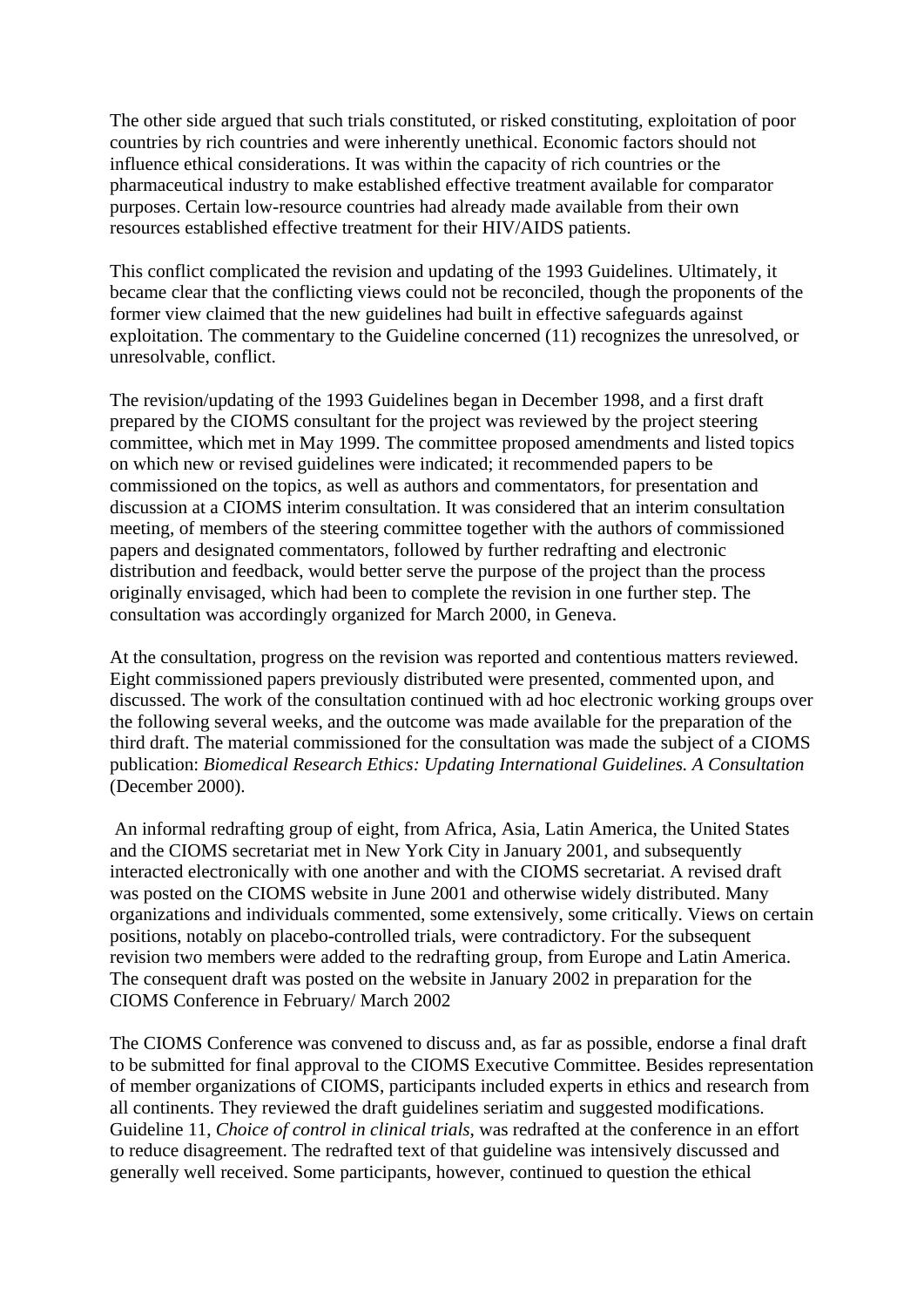The other side argued that such trials constituted, or risked constituting, exploitation of poor countries by rich countries and were inherently unethical. Economic factors should not influence ethical considerations. It was within the capacity of rich countries or the pharmaceutical industry to make established effective treatment available for comparator purposes. Certain low-resource countries had already made available from their own resources established effective treatment for their HIV/AIDS patients.

This conflict complicated the revision and updating of the 1993 Guidelines. Ultimately, it became clear that the conflicting views could not be reconciled, though the proponents of the former view claimed that the new guidelines had built in effective safeguards against exploitation. The commentary to the Guideline concerned (11) recognizes the unresolved, or unresolvable, conflict.

The revision/updating of the 1993 Guidelines began in December 1998, and a first draft prepared by the CIOMS consultant for the project was reviewed by the project steering committee, which met in May 1999. The committee proposed amendments and listed topics on which new or revised guidelines were indicated; it recommended papers to be commissioned on the topics, as well as authors and commentators, for presentation and discussion at a CIOMS interim consultation. It was considered that an interim consultation meeting, of members of the steering committee together with the authors of commissioned papers and designated commentators, followed by further redrafting and electronic distribution and feedback, would better serve the purpose of the project than the process originally envisaged, which had been to complete the revision in one further step. The consultation was accordingly organized for March 2000, in Geneva.

At the consultation, progress on the revision was reported and contentious matters reviewed. Eight commissioned papers previously distributed were presented, commented upon, and discussed. The work of the consultation continued with ad hoc electronic working groups over the following several weeks, and the outcome was made available for the preparation of the third draft. The material commissioned for the consultation was made the subject of a CIOMS publication: *Biomedical Research Ethics: Updating International Guidelines. A Consultation* (December 2000).

 An informal redrafting group of eight, from Africa, Asia, Latin America, the United States and the CIOMS secretariat met in New York City in January 2001, and subsequently interacted electronically with one another and with the CIOMS secretariat. A revised draft was posted on the CIOMS website in June 2001 and otherwise widely distributed. Many organizations and individuals commented, some extensively, some critically. Views on certain positions, notably on placebo-controlled trials, were contradictory. For the subsequent revision two members were added to the redrafting group, from Europe and Latin America. The consequent draft was posted on the website in January 2002 in preparation for the CIOMS Conference in February/ March 2002

The CIOMS Conference was convened to discuss and, as far as possible, endorse a final draft to be submitted for final approval to the CIOMS Executive Committee. Besides representation of member organizations of CIOMS, participants included experts in ethics and research from all continents. They reviewed the draft guidelines seriatim and suggested modifications. Guideline 11, *Choice of control in clinical trials*, was redrafted at the conference in an effort to reduce disagreement. The redrafted text of that guideline was intensively discussed and generally well received. Some participants, however, continued to question the ethical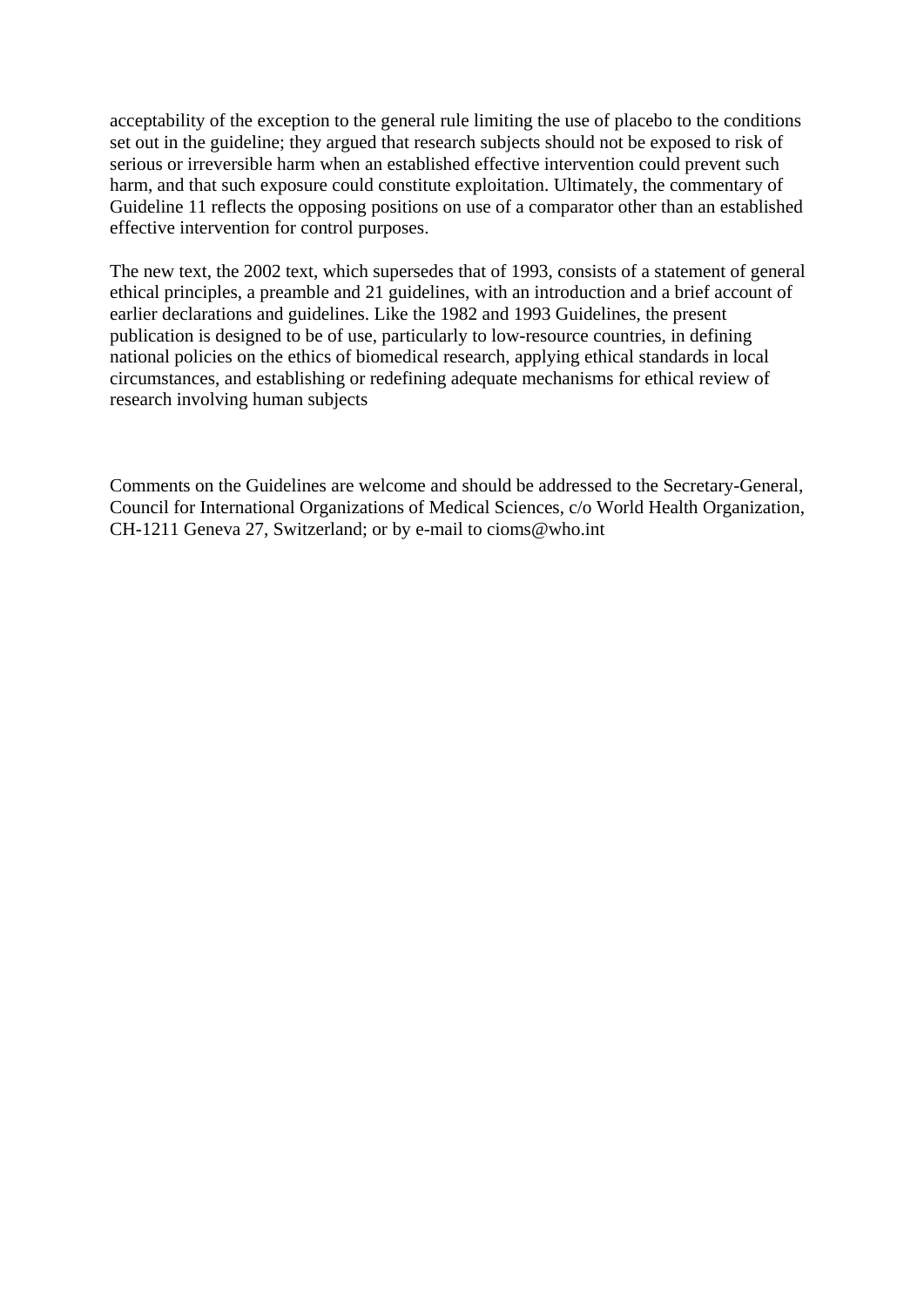acceptability of the exception to the general rule limiting the use of placebo to the conditions set out in the guideline; they argued that research subjects should not be exposed to risk of serious or irreversible harm when an established effective intervention could prevent such harm, and that such exposure could constitute exploitation. Ultimately, the commentary of Guideline 11 reflects the opposing positions on use of a comparator other than an established effective intervention for control purposes.

The new text, the 2002 text, which supersedes that of 1993, consists of a statement of general ethical principles, a preamble and 21 guidelines, with an introduction and a brief account of earlier declarations and guidelines. Like the 1982 and 1993 Guidelines, the present publication is designed to be of use, particularly to low-resource countries, in defining national policies on the ethics of biomedical research, applying ethical standards in local circumstances, and establishing or redefining adequate mechanisms for ethical review of research involving human subjects

Comments on the Guidelines are welcome and should be addressed to the Secretary-General, Council for International Organizations of Medical Sciences, c/o World Health Organization, CH-1211 Geneva 27, Switzerland; or by e-mail to cioms@who.int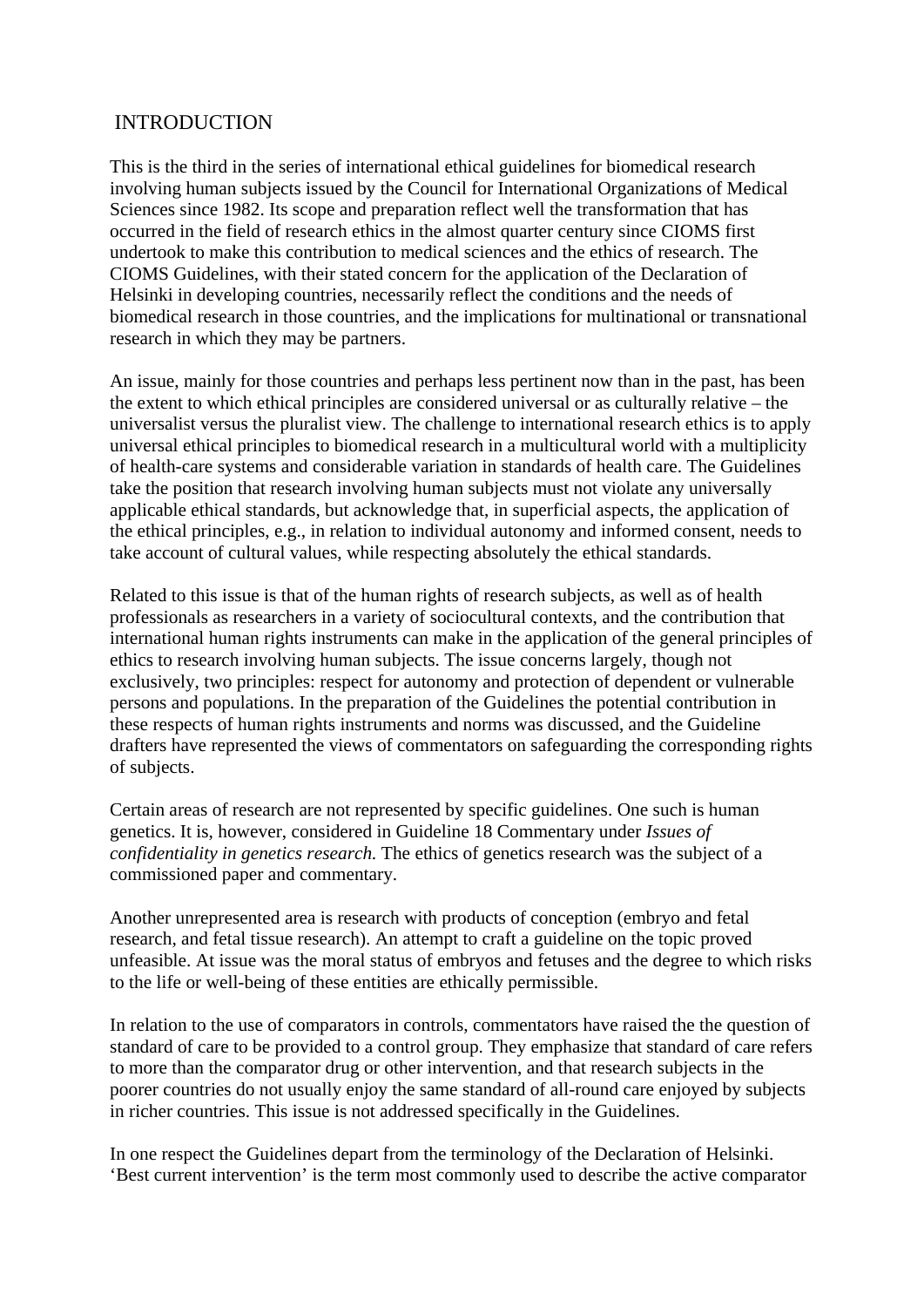# INTRODUCTION

This is the third in the series of international ethical guidelines for biomedical research involving human subjects issued by the Council for International Organizations of Medical Sciences since 1982. Its scope and preparation reflect well the transformation that has occurred in the field of research ethics in the almost quarter century since CIOMS first undertook to make this contribution to medical sciences and the ethics of research. The CIOMS Guidelines, with their stated concern for the application of the Declaration of Helsinki in developing countries, necessarily reflect the conditions and the needs of biomedical research in those countries, and the implications for multinational or transnational research in which they may be partners.

An issue, mainly for those countries and perhaps less pertinent now than in the past, has been the extent to which ethical principles are considered universal or as culturally relative – the universalist versus the pluralist view. The challenge to international research ethics is to apply universal ethical principles to biomedical research in a multicultural world with a multiplicity of health-care systems and considerable variation in standards of health care. The Guidelines take the position that research involving human subjects must not violate any universally applicable ethical standards, but acknowledge that, in superficial aspects, the application of the ethical principles, e.g., in relation to individual autonomy and informed consent, needs to take account of cultural values, while respecting absolutely the ethical standards.

Related to this issue is that of the human rights of research subjects, as well as of health professionals as researchers in a variety of sociocultural contexts, and the contribution that international human rights instruments can make in the application of the general principles of ethics to research involving human subjects. The issue concerns largely, though not exclusively, two principles: respect for autonomy and protection of dependent or vulnerable persons and populations. In the preparation of the Guidelines the potential contribution in these respects of human rights instruments and norms was discussed, and the Guideline drafters have represented the views of commentators on safeguarding the corresponding rights of subjects.

Certain areas of research are not represented by specific guidelines. One such is human genetics. It is, however, considered in Guideline 18 Commentary under *Issues of confidentiality in genetics research.* The ethics of genetics research was the subject of a commissioned paper and commentary.

Another unrepresented area is research with products of conception (embryo and fetal research, and fetal tissue research). An attempt to craft a guideline on the topic proved unfeasible. At issue was the moral status of embryos and fetuses and the degree to which risks to the life or well-being of these entities are ethically permissible.

In relation to the use of comparators in controls, commentators have raised the the question of standard of care to be provided to a control group. They emphasize that standard of care refers to more than the comparator drug or other intervention, and that research subjects in the poorer countries do not usually enjoy the same standard of all-round care enjoyed by subjects in richer countries. This issue is not addressed specifically in the Guidelines.

In one respect the Guidelines depart from the terminology of the Declaration of Helsinki. 'Best current intervention' is the term most commonly used to describe the active comparator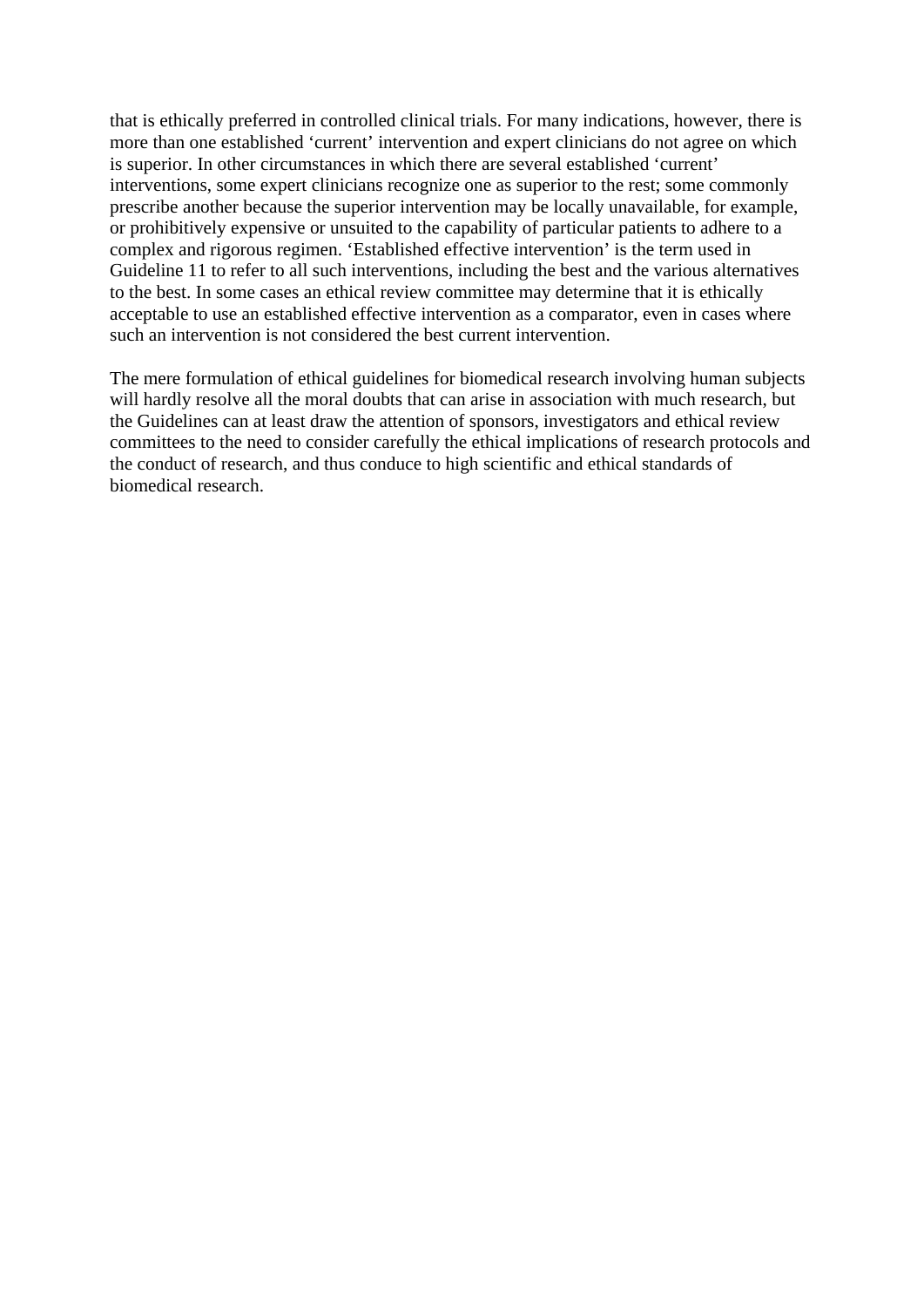that is ethically preferred in controlled clinical trials. For many indications, however, there is more than one established 'current' intervention and expert clinicians do not agree on which is superior. In other circumstances in which there are several established 'current' interventions, some expert clinicians recognize one as superior to the rest; some commonly prescribe another because the superior intervention may be locally unavailable, for example, or prohibitively expensive or unsuited to the capability of particular patients to adhere to a complex and rigorous regimen. 'Established effective intervention' is the term used in Guideline 11 to refer to all such interventions, including the best and the various alternatives to the best. In some cases an ethical review committee may determine that it is ethically acceptable to use an established effective intervention as a comparator, even in cases where such an intervention is not considered the best current intervention.

The mere formulation of ethical guidelines for biomedical research involving human subjects will hardly resolve all the moral doubts that can arise in association with much research, but the Guidelines can at least draw the attention of sponsors, investigators and ethical review committees to the need to consider carefully the ethical implications of research protocols and the conduct of research, and thus conduce to high scientific and ethical standards of biomedical research.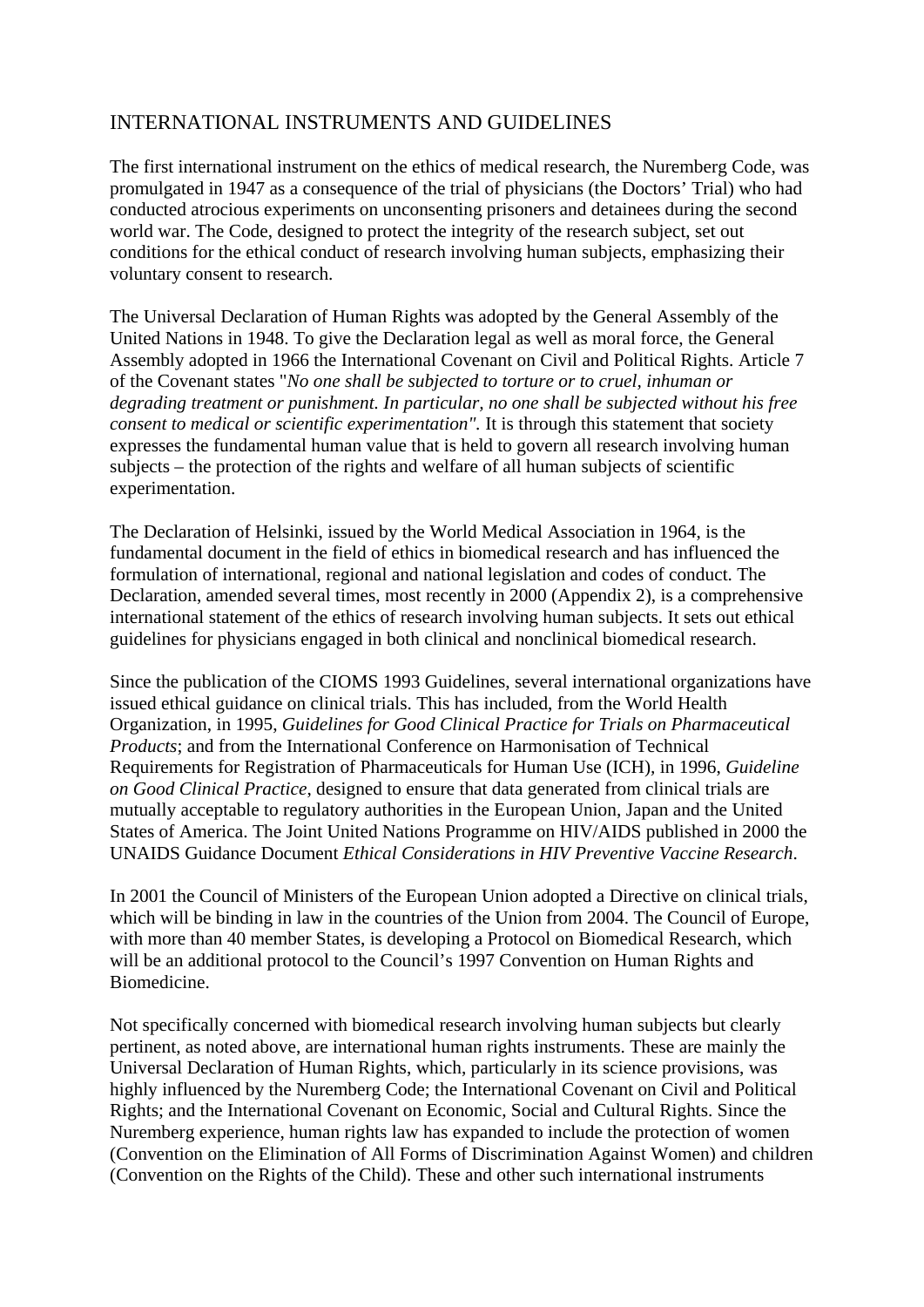# INTERNATIONAL INSTRUMENTS AND GUIDELINES

The first international instrument on the ethics of medical research, the Nuremberg Code, was promulgated in 1947 as a consequence of the trial of physicians (the Doctors' Trial) who had conducted atrocious experiments on unconsenting prisoners and detainees during the second world war. The Code, designed to protect the integrity of the research subject, set out conditions for the ethical conduct of research involving human subjects, emphasizing their voluntary consent to research.

The Universal Declaration of Human Rights was adopted by the General Assembly of the United Nations in 1948. To give the Declaration legal as well as moral force, the General Assembly adopted in 1966 the International Covenant on Civil and Political Rights. Article 7 of the Covenant states "*No one shall be subjected to torture or to cruel, inhuman or degrading treatment or punishment. In particular, no one shall be subjected without his free consent to medical or scientific experimentation".* It is through this statement that society expresses the fundamental human value that is held to govern all research involving human subjects – the protection of the rights and welfare of all human subjects of scientific experimentation.

The Declaration of Helsinki, issued by the World Medical Association in 1964, is the fundamental document in the field of ethics in biomedical research and has influenced the formulation of international, regional and national legislation and codes of conduct. The Declaration, amended several times, most recently in 2000 (Appendix 2), is a comprehensive international statement of the ethics of research involving human subjects. It sets out ethical guidelines for physicians engaged in both clinical and nonclinical biomedical research.

Since the publication of the CIOMS 1993 Guidelines, several international organizations have issued ethical guidance on clinical trials. This has included, from the World Health Organization, in 1995, *Guidelines for Good Clinical Practice for Trials on Pharmaceutical Products*; and from the International Conference on Harmonisation of Technical Requirements for Registration of Pharmaceuticals for Human Use (ICH)*,* in 1996, *Guideline on Good Clinical Practice*, designed to ensure that data generated from clinical trials are mutually acceptable to regulatory authorities in the European Union, Japan and the United States of America. The Joint United Nations Programme on HIV/AIDS published in 2000 the UNAIDS Guidance Document *Ethical Considerations in HIV Preventive Vaccine Research*.

In 2001 the Council of Ministers of the European Union adopted a Directive on clinical trials, which will be binding in law in the countries of the Union from 2004. The Council of Europe, with more than 40 member States, is developing a Protocol on Biomedical Research, which will be an additional protocol to the Council's 1997 Convention on Human Rights and Biomedicine.

Not specifically concerned with biomedical research involving human subjects but clearly pertinent, as noted above, are international human rights instruments. These are mainly the Universal Declaration of Human Rights, which, particularly in its science provisions, was highly influenced by the Nuremberg Code; the International Covenant on Civil and Political Rights; and the International Covenant on Economic, Social and Cultural Rights. Since the Nuremberg experience, human rights law has expanded to include the protection of women (Convention on the Elimination of All Forms of Discrimination Against Women) and children (Convention on the Rights of the Child). These and other such international instruments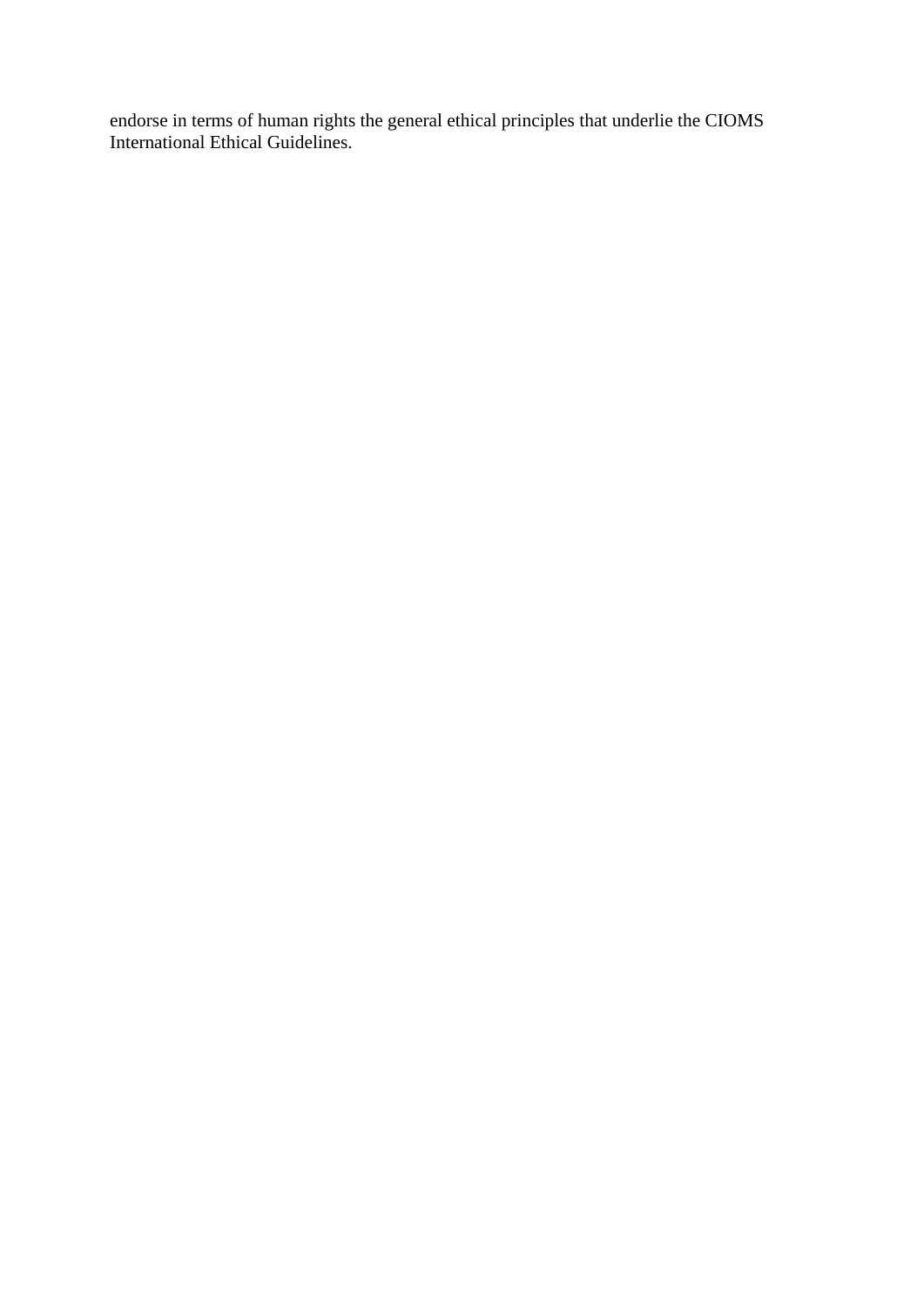endorse in terms of human rights the general ethical principles that underlie the CIOMS International Ethical Guidelines.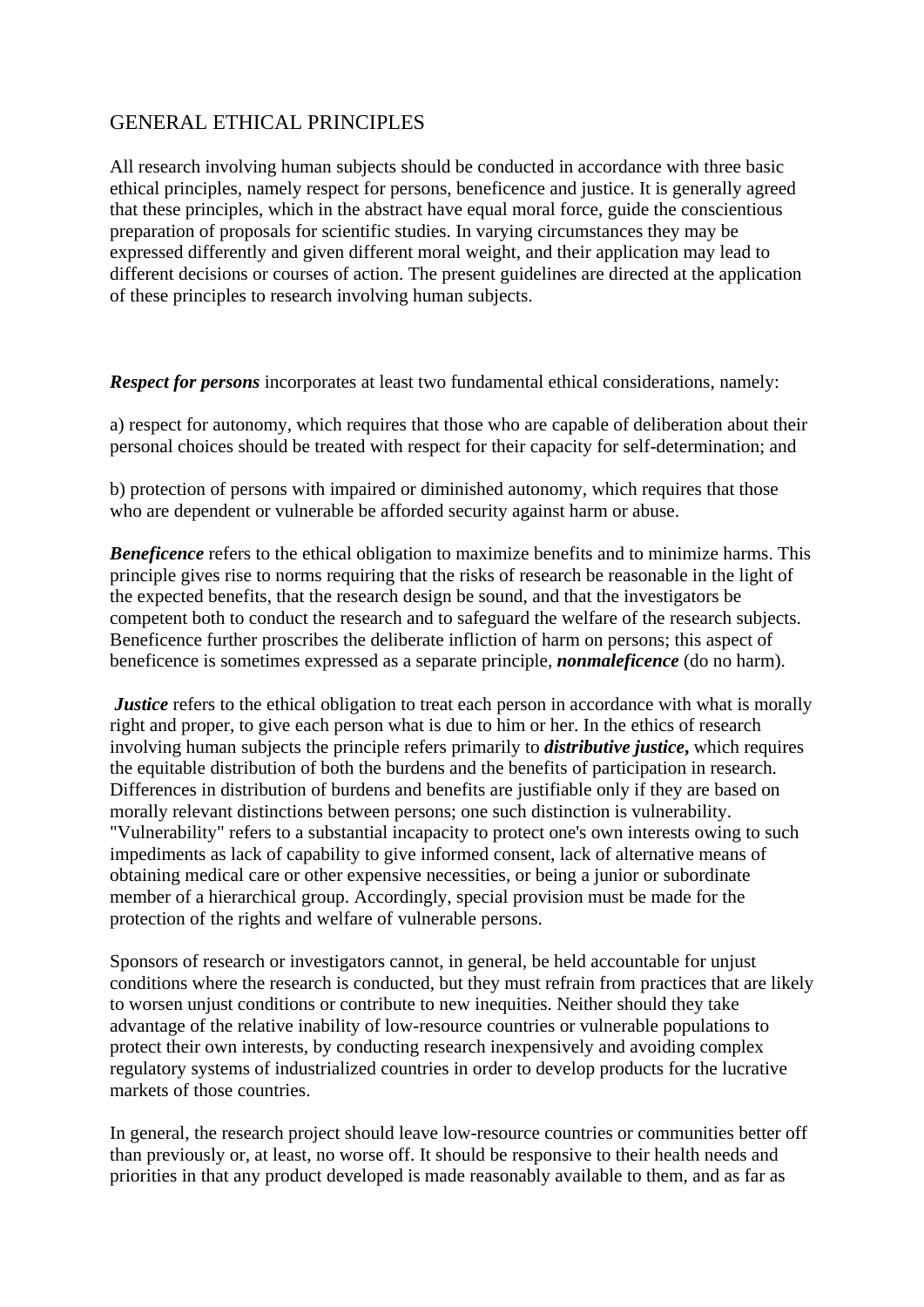# GENERAL ETHICAL PRINCIPLES

All research involving human subjects should be conducted in accordance with three basic ethical principles, namely respect for persons, beneficence and justice. It is generally agreed that these principles, which in the abstract have equal moral force, guide the conscientious preparation of proposals for scientific studies. In varying circumstances they may be expressed differently and given different moral weight, and their application may lead to different decisions or courses of action. The present guidelines are directed at the application of these principles to research involving human subjects.

*Respect for persons* incorporates at least two fundamental ethical considerations, namely:

a) respect for autonomy, which requires that those who are capable of deliberation about their personal choices should be treated with respect for their capacity for self-determination; and

b) protection of persons with impaired or diminished autonomy, which requires that those who are dependent or vulnerable be afforded security against harm or abuse.

*Beneficence* refers to the ethical obligation to maximize benefits and to minimize harms. This principle gives rise to norms requiring that the risks of research be reasonable in the light of the expected benefits, that the research design be sound, and that the investigators be competent both to conduct the research and to safeguard the welfare of the research subjects. Beneficence further proscribes the deliberate infliction of harm on persons; this aspect of beneficence is sometimes expressed as a separate principle, *nonmaleficence* (do no harm).

*Justice* refers to the ethical obligation to treat each person in accordance with what is morally right and proper, to give each person what is due to him or her. In the ethics of research involving human subjects the principle refers primarily to *distributive justice***,** which requires the equitable distribution of both the burdens and the benefits of participation in research. Differences in distribution of burdens and benefits are justifiable only if they are based on morally relevant distinctions between persons; one such distinction is vulnerability. "Vulnerability" refers to a substantial incapacity to protect one's own interests owing to such impediments as lack of capability to give informed consent, lack of alternative means of obtaining medical care or other expensive necessities, or being a junior or subordinate member of a hierarchical group. Accordingly, special provision must be made for the protection of the rights and welfare of vulnerable persons.

Sponsors of research or investigators cannot, in general, be held accountable for unjust conditions where the research is conducted, but they must refrain from practices that are likely to worsen unjust conditions or contribute to new inequities. Neither should they take advantage of the relative inability of low-resource countries or vulnerable populations to protect their own interests, by conducting research inexpensively and avoiding complex regulatory systems of industrialized countries in order to develop products for the lucrative markets of those countries.

In general, the research project should leave low-resource countries or communities better off than previously or, at least, no worse off. It should be responsive to their health needs and priorities in that any product developed is made reasonably available to them, and as far as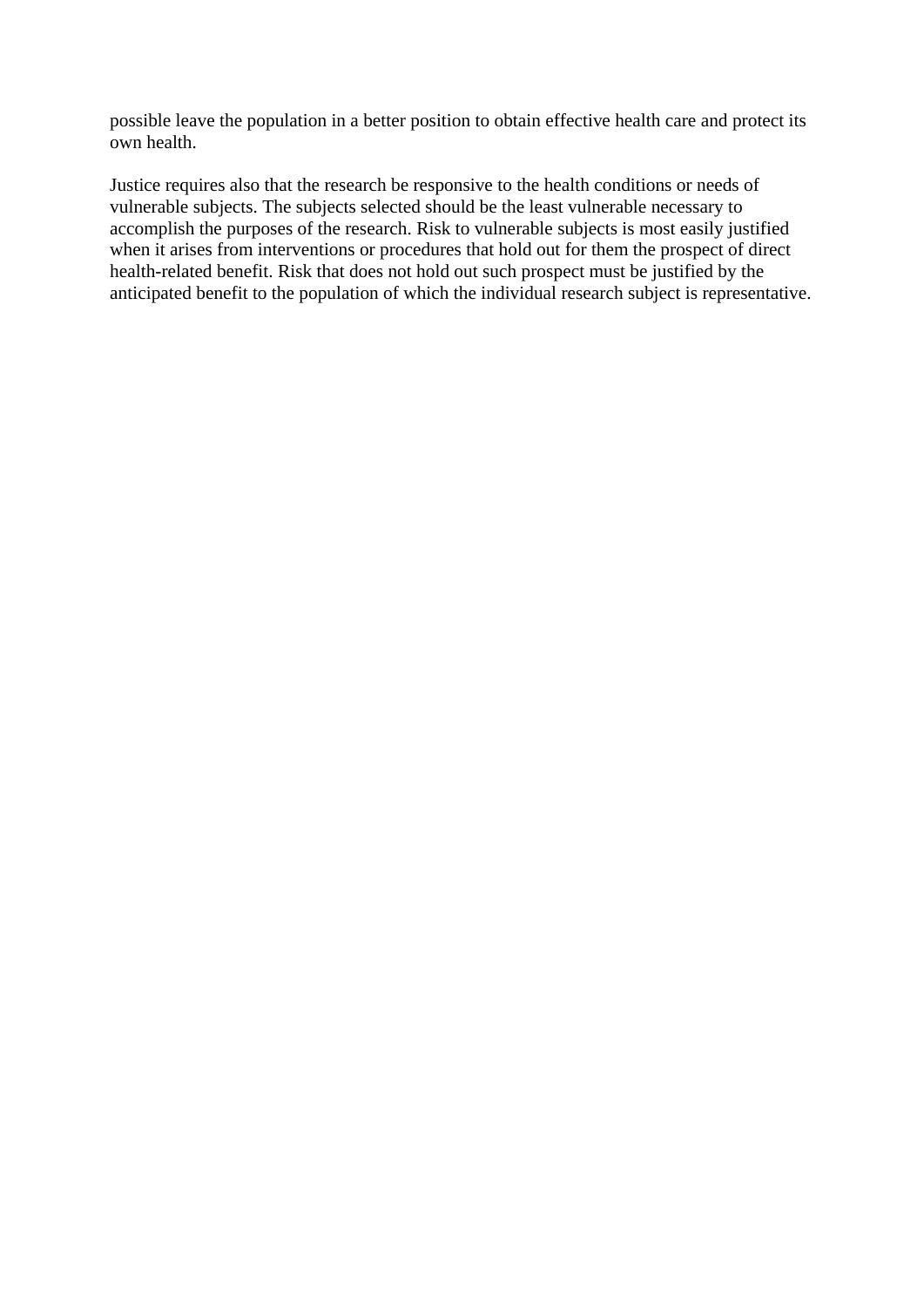possible leave the population in a better position to obtain effective health care and protect its own health.

Justice requires also that the research be responsive to the health conditions or needs of vulnerable subjects. The subjects selected should be the least vulnerable necessary to accomplish the purposes of the research. Risk to vulnerable subjects is most easily justified when it arises from interventions or procedures that hold out for them the prospect of direct health-related benefit. Risk that does not hold out such prospect must be justified by the anticipated benefit to the population of which the individual research subject is representative.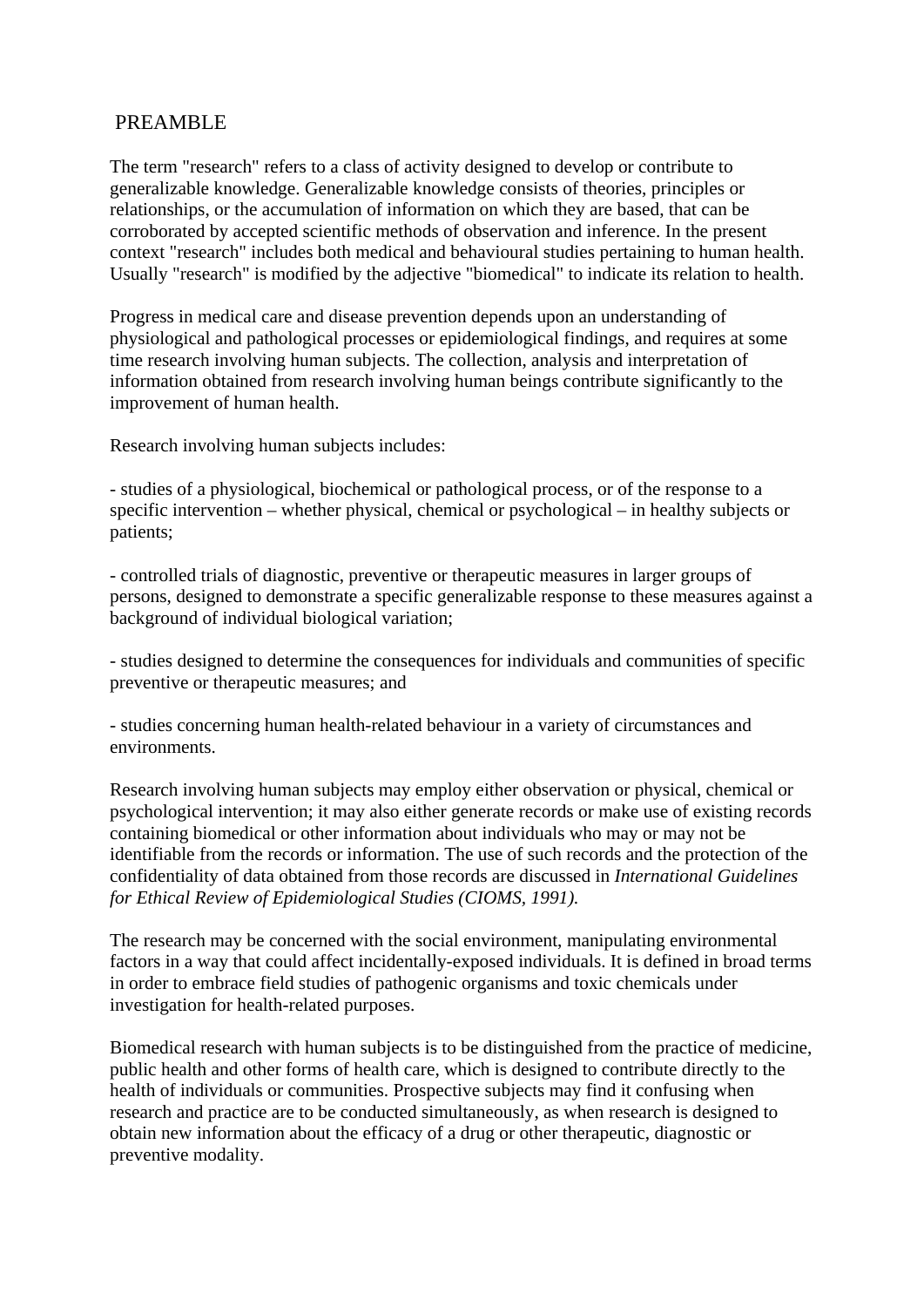# PREAMBLE

The term "research" refers to a class of activity designed to develop or contribute to generalizable knowledge. Generalizable knowledge consists of theories, principles or relationships, or the accumulation of information on which they are based, that can be corroborated by accepted scientific methods of observation and inference. In the present context "research" includes both medical and behavioural studies pertaining to human health. Usually "research" is modified by the adjective "biomedical" to indicate its relation to health.

Progress in medical care and disease prevention depends upon an understanding of physiological and pathological processes or epidemiological findings, and requires at some time research involving human subjects. The collection, analysis and interpretation of information obtained from research involving human beings contribute significantly to the improvement of human health.

Research involving human subjects includes:

- studies of a physiological, biochemical or pathological process, or of the response to a specific intervention – whether physical, chemical or psychological – in healthy subjects or patients;

- controlled trials of diagnostic, preventive or therapeutic measures in larger groups of persons, designed to demonstrate a specific generalizable response to these measures against a background of individual biological variation;

- studies designed to determine the consequences for individuals and communities of specific preventive or therapeutic measures; and

- studies concerning human health-related behaviour in a variety of circumstances and environments.

Research involving human subjects may employ either observation or physical, chemical or psychological intervention; it may also either generate records or make use of existing records containing biomedical or other information about individuals who may or may not be identifiable from the records or information. The use of such records and the protection of the confidentiality of data obtained from those records are discussed in *International Guidelines for Ethical Review of Epidemiological Studies (CIOMS, 1991).*

The research may be concerned with the social environment, manipulating environmental factors in a way that could affect incidentally-exposed individuals. It is defined in broad terms in order to embrace field studies of pathogenic organisms and toxic chemicals under investigation for health-related purposes.

Biomedical research with human subjects is to be distinguished from the practice of medicine, public health and other forms of health care, which is designed to contribute directly to the health of individuals or communities. Prospective subjects may find it confusing when research and practice are to be conducted simultaneously, as when research is designed to obtain new information about the efficacy of a drug or other therapeutic, diagnostic or preventive modality.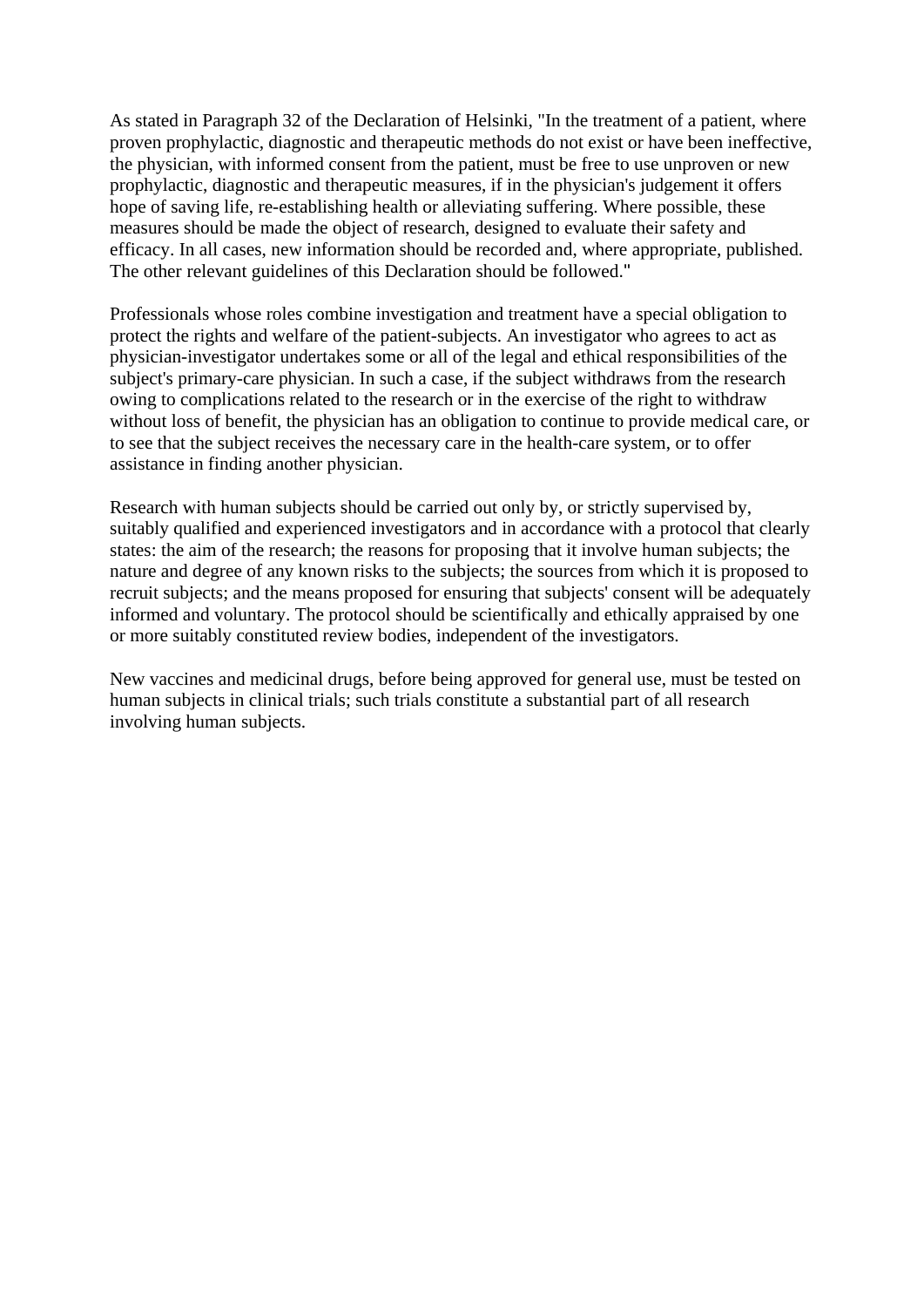As stated in Paragraph 32 of the Declaration of Helsinki, "In the treatment of a patient, where proven prophylactic, diagnostic and therapeutic methods do not exist or have been ineffective, the physician, with informed consent from the patient, must be free to use unproven or new prophylactic, diagnostic and therapeutic measures, if in the physician's judgement it offers hope of saving life, re-establishing health or alleviating suffering. Where possible, these measures should be made the object of research, designed to evaluate their safety and efficacy. In all cases, new information should be recorded and, where appropriate, published. The other relevant guidelines of this Declaration should be followed."

Professionals whose roles combine investigation and treatment have a special obligation to protect the rights and welfare of the patient-subjects. An investigator who agrees to act as physician-investigator undertakes some or all of the legal and ethical responsibilities of the subject's primary-care physician. In such a case, if the subject withdraws from the research owing to complications related to the research or in the exercise of the right to withdraw without loss of benefit, the physician has an obligation to continue to provide medical care, or to see that the subject receives the necessary care in the health-care system, or to offer assistance in finding another physician.

Research with human subjects should be carried out only by, or strictly supervised by, suitably qualified and experienced investigators and in accordance with a protocol that clearly states: the aim of the research; the reasons for proposing that it involve human subjects; the nature and degree of any known risks to the subjects; the sources from which it is proposed to recruit subjects; and the means proposed for ensuring that subjects' consent will be adequately informed and voluntary. The protocol should be scientifically and ethically appraised by one or more suitably constituted review bodies, independent of the investigators.

New vaccines and medicinal drugs, before being approved for general use, must be tested on human subjects in clinical trials; such trials constitute a substantial part of all research involving human subjects.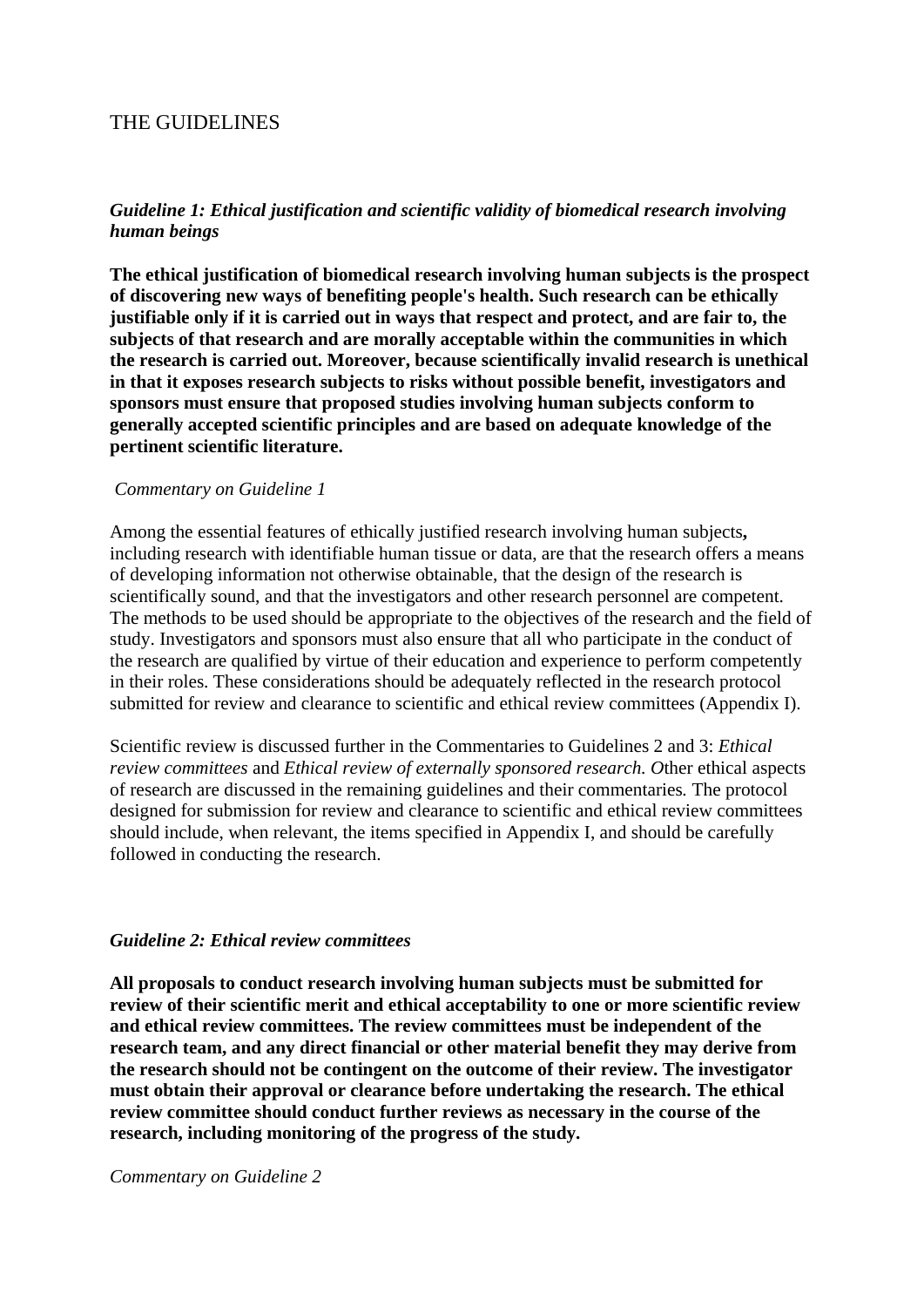# THE GUIDELINES

#### *Guideline 1: Ethical justification and scientific validity of biomedical research involving human beings*

**The ethical justification of biomedical research involving human subjects is the prospect of discovering new ways of benefiting people's health. Such research can be ethically justifiable only if it is carried out in ways that respect and protect, and are fair to, the subjects of that research and are morally acceptable within the communities in which the research is carried out. Moreover, because scientifically invalid research is unethical in that it exposes research subjects to risks without possible benefit, investigators and sponsors must ensure that proposed studies involving human subjects conform to generally accepted scientific principles and are based on adequate knowledge of the pertinent scientific literature.**

#### *Commentary on Guideline 1*

Among the essential features of ethically justified research involving human subjects**,**  including research with identifiable human tissue or data, are that the research offers a means of developing information not otherwise obtainable, that the design of the research is scientifically sound, and that the investigators and other research personnel are competent. The methods to be used should be appropriate to the objectives of the research and the field of study. Investigators and sponsors must also ensure that all who participate in the conduct of the research are qualified by virtue of their education and experience to perform competently in their roles. These considerations should be adequately reflected in the research protocol submitted for review and clearance to scientific and ethical review committees (Appendix I).

Scientific review is discussed further in the Commentaries to Guidelines 2 and 3: *Ethical review committees* and *Ethical review of externally sponsored research. O*ther ethical aspects of research are discussed in the remaining guidelines and their commentaries*.* The protocol designed for submission for review and clearance to scientific and ethical review committees should include, when relevant, the items specified in Appendix I, and should be carefully followed in conducting the research.

#### *Guideline 2: Ethical review committees*

**All proposals to conduct research involving human subjects must be submitted for review of their scientific merit and ethical acceptability to one or more scientific review and ethical review committees. The review committees must be independent of the research team, and any direct financial or other material benefit they may derive from the research should not be contingent on the outcome of their review. The investigator must obtain their approval or clearance before undertaking the research. The ethical review committee should conduct further reviews as necessary in the course of the research, including monitoring of the progress of the study.**

*Commentary on Guideline 2*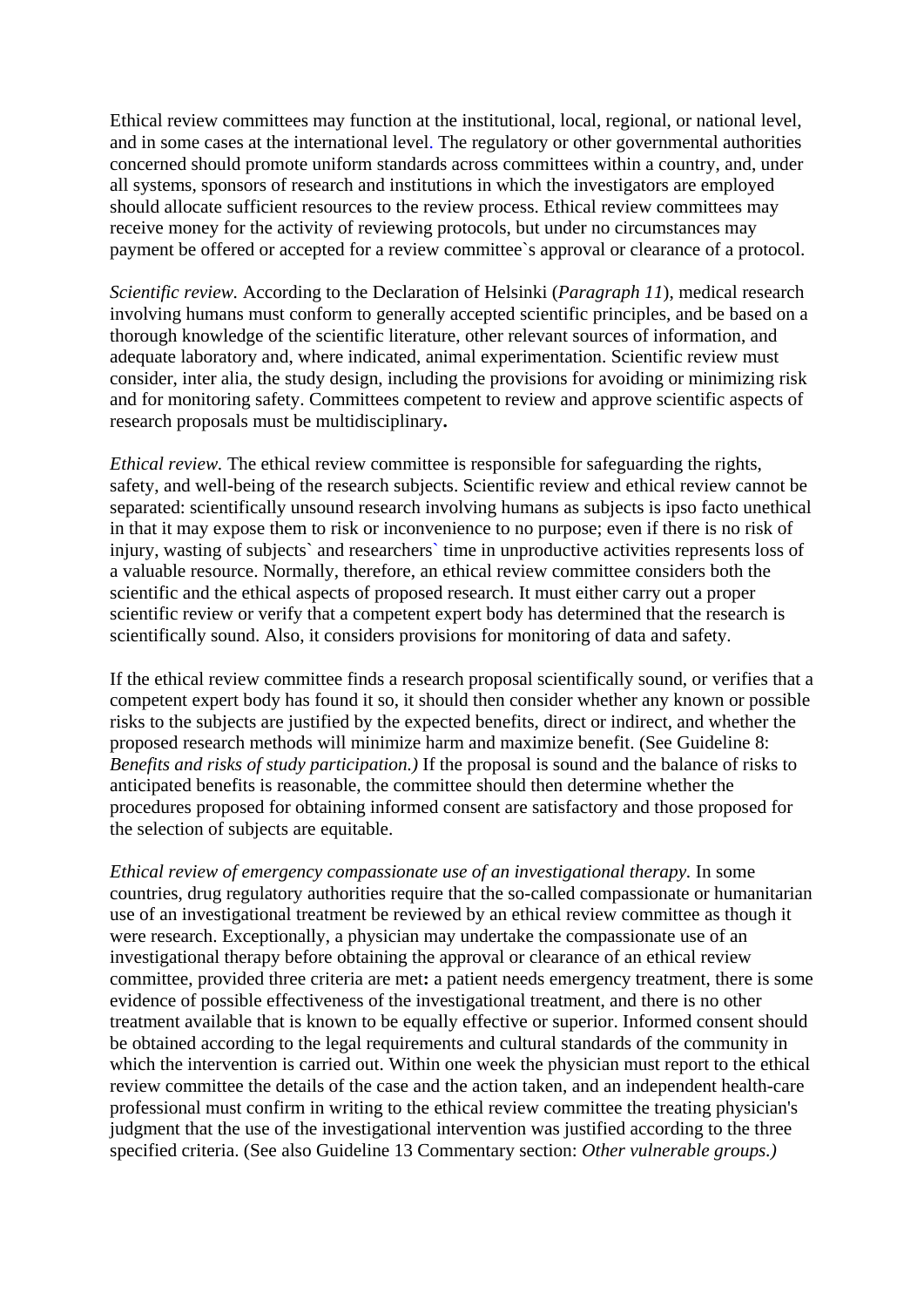Ethical review committees may function at the institutional, local, regional, or national level, and in some cases at the international level. The regulatory or other governmental authorities concerned should promote uniform standards across committees within a country, and, under all systems, sponsors of research and institutions in which the investigators are employed should allocate sufficient resources to the review process. Ethical review committees may receive money for the activity of reviewing protocols, but under no circumstances may payment be offered or accepted for a review committee`s approval or clearance of a protocol.

*Scientific review.* According to the Declaration of Helsinki (*Paragraph 11*), medical research involving humans must conform to generally accepted scientific principles, and be based on a thorough knowledge of the scientific literature, other relevant sources of information, and adequate laboratory and, where indicated, animal experimentation. Scientific review must consider, inter alia, the study design, including the provisions for avoiding or minimizing risk and for monitoring safety. Committees competent to review and approve scientific aspects of research proposals must be multidisciplinary**.**

*Ethical review.* The ethical review committee is responsible for safeguarding the rights, safety, and well-being of the research subjects. Scientific review and ethical review cannot be separated: scientifically unsound research involving humans as subjects is ipso facto unethical in that it may expose them to risk or inconvenience to no purpose; even if there is no risk of injury, wasting of subjects` and researchers` time in unproductive activities represents loss of a valuable resource. Normally, therefore, an ethical review committee considers both the scientific and the ethical aspects of proposed research. It must either carry out a proper scientific review or verify that a competent expert body has determined that the research is scientifically sound. Also, it considers provisions for monitoring of data and safety.

If the ethical review committee finds a research proposal scientifically sound, or verifies that a competent expert body has found it so, it should then consider whether any known or possible risks to the subjects are justified by the expected benefits, direct or indirect, and whether the proposed research methods will minimize harm and maximize benefit. (See Guideline 8: *Benefits and risks of study participation.)* If the proposal is sound and the balance of risks to anticipated benefits is reasonable, the committee should then determine whether the procedures proposed for obtaining informed consent are satisfactory and those proposed for the selection of subjects are equitable.

*Ethical review of emergency compassionate use of an investigational therapy.* In some countries, drug regulatory authorities require that the so-called compassionate or humanitarian use of an investigational treatment be reviewed by an ethical review committee as though it were research. Exceptionally, a physician may undertake the compassionate use of an investigational therapy before obtaining the approval or clearance of an ethical review committee, provided three criteria are met**:** a patient needs emergency treatment, there is some evidence of possible effectiveness of the investigational treatment, and there is no other treatment available that is known to be equally effective or superior. Informed consent should be obtained according to the legal requirements and cultural standards of the community in which the intervention is carried out. Within one week the physician must report to the ethical review committee the details of the case and the action taken, and an independent health-care professional must confirm in writing to the ethical review committee the treating physician's judgment that the use of the investigational intervention was justified according to the three specified criteria. (See also Guideline 13 Commentary section: *Other vulnerable groups.)*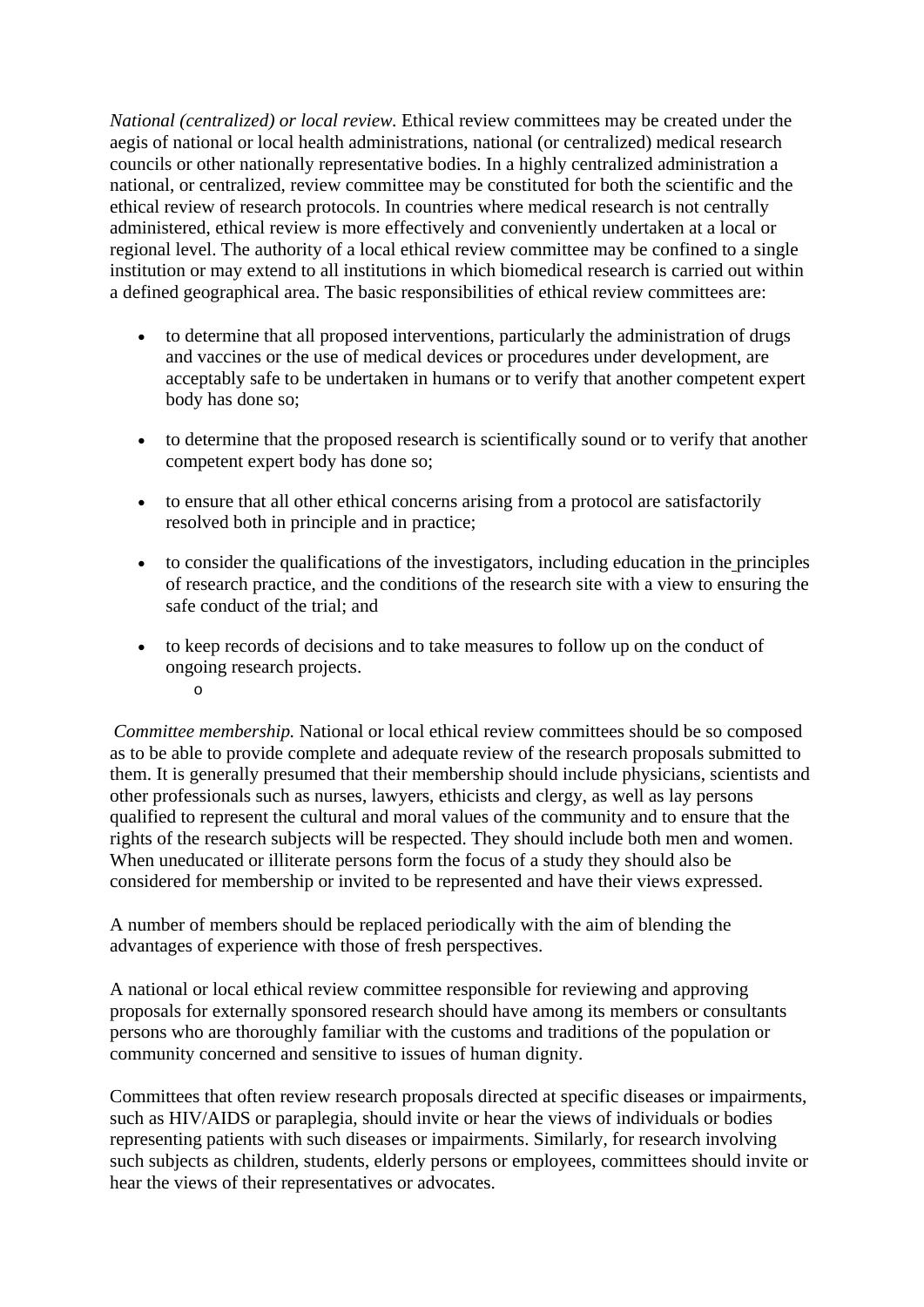*National (centralized) or local review.* Ethical review committees may be created under the aegis of national or local health administrations, national (or centralized) medical research councils or other nationally representative bodies. In a highly centralized administration a national, or centralized, review committee may be constituted for both the scientific and the ethical review of research protocols. In countries where medical research is not centrally administered, ethical review is more effectively and conveniently undertaken at a local or regional level. The authority of a local ethical review committee may be confined to a single institution or may extend to all institutions in which biomedical research is carried out within a defined geographical area. The basic responsibilities of ethical review committees are:

- to determine that all proposed interventions, particularly the administration of drugs and vaccines or the use of medical devices or procedures under development, are acceptably safe to be undertaken in humans or to verify that another competent expert body has done so;
- to determine that the proposed research is scientifically sound or to verify that another competent expert body has done so;
- to ensure that all other ethical concerns arising from a protocol are satisfactorily resolved both in principle and in practice;
- to consider the qualifications of the investigators, including education in the principles of research practice, and the conditions of the research site with a view to ensuring the safe conduct of the trial; and
- to keep records of decisions and to take measures to follow up on the conduct of ongoing research projects. o

*Committee membership.* National or local ethical review committees should be so composed as to be able to provide complete and adequate review of the research proposals submitted to them. It is generally presumed that their membership should include physicians, scientists and other professionals such as nurses, lawyers, ethicists and clergy, as well as lay persons qualified to represent the cultural and moral values of the community and to ensure that the rights of the research subjects will be respected. They should include both men and women. When uneducated or illiterate persons form the focus of a study they should also be considered for membership or invited to be represented and have their views expressed.

A number of members should be replaced periodically with the aim of blending the advantages of experience with those of fresh perspectives.

A national or local ethical review committee responsible for reviewing and approving proposals for externally sponsored research should have among its members or consultants persons who are thoroughly familiar with the customs and traditions of the population or community concerned and sensitive to issues of human dignity.

Committees that often review research proposals directed at specific diseases or impairments, such as HIV/AIDS or paraplegia, should invite or hear the views of individuals or bodies representing patients with such diseases or impairments. Similarly, for research involving such subjects as children, students, elderly persons or employees, committees should invite or hear the views of their representatives or advocates.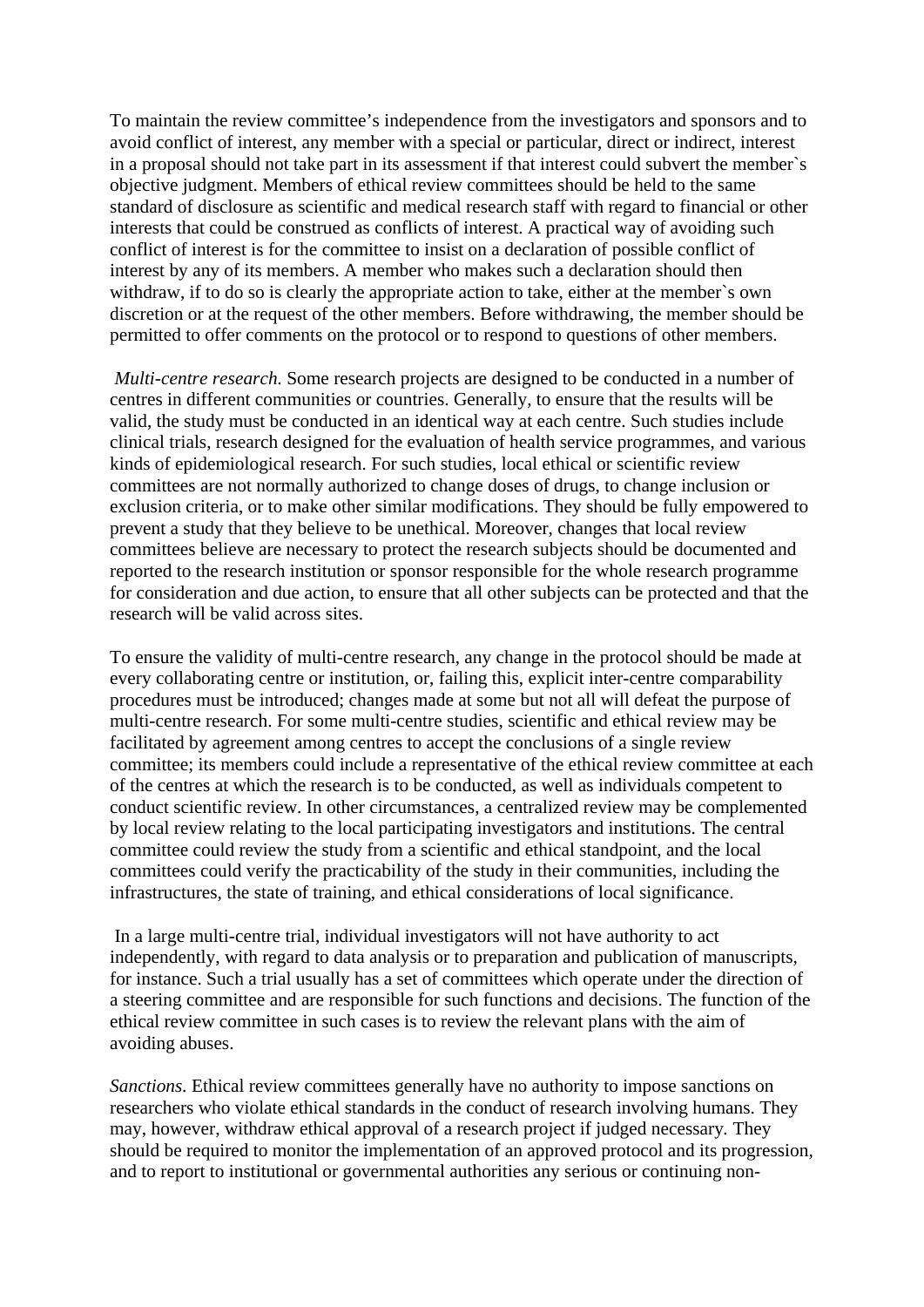To maintain the review committee's independence from the investigators and sponsors and to avoid conflict of interest, any member with a special or particular, direct or indirect, interest in a proposal should not take part in its assessment if that interest could subvert the member`s objective judgment. Members of ethical review committees should be held to the same standard of disclosure as scientific and medical research staff with regard to financial or other interests that could be construed as conflicts of interest. A practical way of avoiding such conflict of interest is for the committee to insist on a declaration of possible conflict of interest by any of its members. A member who makes such a declaration should then withdraw, if to do so is clearly the appropriate action to take, either at the member`s own discretion or at the request of the other members. Before withdrawing, the member should be permitted to offer comments on the protocol or to respond to questions of other members.

*Multi-centre research.* Some research projects are designed to be conducted in a number of centres in different communities or countries. Generally, to ensure that the results will be valid, the study must be conducted in an identical way at each centre. Such studies include clinical trials, research designed for the evaluation of health service programmes, and various kinds of epidemiological research. For such studies, local ethical or scientific review committees are not normally authorized to change doses of drugs, to change inclusion or exclusion criteria, or to make other similar modifications. They should be fully empowered to prevent a study that they believe to be unethical. Moreover, changes that local review committees believe are necessary to protect the research subjects should be documented and reported to the research institution or sponsor responsible for the whole research programme for consideration and due action, to ensure that all other subjects can be protected and that the research will be valid across sites.

To ensure the validity of multi-centre research, any change in the protocol should be made at every collaborating centre or institution, or, failing this, explicit inter-centre comparability procedures must be introduced; changes made at some but not all will defeat the purpose of multi-centre research. For some multi-centre studies, scientific and ethical review may be facilitated by agreement among centres to accept the conclusions of a single review committee; its members could include a representative of the ethical review committee at each of the centres at which the research is to be conducted, as well as individuals competent to conduct scientific review. In other circumstances, a centralized review may be complemented by local review relating to the local participating investigators and institutions. The central committee could review the study from a scientific and ethical standpoint, and the local committees could verify the practicability of the study in their communities, including the infrastructures, the state of training, and ethical considerations of local significance.

 In a large multi-centre trial, individual investigators will not have authority to act independently, with regard to data analysis or to preparation and publication of manuscripts, for instance. Such a trial usually has a set of committees which operate under the direction of a steering committee and are responsible for such functions and decisions. The function of the ethical review committee in such cases is to review the relevant plans with the aim of avoiding abuses.

*Sanctions.* Ethical review committees generally have no authority to impose sanctions on researchers who violate ethical standards in the conduct of research involving humans. They may, however, withdraw ethical approval of a research project if judged necessary*.* They should be required to monitor the implementation of an approved protocol and its progression, and to report to institutional or governmental authorities any serious or continuing non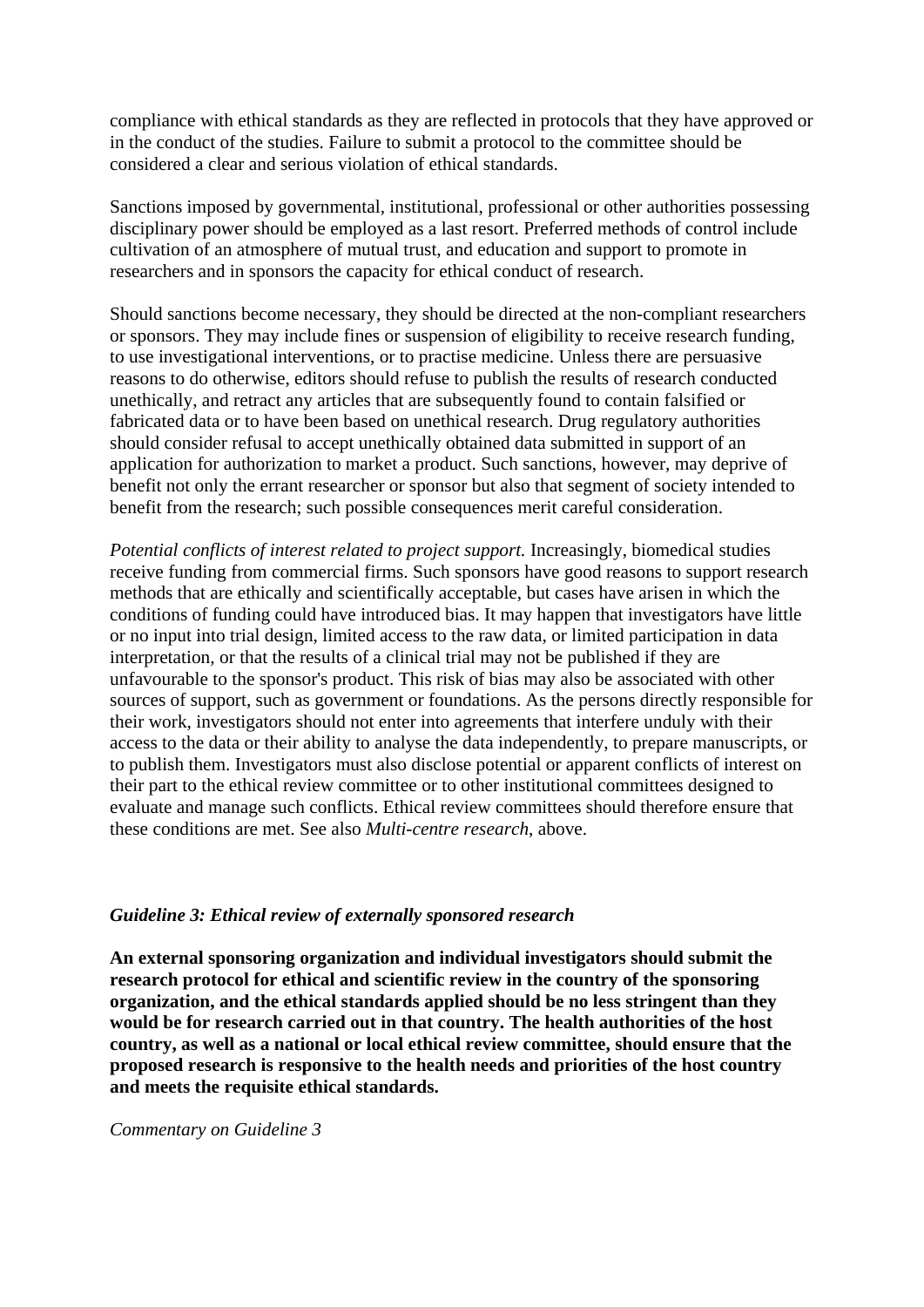compliance with ethical standards as they are reflected in protocols that they have approved or in the conduct of the studies. Failure to submit a protocol to the committee should be considered a clear and serious violation of ethical standards.

Sanctions imposed by governmental, institutional, professional or other authorities possessing disciplinary power should be employed as a last resort. Preferred methods of control include cultivation of an atmosphere of mutual trust, and education and support to promote in researchers and in sponsors the capacity for ethical conduct of research.

Should sanctions become necessary, they should be directed at the non-compliant researchers or sponsors. They may include fines or suspension of eligibility to receive research funding, to use investigational interventions, or to practise medicine. Unless there are persuasive reasons to do otherwise, editors should refuse to publish the results of research conducted unethically, and retract any articles that are subsequently found to contain falsified or fabricated data or to have been based on unethical research. Drug regulatory authorities should consider refusal to accept unethically obtained data submitted in support of an application for authorization to market a product. Such sanctions, however, may deprive of benefit not only the errant researcher or sponsor but also that segment of society intended to benefit from the research; such possible consequences merit careful consideration.

*Potential conflicts of interest related to project support.* Increasingly, biomedical studies receive funding from commercial firms. Such sponsors have good reasons to support research methods that are ethically and scientifically acceptable, but cases have arisen in which the conditions of funding could have introduced bias. It may happen that investigators have little or no input into trial design, limited access to the raw data, or limited participation in data interpretation, or that the results of a clinical trial may not be published if they are unfavourable to the sponsor's product. This risk of bias may also be associated with other sources of support, such as government or foundations. As the persons directly responsible for their work, investigators should not enter into agreements that interfere unduly with their access to the data or their ability to analyse the data independently, to prepare manuscripts, or to publish them. Investigators must also disclose potential or apparent conflicts of interest on their part to the ethical review committee or to other institutional committees designed to evaluate and manage such conflicts. Ethical review committees should therefore ensure that these conditions are met. See also *Multi-centre research*, above.

#### *Guideline 3: Ethical review of externally sponsored research*

**An external sponsoring organization and individual investigators should submit the research protocol for ethical and scientific review in the country of the sponsoring organization, and the ethical standards applied should be no less stringent than they would be for research carried out in that country. The health authorities of the host country, as well as a national or local ethical review committee, should ensure that the proposed research is responsive to the health needs and priorities of the host country and meets the requisite ethical standards.**

*Commentary on Guideline 3*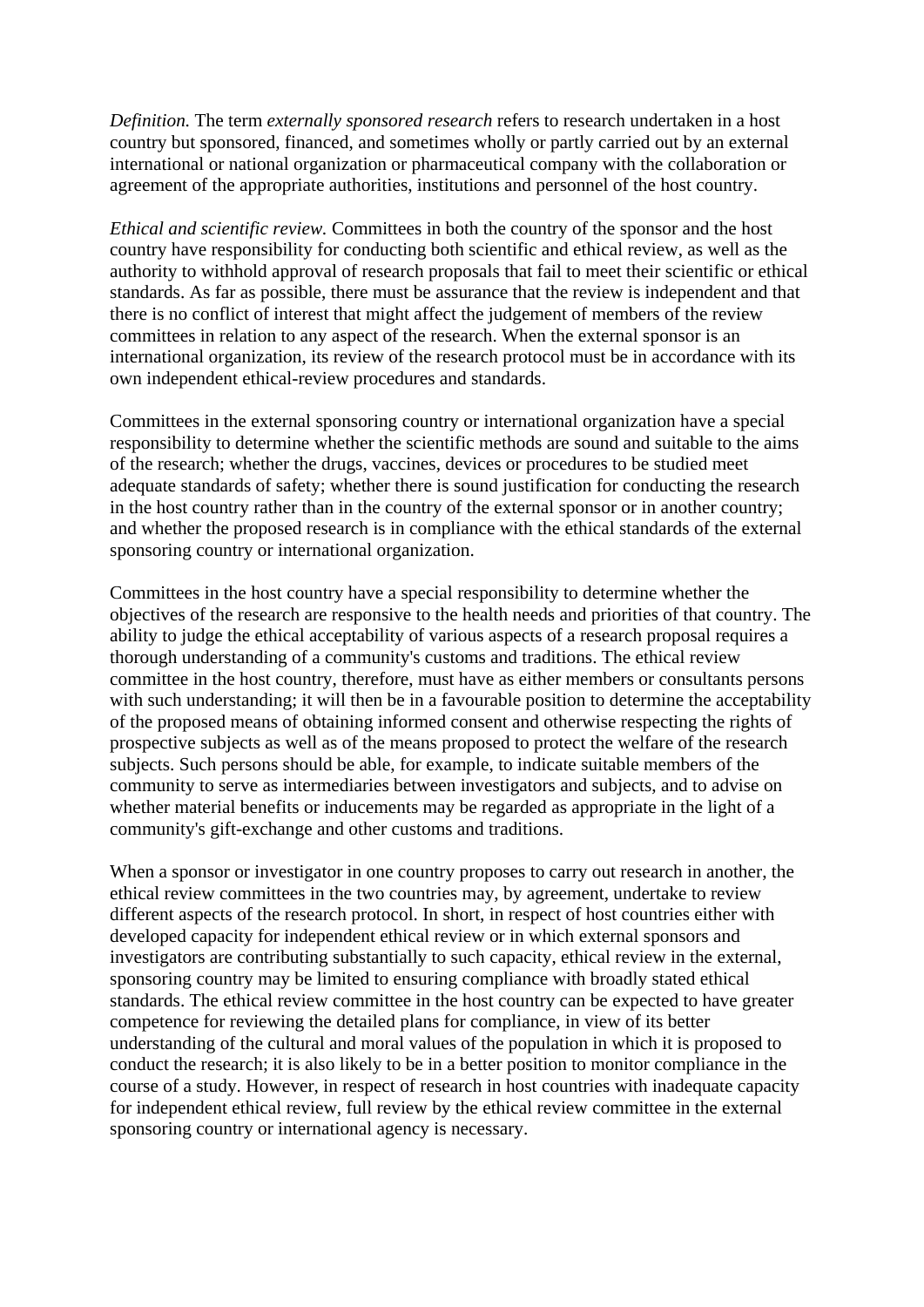*Definition.* The term *externally sponsored research* refers to research undertaken in a host country but sponsored, financed, and sometimes wholly or partly carried out by an external international or national organization or pharmaceutical company with the collaboration or agreement of the appropriate authorities, institutions and personnel of the host country.

*Ethical and scientific review.* Committees in both the country of the sponsor and the host country have responsibility for conducting both scientific and ethical review, as well as the authority to withhold approval of research proposals that fail to meet their scientific or ethical standards. As far as possible, there must be assurance that the review is independent and that there is no conflict of interest that might affect the judgement of members of the review committees in relation to any aspect of the research. When the external sponsor is an international organization, its review of the research protocol must be in accordance with its own independent ethical-review procedures and standards.

Committees in the external sponsoring country or international organization have a special responsibility to determine whether the scientific methods are sound and suitable to the aims of the research; whether the drugs, vaccines, devices or procedures to be studied meet adequate standards of safety; whether there is sound justification for conducting the research in the host country rather than in the country of the external sponsor or in another country; and whether the proposed research is in compliance with the ethical standards of the external sponsoring country or international organization.

Committees in the host country have a special responsibility to determine whether the objectives of the research are responsive to the health needs and priorities of that country. The ability to judge the ethical acceptability of various aspects of a research proposal requires a thorough understanding of a community's customs and traditions. The ethical review committee in the host country, therefore, must have as either members or consultants persons with such understanding; it will then be in a favourable position to determine the acceptability of the proposed means of obtaining informed consent and otherwise respecting the rights of prospective subjects as well as of the means proposed to protect the welfare of the research subjects. Such persons should be able, for example, to indicate suitable members of the community to serve as intermediaries between investigators and subjects, and to advise on whether material benefits or inducements may be regarded as appropriate in the light of a community's gift-exchange and other customs and traditions.

When a sponsor or investigator in one country proposes to carry out research in another, the ethical review committees in the two countries may, by agreement, undertake to review different aspects of the research protocol. In short, in respect of host countries either with developed capacity for independent ethical review or in which external sponsors and investigators are contributing substantially to such capacity, ethical review in the external, sponsoring country may be limited to ensuring compliance with broadly stated ethical standards. The ethical review committee in the host country can be expected to have greater competence for reviewing the detailed plans for compliance, in view of its better understanding of the cultural and moral values of the population in which it is proposed to conduct the research; it is also likely to be in a better position to monitor compliance in the course of a study. However, in respect of research in host countries with inadequate capacity for independent ethical review, full review by the ethical review committee in the external sponsoring country or international agency is necessary.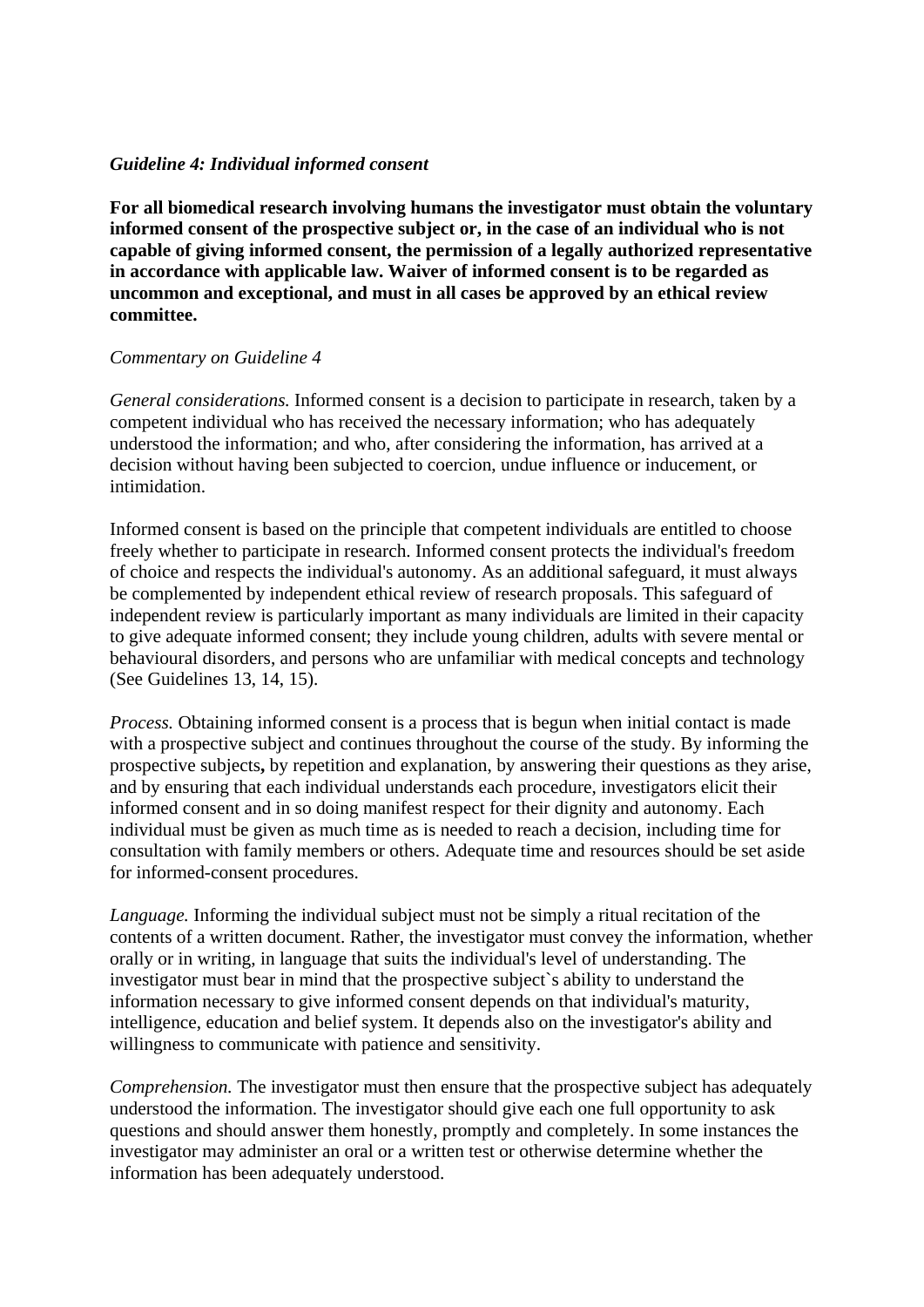#### *Guideline 4: Individual informed consent*

**For all biomedical research involving humans the investigator must obtain the voluntary informed consent of the prospective subject or, in the case of an individual who is not capable of giving informed consent, the permission of a legally authorized representative in accordance with applicable law. Waiver of informed consent is to be regarded as uncommon and exceptional, and must in all cases be approved by an ethical review committee.**

#### *Commentary on Guideline 4*

*General considerations.* Informed consent is a decision to participate in research, taken by a competent individual who has received the necessary information; who has adequately understood the information; and who, after considering the information, has arrived at a decision without having been subjected to coercion, undue influence or inducement, or intimidation.

Informed consent is based on the principle that competent individuals are entitled to choose freely whether to participate in research. Informed consent protects the individual's freedom of choice and respects the individual's autonomy. As an additional safeguard, it must always be complemented by independent ethical review of research proposals. This safeguard of independent review is particularly important as many individuals are limited in their capacity to give adequate informed consent; they include young children, adults with severe mental or behavioural disorders, and persons who are unfamiliar with medical concepts and technology (See Guidelines 13, 14, 15).

*Process.* Obtaining informed consent is a process that is begun when initial contact is made with a prospective subject and continues throughout the course of the study. By informing the prospective subjects**,** by repetition and explanation, by answering their questions as they arise, and by ensuring that each individual understands each procedure, investigators elicit their informed consent and in so doing manifest respect for their dignity and autonomy. Each individual must be given as much time as is needed to reach a decision, including time for consultation with family members or others. Adequate time and resources should be set aside for informed-consent procedures.

*Language.* Informing the individual subject must not be simply a ritual recitation of the contents of a written document. Rather, the investigator must convey the information, whether orally or in writing, in language that suits the individual's level of understanding. The investigator must bear in mind that the prospective subject`s ability to understand the information necessary to give informed consent depends on that individual's maturity, intelligence, education and belief system. It depends also on the investigator's ability and willingness to communicate with patience and sensitivity.

*Comprehension.* The investigator must then ensure that the prospective subject has adequately understood the information. The investigator should give each one full opportunity to ask questions and should answer them honestly, promptly and completely. In some instances the investigator may administer an oral or a written test or otherwise determine whether the information has been adequately understood.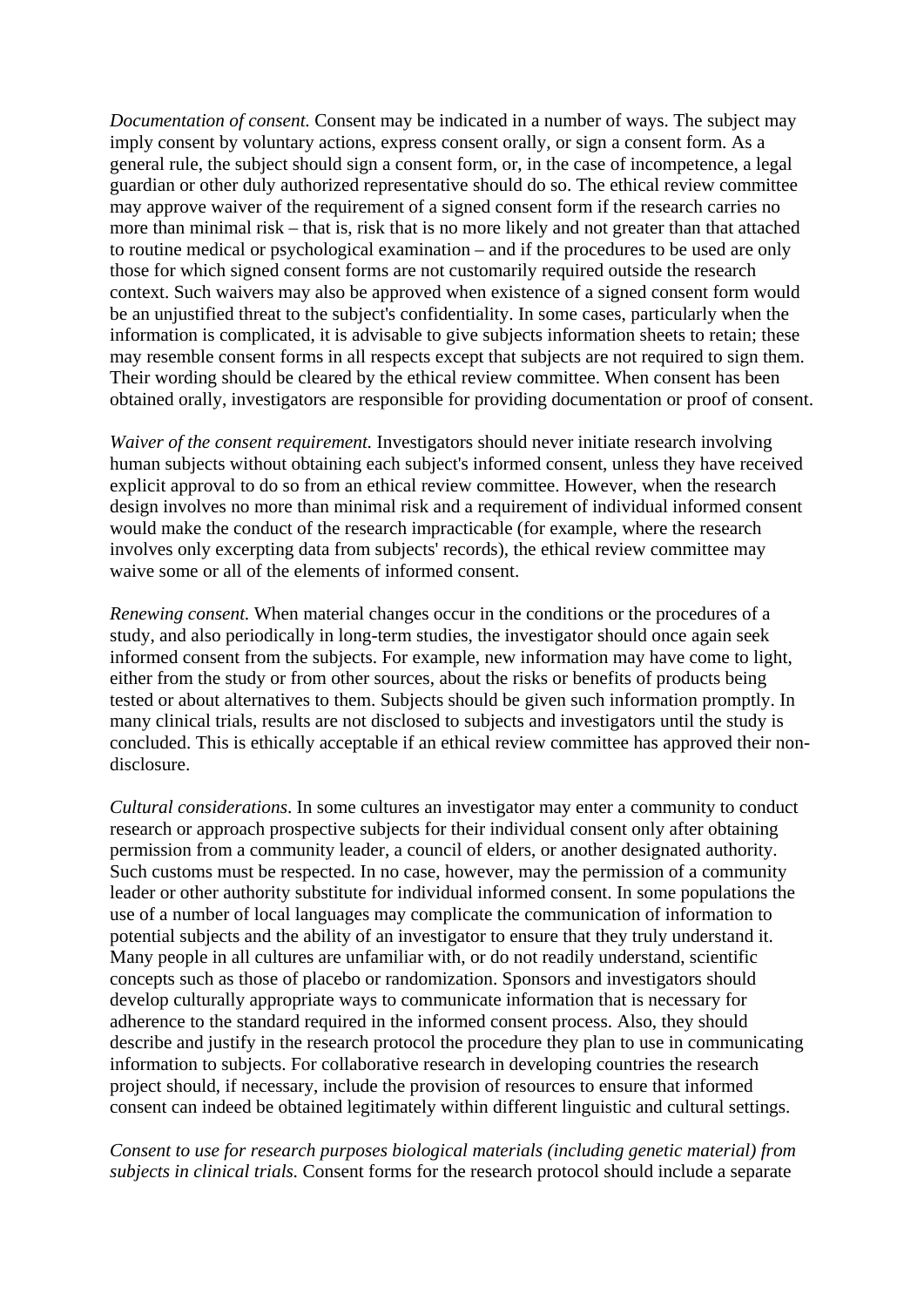*Documentation of consent.* Consent may be indicated in a number of ways. The subject may imply consent by voluntary actions, express consent orally, or sign a consent form. As a general rule, the subject should sign a consent form, or, in the case of incompetence, a legal guardian or other duly authorized representative should do so. The ethical review committee may approve waiver of the requirement of a signed consent form if the research carries no more than minimal risk – that is, risk that is no more likely and not greater than that attached to routine medical or psychological examination – and if the procedures to be used are only those for which signed consent forms are not customarily required outside the research context. Such waivers may also be approved when existence of a signed consent form would be an unjustified threat to the subject's confidentiality. In some cases, particularly when the information is complicated, it is advisable to give subjects information sheets to retain; these may resemble consent forms in all respects except that subjects are not required to sign them. Their wording should be cleared by the ethical review committee. When consent has been obtained orally, investigators are responsible for providing documentation or proof of consent.

*Waiver of the consent requirement.* Investigators should never initiate research involving human subjects without obtaining each subject's informed consent, unless they have received explicit approval to do so from an ethical review committee. However, when the research design involves no more than minimal risk and a requirement of individual informed consent would make the conduct of the research impracticable (for example, where the research involves only excerpting data from subjects' records), the ethical review committee may waive some or all of the elements of informed consent.

*Renewing consent.* When material changes occur in the conditions or the procedures of a study, and also periodically in long-term studies, the investigator should once again seek informed consent from the subjects. For example, new information may have come to light, either from the study or from other sources, about the risks or benefits of products being tested or about alternatives to them. Subjects should be given such information promptly. In many clinical trials, results are not disclosed to subjects and investigators until the study is concluded. This is ethically acceptable if an ethical review committee has approved their nondisclosure.

*Cultural considerations*. In some cultures an investigator may enter a community to conduct research or approach prospective subjects for their individual consent only after obtaining permission from a community leader, a council of elders, or another designated authority. Such customs must be respected. In no case, however, may the permission of a community leader or other authority substitute for individual informed consent. In some populations the use of a number of local languages may complicate the communication of information to potential subjects and the ability of an investigator to ensure that they truly understand it. Many people in all cultures are unfamiliar with, or do not readily understand, scientific concepts such as those of placebo or randomization. Sponsors and investigators should develop culturally appropriate ways to communicate information that is necessary for adherence to the standard required in the informed consent process. Also, they should describe and justify in the research protocol the procedure they plan to use in communicating information to subjects. For collaborative research in developing countries the research project should, if necessary, include the provision of resources to ensure that informed consent can indeed be obtained legitimately within different linguistic and cultural settings.

*Consent to use for research purposes biological materials (including genetic material) from subjects in clinical trials.* Consent forms for the research protocol should include a separate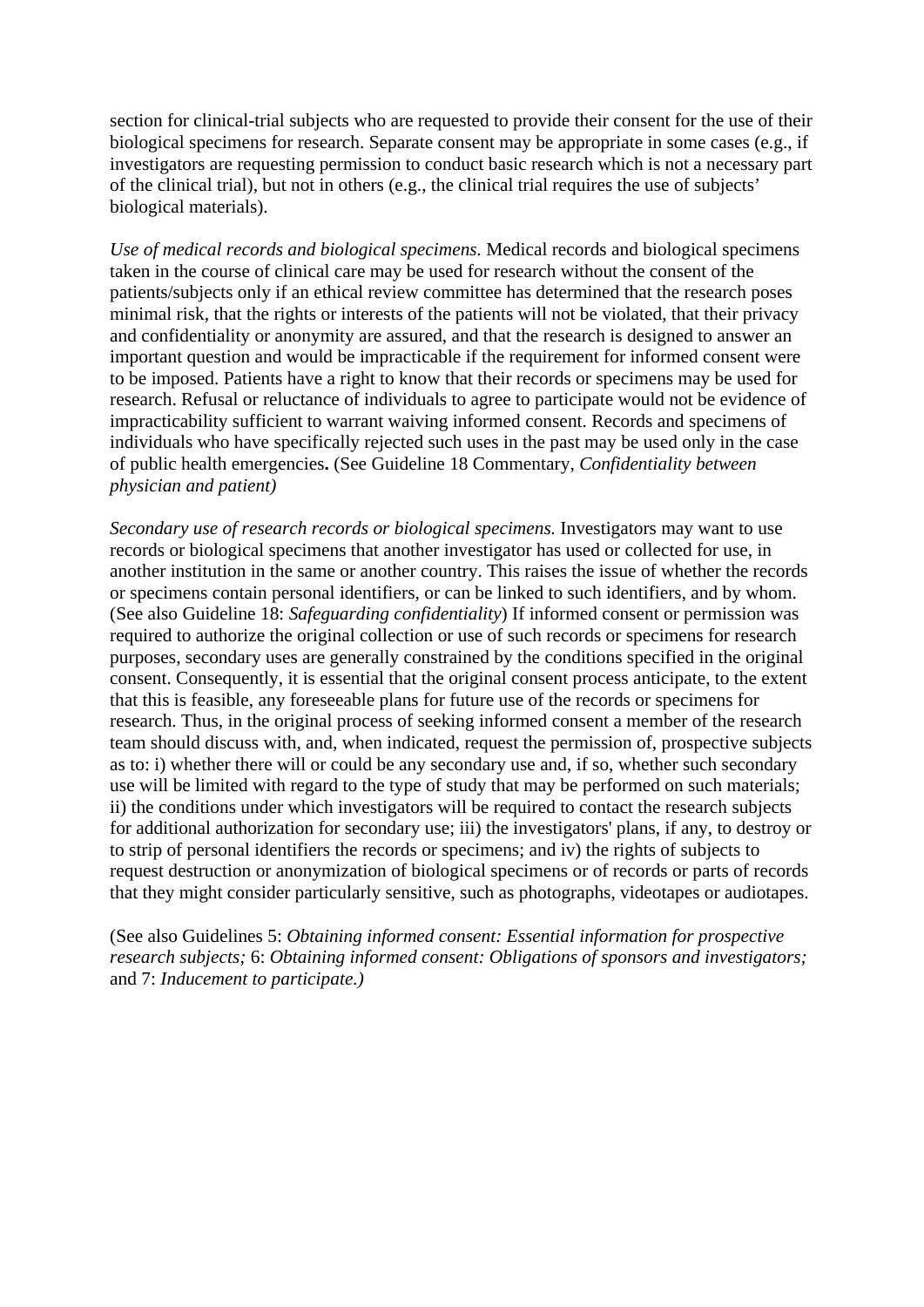section for clinical-trial subjects who are requested to provide their consent for the use of their biological specimens for research. Separate consent may be appropriate in some cases (e.g., if investigators are requesting permission to conduct basic research which is not a necessary part of the clinical trial), but not in others (e.g., the clinical trial requires the use of subjects' biological materials).

*Use of medical records and biological specimens.* Medical records and biological specimens taken in the course of clinical care may be used for research without the consent of the patients/subjects only if an ethical review committee has determined that the research poses minimal risk, that the rights or interests of the patients will not be violated, that their privacy and confidentiality or anonymity are assured, and that the research is designed to answer an important question and would be impracticable if the requirement for informed consent were to be imposed. Patients have a right to know that their records or specimens may be used for research. Refusal or reluctance of individuals to agree to participate would not be evidence of impracticability sufficient to warrant waiving informed consent. Records and specimens of individuals who have specifically rejected such uses in the past may be used only in the case of public health emergencies**.** (See Guideline 18 Commentary, *Confidentiality between physician and patient)*

*Secondary use of research records or biological specimens.* Investigators may want to use records or biological specimens that another investigator has used or collected for use, in another institution in the same or another country. This raises the issue of whether the records or specimens contain personal identifiers, or can be linked to such identifiers, and by whom. (See also Guideline 18: *Safeguarding confidentiality*) If informed consent or permission was required to authorize the original collection or use of such records or specimens for research purposes, secondary uses are generally constrained by the conditions specified in the original consent. Consequently, it is essential that the original consent process anticipate, to the extent that this is feasible, any foreseeable plans for future use of the records or specimens for research. Thus, in the original process of seeking informed consent a member of the research team should discuss with, and, when indicated, request the permission of, prospective subjects as to: i) whether there will or could be any secondary use and, if so, whether such secondary use will be limited with regard to the type of study that may be performed on such materials; ii) the conditions under which investigators will be required to contact the research subjects for additional authorization for secondary use; iii) the investigators' plans, if any, to destroy or to strip of personal identifiers the records or specimens; and iv) the rights of subjects to request destruction or anonymization of biological specimens or of records or parts of records that they might consider particularly sensitive, such as photographs, videotapes or audiotapes.

(See also Guidelines 5: *Obtaining informed consent: Essential information for prospective research subjects;* 6: *Obtaining informed consent: Obligations of sponsors and investigators;*  and 7: *Inducement to participate.)*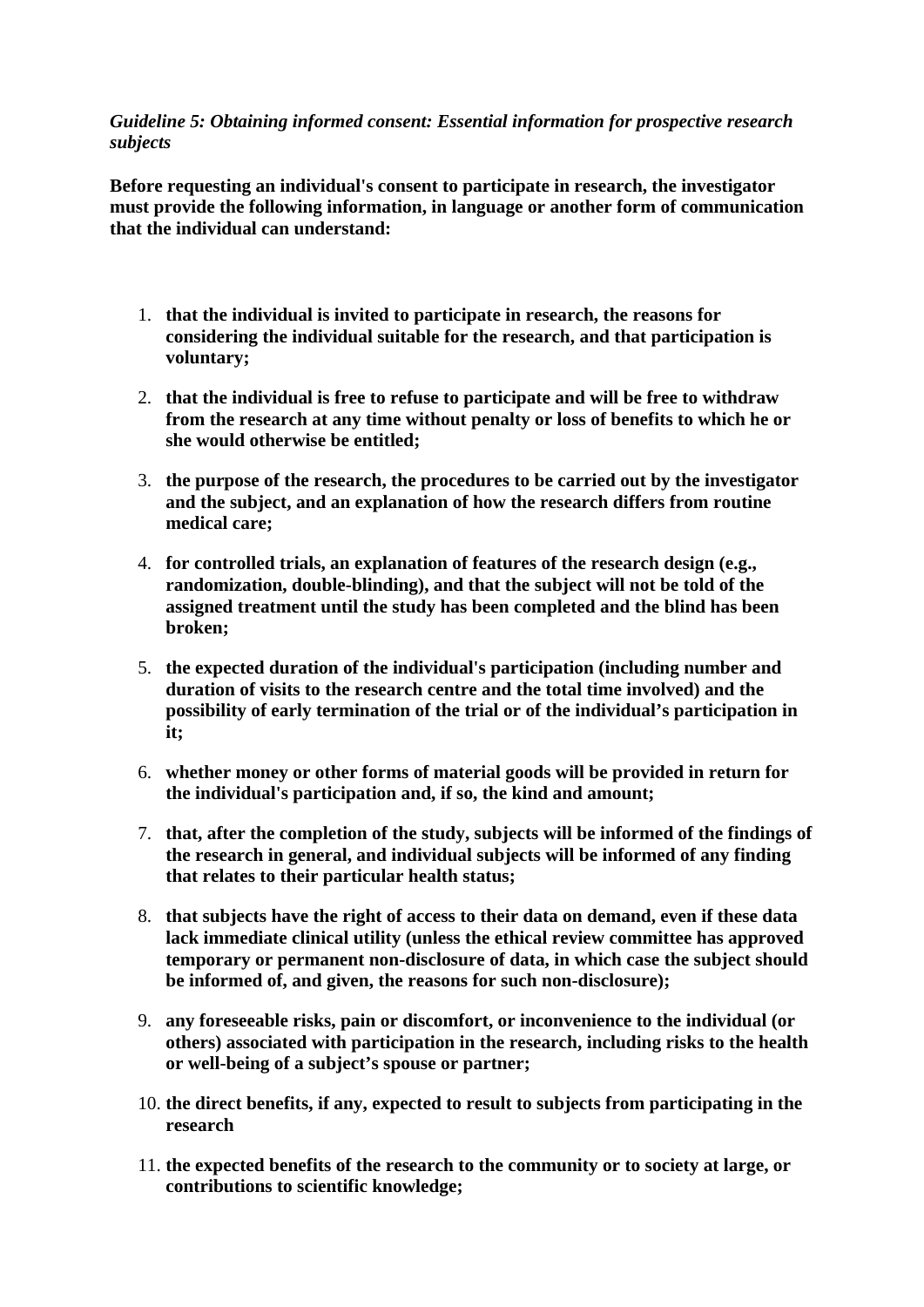# *Guideline 5: Obtaining informed consent: Essential information for prospective research subjects*

**Before requesting an individual's consent to participate in research, the investigator must provide the following information, in language or another form of communication that the individual can understand:**

- 1. **that the individual is invited to participate in research, the reasons for considering the individual suitable for the research, and that participation is voluntary;**
- 2. **that the individual is free to refuse to participate and will be free to withdraw from the research at any time without penalty or loss of benefits to which he or she would otherwise be entitled;**
- 3. **the purpose of the research, the procedures to be carried out by the investigator and the subject, and an explanation of how the research differs from routine medical care;**
- 4. **for controlled trials, an explanation of features of the research design (e.g., randomization, double-blinding), and that the subject will not be told of the assigned treatment until the study has been completed and the blind has been broken;**
- 5. **the expected duration of the individual's participation (including number and duration of visits to the research centre and the total time involved) and the possibility of early termination of the trial or of the individual's participation in it;**
- 6. **whether money or other forms of material goods will be provided in return for the individual's participation and, if so, the kind and amount;**
- 7. **that, after the completion of the study, subjects will be informed of the findings of the research in general, and individual subjects will be informed of any finding that relates to their particular health status;**
- 8. **that subjects have the right of access to their data on demand, even if these data lack immediate clinical utility (unless the ethical review committee has approved temporary or permanent non-disclosure of data, in which case the subject should be informed of, and given, the reasons for such non-disclosure);**
- 9. **any foreseeable risks, pain or discomfort, or inconvenience to the individual (or others) associated with participation in the research, including risks to the health or well-being of a subject's spouse or partner;**
- 10. **the direct benefits, if any, expected to result to subjects from participating in the research**
- 11. **the expected benefits of the research to the community or to society at large, or contributions to scientific knowledge;**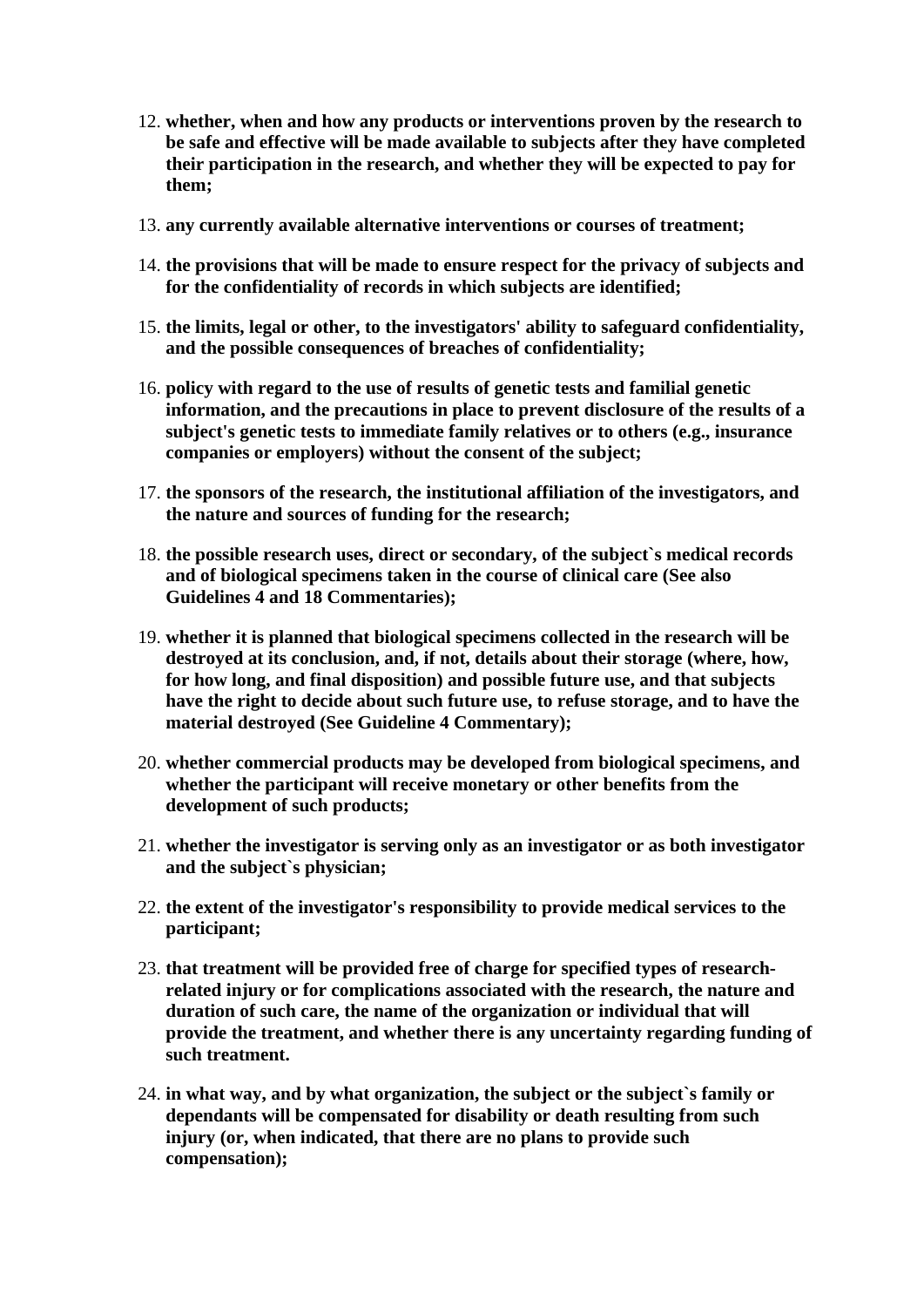- 12. **whether, when and how any products or interventions proven by the research to be safe and effective will be made available to subjects after they have completed their participation in the research, and whether they will be expected to pay for them;**
- 13. **any currently available alternative interventions or courses of treatment;**
- 14. **the provisions that will be made to ensure respect for the privacy of subjects and for the confidentiality of records in which subjects are identified;**
- 15. **the limits, legal or other, to the investigators' ability to safeguard confidentiality, and the possible consequences of breaches of confidentiality;**
- 16. **policy with regard to the use of results of genetic tests and familial genetic information, and the precautions in place to prevent disclosure of the results of a subject's genetic tests to immediate family relatives or to others (e.g., insurance companies or employers) without the consent of the subject;**
- 17. **the sponsors of the research, the institutional affiliation of the investigators, and the nature and sources of funding for the research;**
- 18. **the possible research uses, direct or secondary, of the subject`s medical records and of biological specimens taken in the course of clinical care (See also Guidelines 4 and 18 Commentaries);**
- 19. **whether it is planned that biological specimens collected in the research will be destroyed at its conclusion, and, if not, details about their storage (where, how, for how long, and final disposition) and possible future use, and that subjects have the right to decide about such future use, to refuse storage, and to have the material destroyed (See Guideline 4 Commentary);**
- 20. **whether commercial products may be developed from biological specimens, and whether the participant will receive monetary or other benefits from the development of such products;**
- 21. **whether the investigator is serving only as an investigator or as both investigator and the subject`s physician;**
- 22. **the extent of the investigator's responsibility to provide medical services to the participant;**
- 23. **that treatment will be provided free of charge for specified types of researchrelated injury or for complications associated with the research, the nature and duration of such care, the name of the organization or individual that will provide the treatment, and whether there is any uncertainty regarding funding of such treatment.**
- 24. **in what way, and by what organization, the subject or the subject`s family or dependants will be compensated for disability or death resulting from such injury (or, when indicated, that there are no plans to provide such compensation);**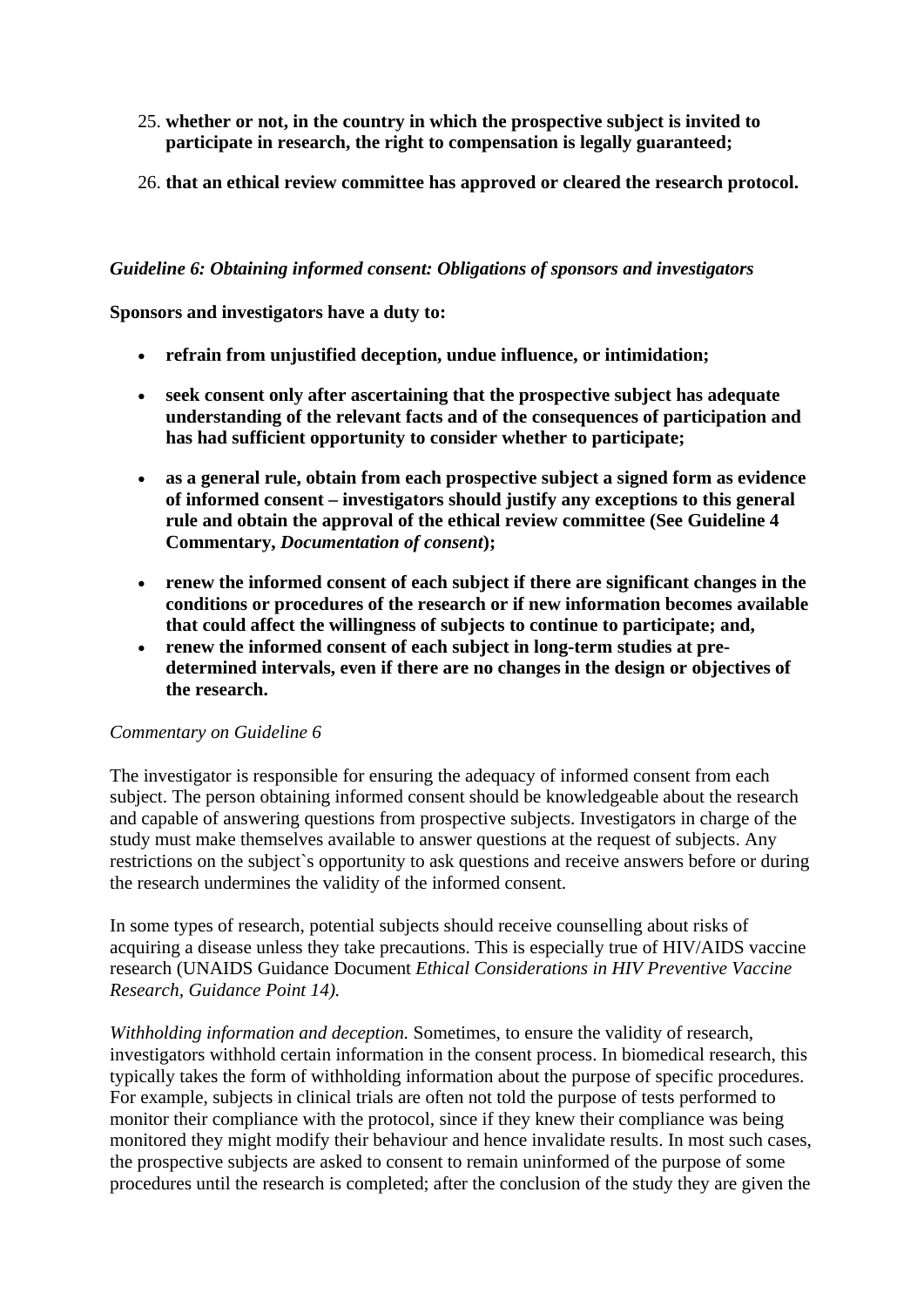- 25. **whether or not, in the country in which the prospective subject is invited to participate in research, the right to compensation is legally guaranteed;**
- 26. **that an ethical review committee has approved or cleared the research protocol.**

#### *Guideline 6: Obtaining informed consent: Obligations of sponsors and investigators*

#### **Sponsors and investigators have a duty to:**

- **refrain from unjustified deception, undue influence, or intimidation;**
- **seek consent only after ascertaining that the prospective subject has adequate understanding of the relevant facts and of the consequences of participation and has had sufficient opportunity to consider whether to participate;**
- **as a general rule, obtain from each prospective subject a signed form as evidence of informed consent – investigators should justify any exceptions to this general rule and obtain the approval of the ethical review committee (See Guideline 4 Commentary,** *Documentation of consent***);**
- **renew the informed consent of each subject if there are significant changes in the conditions or procedures of the research or if new information becomes available that could affect the willingness of subjects to continue to participate; and,**
- **renew the informed consent of each subject in long-term studies at predetermined intervals, even if there are no changes in the design or objectives of the research.**

#### *Commentary on Guideline 6*

The investigator is responsible for ensuring the adequacy of informed consent from each subject. The person obtaining informed consent should be knowledgeable about the research and capable of answering questions from prospective subjects. Investigators in charge of the study must make themselves available to answer questions at the request of subjects. Any restrictions on the subject`s opportunity to ask questions and receive answers before or during the research undermines the validity of the informed consent.

In some types of research, potential subjects should receive counselling about risks of acquiring a disease unless they take precautions. This is especially true of HIV/AIDS vaccine research (UNAIDS Guidance Document *Ethical Considerations in HIV Preventive Vaccine Research, Guidance Point 14).*

*Withholding information and deception.* Sometimes, to ensure the validity of research, investigators withhold certain information in the consent process. In biomedical research, this typically takes the form of withholding information about the purpose of specific procedures. For example, subjects in clinical trials are often not told the purpose of tests performed to monitor their compliance with the protocol, since if they knew their compliance was being monitored they might modify their behaviour and hence invalidate results. In most such cases, the prospective subjects are asked to consent to remain uninformed of the purpose of some procedures until the research is completed; after the conclusion of the study they are given the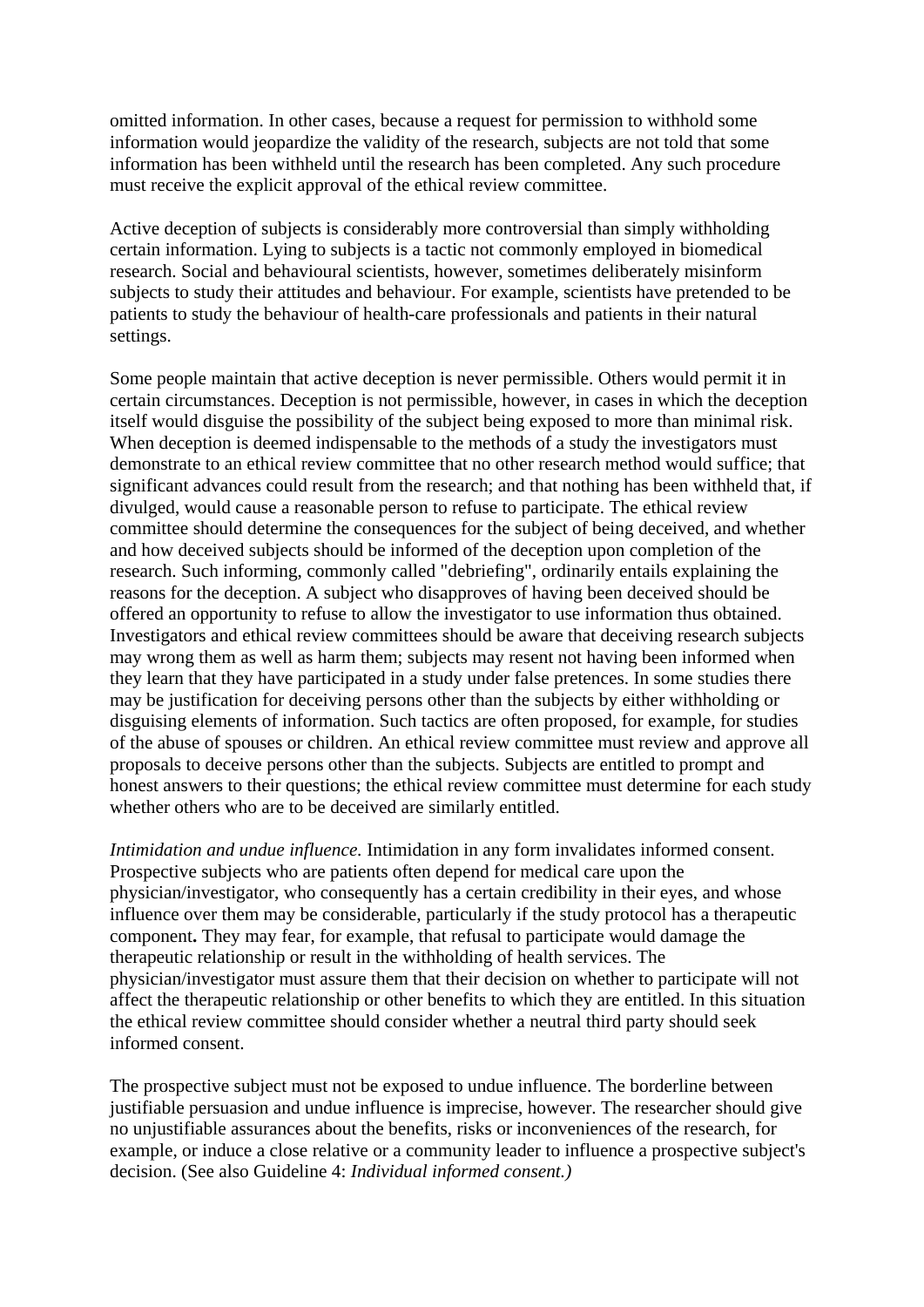omitted information. In other cases, because a request for permission to withhold some information would jeopardize the validity of the research, subjects are not told that some information has been withheld until the research has been completed. Any such procedure must receive the explicit approval of the ethical review committee.

Active deception of subjects is considerably more controversial than simply withholding certain information. Lying to subjects is a tactic not commonly employed in biomedical research. Social and behavioural scientists, however, sometimes deliberately misinform subjects to study their attitudes and behaviour. For example, scientists have pretended to be patients to study the behaviour of health-care professionals and patients in their natural settings.

Some people maintain that active deception is never permissible. Others would permit it in certain circumstances. Deception is not permissible, however, in cases in which the deception itself would disguise the possibility of the subject being exposed to more than minimal risk. When deception is deemed indispensable to the methods of a study the investigators must demonstrate to an ethical review committee that no other research method would suffice; that significant advances could result from the research; and that nothing has been withheld that, if divulged, would cause a reasonable person to refuse to participate. The ethical review committee should determine the consequences for the subject of being deceived, and whether and how deceived subjects should be informed of the deception upon completion of the research. Such informing, commonly called "debriefing", ordinarily entails explaining the reasons for the deception. A subject who disapproves of having been deceived should be offered an opportunity to refuse to allow the investigator to use information thus obtained. Investigators and ethical review committees should be aware that deceiving research subjects may wrong them as well as harm them; subjects may resent not having been informed when they learn that they have participated in a study under false pretences. In some studies there may be justification for deceiving persons other than the subjects by either withholding or disguising elements of information. Such tactics are often proposed, for example, for studies of the abuse of spouses or children. An ethical review committee must review and approve all proposals to deceive persons other than the subjects. Subjects are entitled to prompt and honest answers to their questions; the ethical review committee must determine for each study whether others who are to be deceived are similarly entitled.

*Intimidation and undue influence.* Intimidation in any form invalidates informed consent. Prospective subjects who are patients often depend for medical care upon the physician/investigator, who consequently has a certain credibility in their eyes, and whose influence over them may be considerable, particularly if the study protocol has a therapeutic component**.** They may fear, for example, that refusal to participate would damage the therapeutic relationship or result in the withholding of health services. The physician/investigator must assure them that their decision on whether to participate will not affect the therapeutic relationship or other benefits to which they are entitled. In this situation the ethical review committee should consider whether a neutral third party should seek informed consent.

The prospective subject must not be exposed to undue influence. The borderline between justifiable persuasion and undue influence is imprecise, however. The researcher should give no unjustifiable assurances about the benefits, risks or inconveniences of the research, for example, or induce a close relative or a community leader to influence a prospective subject's decision. (See also Guideline 4: *Individual informed consent.)*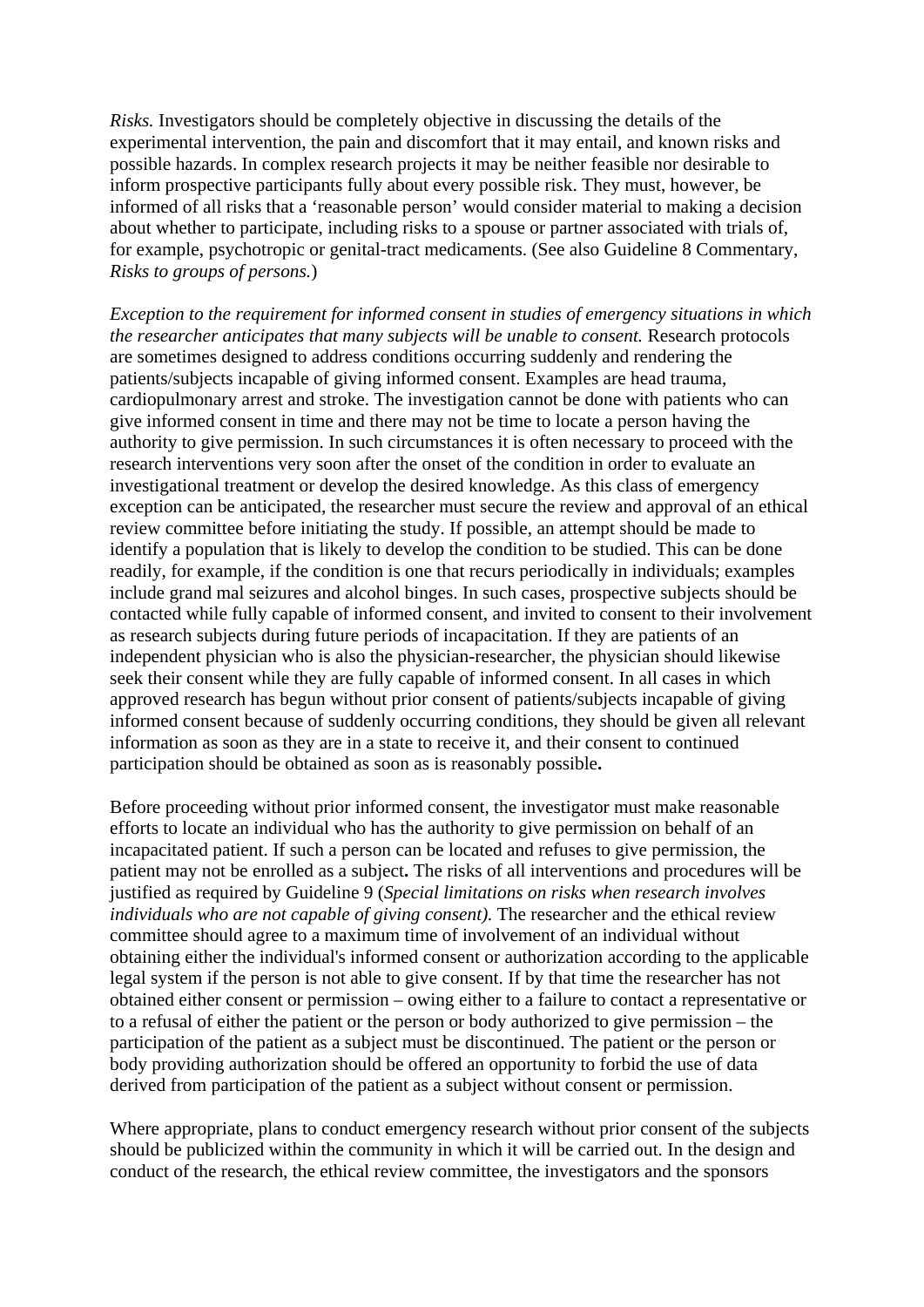*Risks.* Investigators should be completely objective in discussing the details of the experimental intervention, the pain and discomfort that it may entail, and known risks and possible hazards. In complex research projects it may be neither feasible nor desirable to inform prospective participants fully about every possible risk. They must, however, be informed of all risks that a 'reasonable person' would consider material to making a decision about whether to participate, including risks to a spouse or partner associated with trials of, for example, psychotropic or genital-tract medicaments. (See also Guideline 8 Commentary, *Risks to groups of persons.*)

*Exception to the requirement for informed consent in studies of emergency situations in which the researcher anticipates that many subjects will be unable to consent.* Research protocols are sometimes designed to address conditions occurring suddenly and rendering the patients/subjects incapable of giving informed consent. Examples are head trauma, cardiopulmonary arrest and stroke. The investigation cannot be done with patients who can give informed consent in time and there may not be time to locate a person having the authority to give permission. In such circumstances it is often necessary to proceed with the research interventions very soon after the onset of the condition in order to evaluate an investigational treatment or develop the desired knowledge. As this class of emergency exception can be anticipated, the researcher must secure the review and approval of an ethical review committee before initiating the study. If possible, an attempt should be made to identify a population that is likely to develop the condition to be studied. This can be done readily, for example, if the condition is one that recurs periodically in individuals; examples include grand mal seizures and alcohol binges. In such cases, prospective subjects should be contacted while fully capable of informed consent, and invited to consent to their involvement as research subjects during future periods of incapacitation. If they are patients of an independent physician who is also the physician-researcher, the physician should likewise seek their consent while they are fully capable of informed consent. In all cases in which approved research has begun without prior consent of patients/subjects incapable of giving informed consent because of suddenly occurring conditions, they should be given all relevant information as soon as they are in a state to receive it, and their consent to continued participation should be obtained as soon as is reasonably possible**.**

Before proceeding without prior informed consent, the investigator must make reasonable efforts to locate an individual who has the authority to give permission on behalf of an incapacitated patient. If such a person can be located and refuses to give permission, the patient may not be enrolled as a subject**.** The risks of all interventions and procedures will be justified as required by Guideline 9 (*Special limitations on risks when research involves individuals who are not capable of giving consent).* The researcher and the ethical review committee should agree to a maximum time of involvement of an individual without obtaining either the individual's informed consent or authorization according to the applicable legal system if the person is not able to give consent. If by that time the researcher has not obtained either consent or permission – owing either to a failure to contact a representative or to a refusal of either the patient or the person or body authorized to give permission – the participation of the patient as a subject must be discontinued. The patient or the person or body providing authorization should be offered an opportunity to forbid the use of data derived from participation of the patient as a subject without consent or permission.

Where appropriate, plans to conduct emergency research without prior consent of the subjects should be publicized within the community in which it will be carried out. In the design and conduct of the research, the ethical review committee, the investigators and the sponsors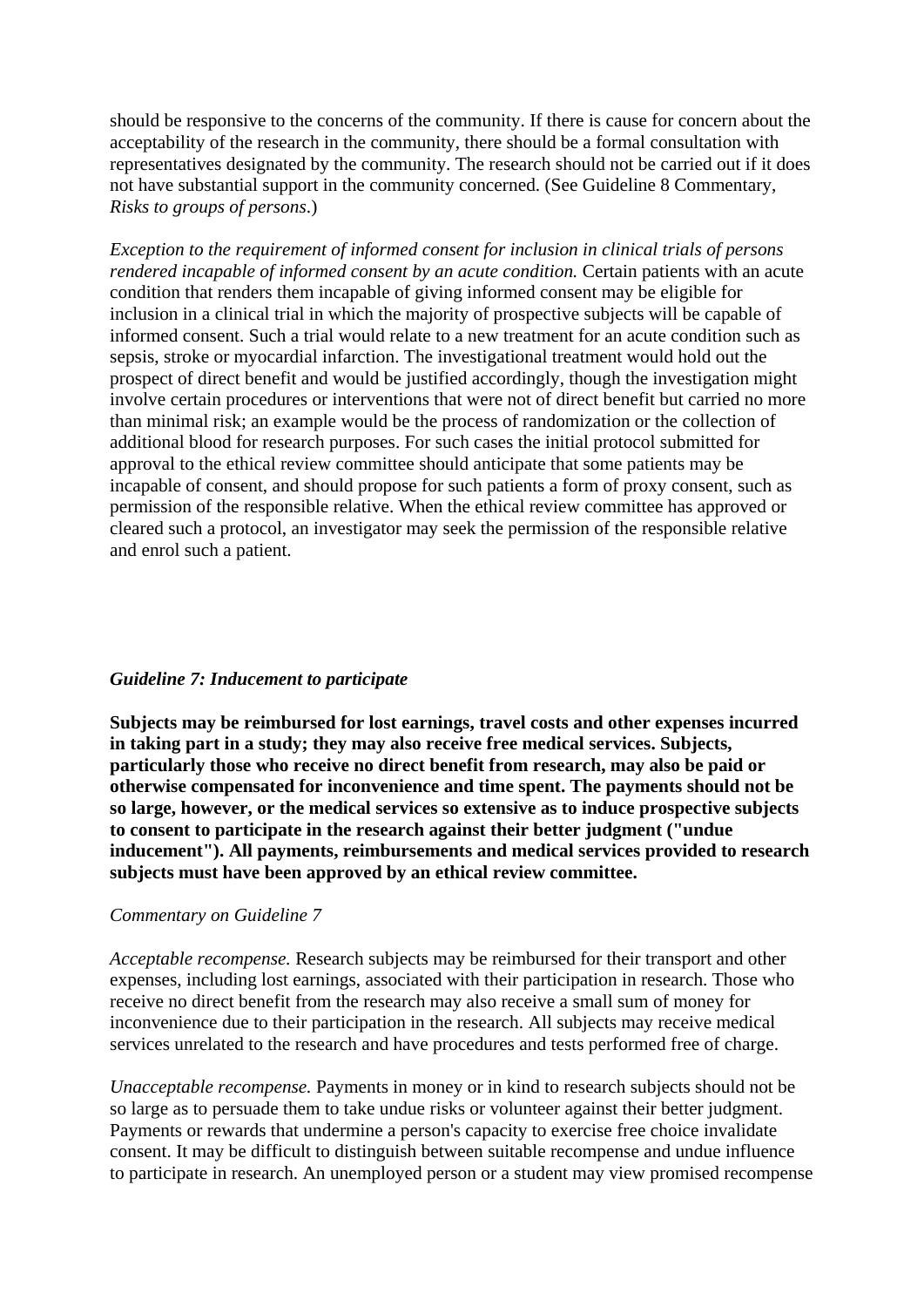should be responsive to the concerns of the community. If there is cause for concern about the acceptability of the research in the community, there should be a formal consultation with representatives designated by the community. The research should not be carried out if it does not have substantial support in the community concerned. (See Guideline 8 Commentary, *Risks to groups of persons*.)

*Exception to the requirement of informed consent for inclusion in clinical trials of persons rendered incapable of informed consent by an acute condition.* Certain patients with an acute condition that renders them incapable of giving informed consent may be eligible for inclusion in a clinical trial in which the majority of prospective subjects will be capable of informed consent. Such a trial would relate to a new treatment for an acute condition such as sepsis, stroke or myocardial infarction. The investigational treatment would hold out the prospect of direct benefit and would be justified accordingly, though the investigation might involve certain procedures or interventions that were not of direct benefit but carried no more than minimal risk; an example would be the process of randomization or the collection of additional blood for research purposes. For such cases the initial protocol submitted for approval to the ethical review committee should anticipate that some patients may be incapable of consent, and should propose for such patients a form of proxy consent, such as permission of the responsible relative. When the ethical review committee has approved or cleared such a protocol, an investigator may seek the permission of the responsible relative and enrol such a patient.

#### *Guideline 7: Inducement to participate*

**Subjects may be reimbursed for lost earnings, travel costs and other expenses incurred in taking part in a study; they may also receive free medical services. Subjects, particularly those who receive no direct benefit from research, may also be paid or otherwise compensated for inconvenience and time spent. The payments should not be so large, however, or the medical services so extensive as to induce prospective subjects to consent to participate in the research against their better judgment ("undue inducement"). All payments, reimbursements and medical services provided to research subjects must have been approved by an ethical review committee.**

#### *Commentary on Guideline 7*

*Acceptable recompense.* Research subjects may be reimbursed for their transport and other expenses, including lost earnings, associated with their participation in research. Those who receive no direct benefit from the research may also receive a small sum of money for inconvenience due to their participation in the research. All subjects may receive medical services unrelated to the research and have procedures and tests performed free of charge.

*Unacceptable recompense.* Payments in money or in kind to research subjects should not be so large as to persuade them to take undue risks or volunteer against their better judgment. Payments or rewards that undermine a person's capacity to exercise free choice invalidate consent. It may be difficult to distinguish between suitable recompense and undue influence to participate in research. An unemployed person or a student may view promised recompense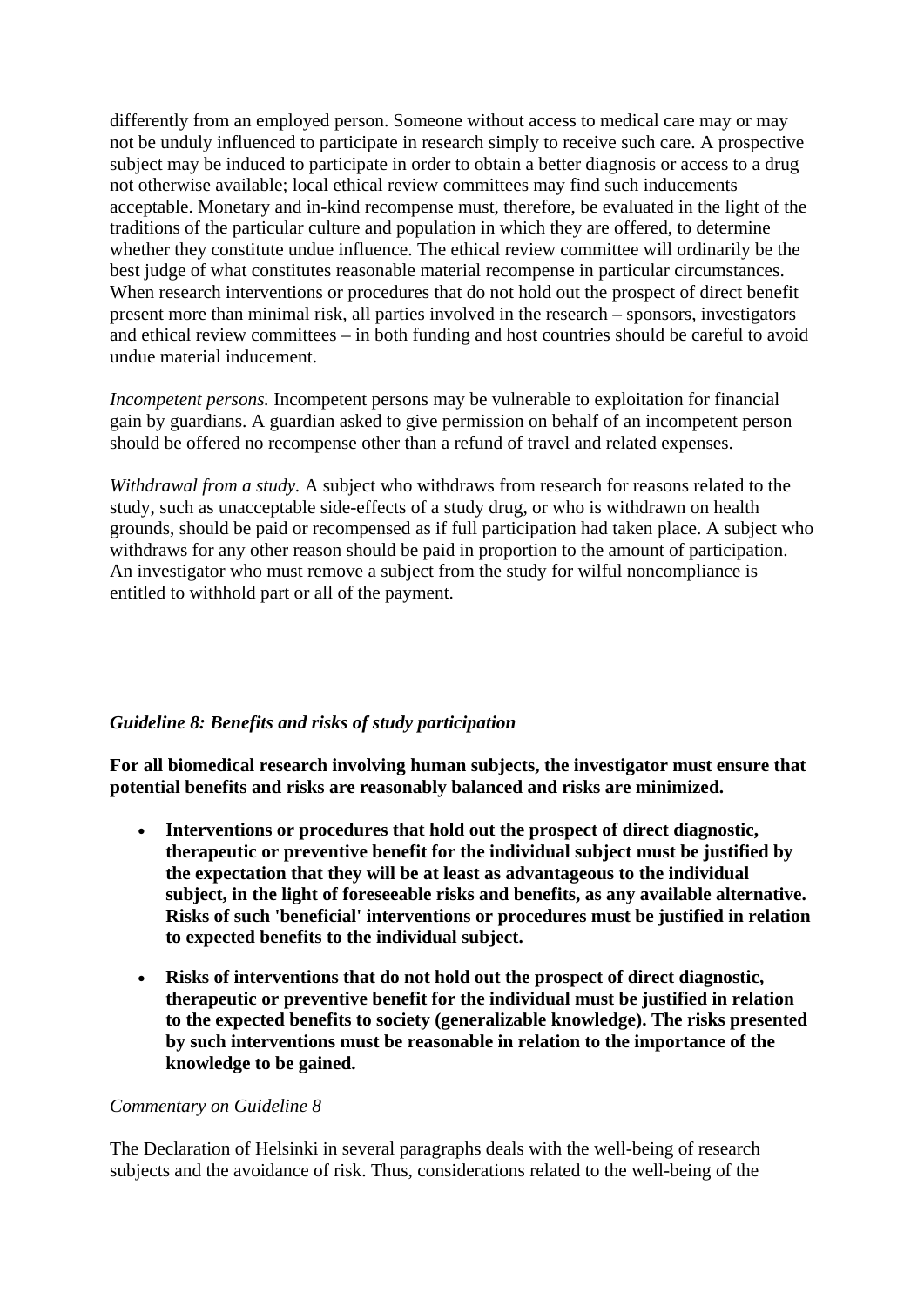differently from an employed person. Someone without access to medical care may or may not be unduly influenced to participate in research simply to receive such care. A prospective subject may be induced to participate in order to obtain a better diagnosis or access to a drug not otherwise available; local ethical review committees may find such inducements acceptable. Monetary and in-kind recompense must, therefore, be evaluated in the light of the traditions of the particular culture and population in which they are offered, to determine whether they constitute undue influence. The ethical review committee will ordinarily be the best judge of what constitutes reasonable material recompense in particular circumstances. When research interventions or procedures that do not hold out the prospect of direct benefit present more than minimal risk, all parties involved in the research – sponsors, investigators and ethical review committees – in both funding and host countries should be careful to avoid undue material inducement.

*Incompetent persons.* Incompetent persons may be vulnerable to exploitation for financial gain by guardians. A guardian asked to give permission on behalf of an incompetent person should be offered no recompense other than a refund of travel and related expenses.

*Withdrawal from a study.* A subject who withdraws from research for reasons related to the study, such as unacceptable side-effects of a study drug, or who is withdrawn on health grounds, should be paid or recompensed as if full participation had taken place. A subject who withdraws for any other reason should be paid in proportion to the amount of participation. An investigator who must remove a subject from the study for wilful noncompliance is entitled to withhold part or all of the payment.

# *Guideline 8: Benefits and risks of study participation*

**For all biomedical research involving human subjects, the investigator must ensure that potential benefits and risks are reasonably balanced and risks are minimized.**

- **Interventions or procedures that hold out the prospect of direct diagnostic, therapeutic or preventive benefit for the individual subject must be justified by the expectation that they will be at least as advantageous to the individual subject, in the light of foreseeable risks and benefits, as any available alternative. Risks of such 'beneficial' interventions or procedures must be justified in relation to expected benefits to the individual subject.**
- **Risks of interventions that do not hold out the prospect of direct diagnostic, therapeutic or preventive benefit for the individual must be justified in relation to the expected benefits to society (generalizable knowledge). The risks presented by such interventions must be reasonable in relation to the importance of the knowledge to be gained.**

#### *Commentary on Guideline 8*

The Declaration of Helsinki in several paragraphs deals with the well-being of research subjects and the avoidance of risk. Thus, considerations related to the well-being of the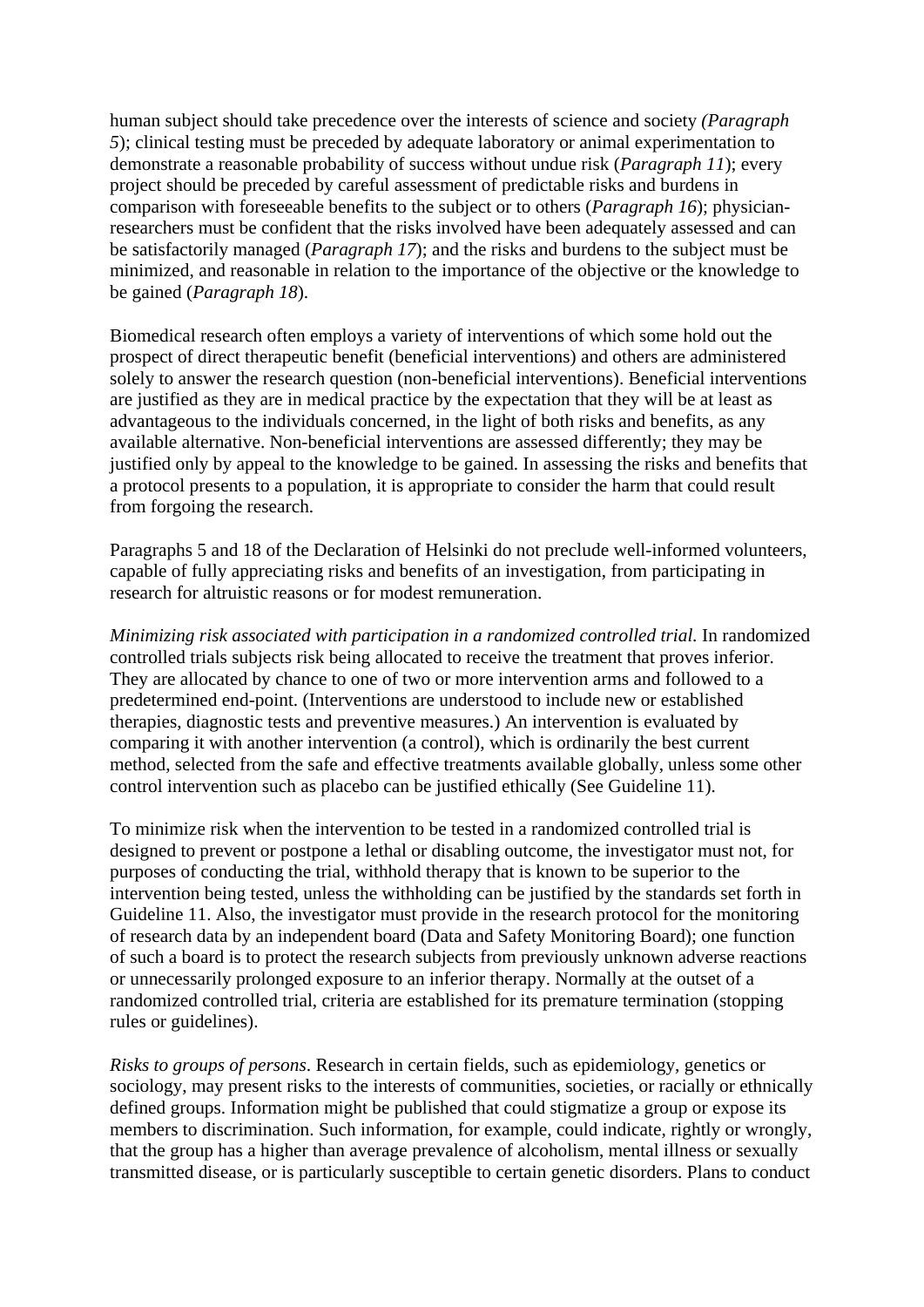human subject should take precedence over the interests of science and society *(Paragraph 5*); clinical testing must be preceded by adequate laboratory or animal experimentation to demonstrate a reasonable probability of success without undue risk (*Paragraph 11*); every project should be preceded by careful assessment of predictable risks and burdens in comparison with foreseeable benefits to the subject or to others (*Paragraph 16*); physicianresearchers must be confident that the risks involved have been adequately assessed and can be satisfactorily managed (*Paragraph 17*); and the risks and burdens to the subject must be minimized, and reasonable in relation to the importance of the objective or the knowledge to be gained (*Paragraph 18*).

Biomedical research often employs a variety of interventions of which some hold out the prospect of direct therapeutic benefit (beneficial interventions) and others are administered solely to answer the research question (non-beneficial interventions). Beneficial interventions are justified as they are in medical practice by the expectation that they will be at least as advantageous to the individuals concerned, in the light of both risks and benefits, as any available alternative. Non-beneficial interventions are assessed differently; they may be justified only by appeal to the knowledge to be gained. In assessing the risks and benefits that a protocol presents to a population, it is appropriate to consider the harm that could result from forgoing the research.

Paragraphs 5 and 18 of the Declaration of Helsinki do not preclude well-informed volunteers, capable of fully appreciating risks and benefits of an investigation, from participating in research for altruistic reasons or for modest remuneration.

*Minimizing risk associated with participation in a randomized controlled trial.* In randomized controlled trials subjects risk being allocated to receive the treatment that proves inferior. They are allocated by chance to one of two or more intervention arms and followed to a predetermined end-point. (Interventions are understood to include new or established therapies, diagnostic tests and preventive measures.) An intervention is evaluated by comparing it with another intervention (a control), which is ordinarily the best current method, selected from the safe and effective treatments available globally, unless some other control intervention such as placebo can be justified ethically (See Guideline 11).

To minimize risk when the intervention to be tested in a randomized controlled trial is designed to prevent or postpone a lethal or disabling outcome, the investigator must not, for purposes of conducting the trial, withhold therapy that is known to be superior to the intervention being tested, unless the withholding can be justified by the standards set forth in Guideline 11. Also, the investigator must provide in the research protocol for the monitoring of research data by an independent board (Data and Safety Monitoring Board); one function of such a board is to protect the research subjects from previously unknown adverse reactions or unnecessarily prolonged exposure to an inferior therapy. Normally at the outset of a randomized controlled trial, criteria are established for its premature termination (stopping rules or guidelines).

*Risks to groups of persons*. Research in certain fields, such as epidemiology, genetics or sociology, may present risks to the interests of communities, societies, or racially or ethnically defined groups. Information might be published that could stigmatize a group or expose its members to discrimination. Such information, for example, could indicate, rightly or wrongly, that the group has a higher than average prevalence of alcoholism, mental illness or sexually transmitted disease, or is particularly susceptible to certain genetic disorders. Plans to conduct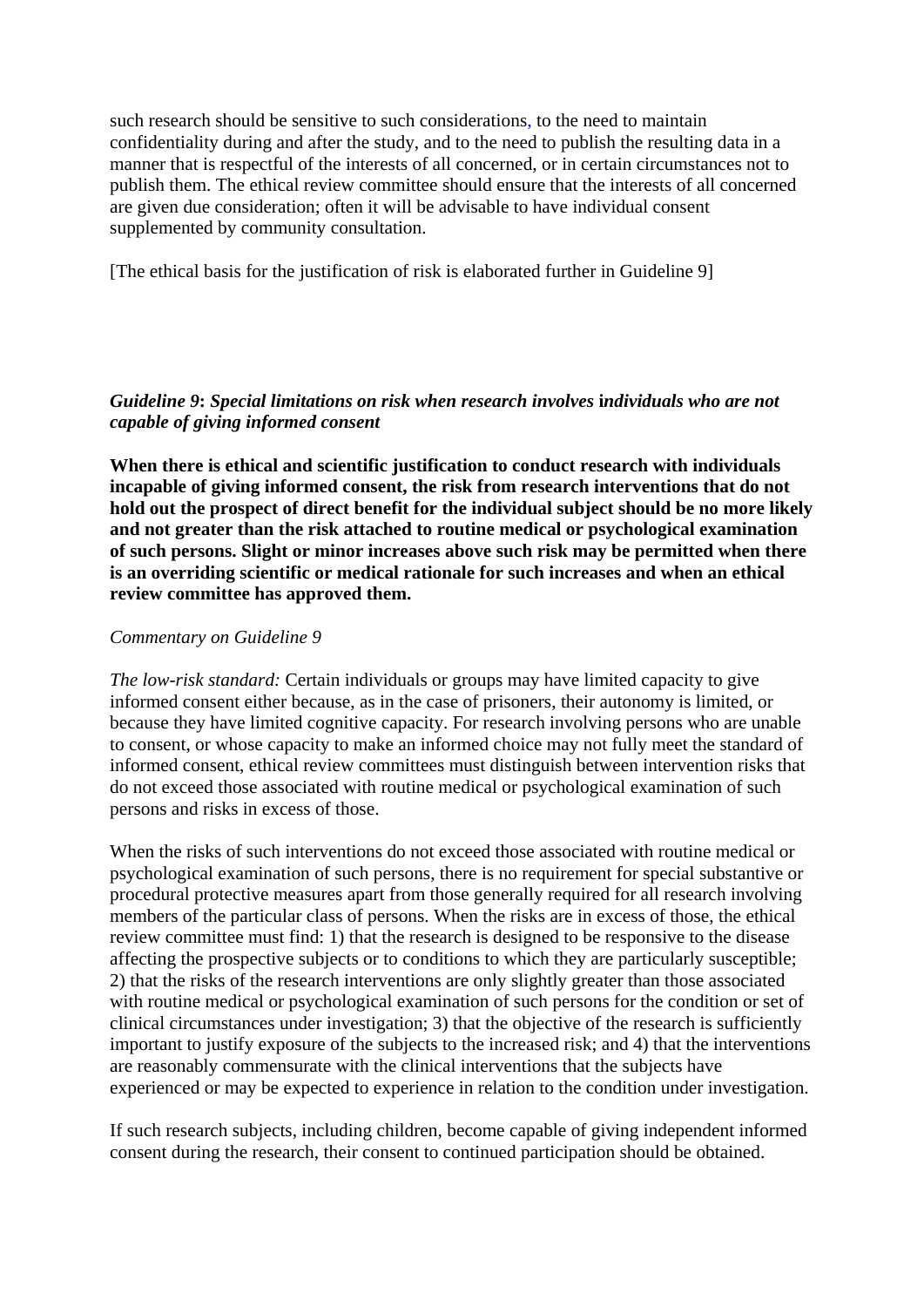such research should be sensitive to such considerations, to the need to maintain confidentiality during and after the study, and to the need to publish the resulting data in a manner that is respectful of the interests of all concerned, or in certain circumstances not to publish them. The ethical review committee should ensure that the interests of all concerned are given due consideration; often it will be advisable to have individual consent supplemented by community consultation.

[The ethical basis for the justification of risk is elaborated further in Guideline 9]

### *Guideline 9***:** *Special limitations on risk when research involves* **i***ndividuals who are not capable of giving informed consent*

**When there is ethical and scientific justification to conduct research with individuals incapable of giving informed consent, the risk from research interventions that do not hold out the prospect of direct benefit for the individual subject should be no more likely and not greater than the risk attached to routine medical or psychological examination of such persons. Slight or minor increases above such risk may be permitted when there is an overriding scientific or medical rationale for such increases and when an ethical review committee has approved them.**

#### *Commentary on Guideline 9*

*The low-risk standard:* Certain individuals or groups may have limited capacity to give informed consent either because, as in the case of prisoners, their autonomy is limited, or because they have limited cognitive capacity. For research involving persons who are unable to consent, or whose capacity to make an informed choice may not fully meet the standard of informed consent, ethical review committees must distinguish between intervention risks that do not exceed those associated with routine medical or psychological examination of such persons and risks in excess of those.

When the risks of such interventions do not exceed those associated with routine medical or psychological examination of such persons, there is no requirement for special substantive or procedural protective measures apart from those generally required for all research involving members of the particular class of persons. When the risks are in excess of those, the ethical review committee must find: 1) that the research is designed to be responsive to the disease affecting the prospective subjects or to conditions to which they are particularly susceptible; 2) that the risks of the research interventions are only slightly greater than those associated with routine medical or psychological examination of such persons for the condition or set of clinical circumstances under investigation; 3) that the objective of the research is sufficiently important to justify exposure of the subjects to the increased risk; and 4) that the interventions are reasonably commensurate with the clinical interventions that the subjects have experienced or may be expected to experience in relation to the condition under investigation.

If such research subjects, including children, become capable of giving independent informed consent during the research, their consent to continued participation should be obtained.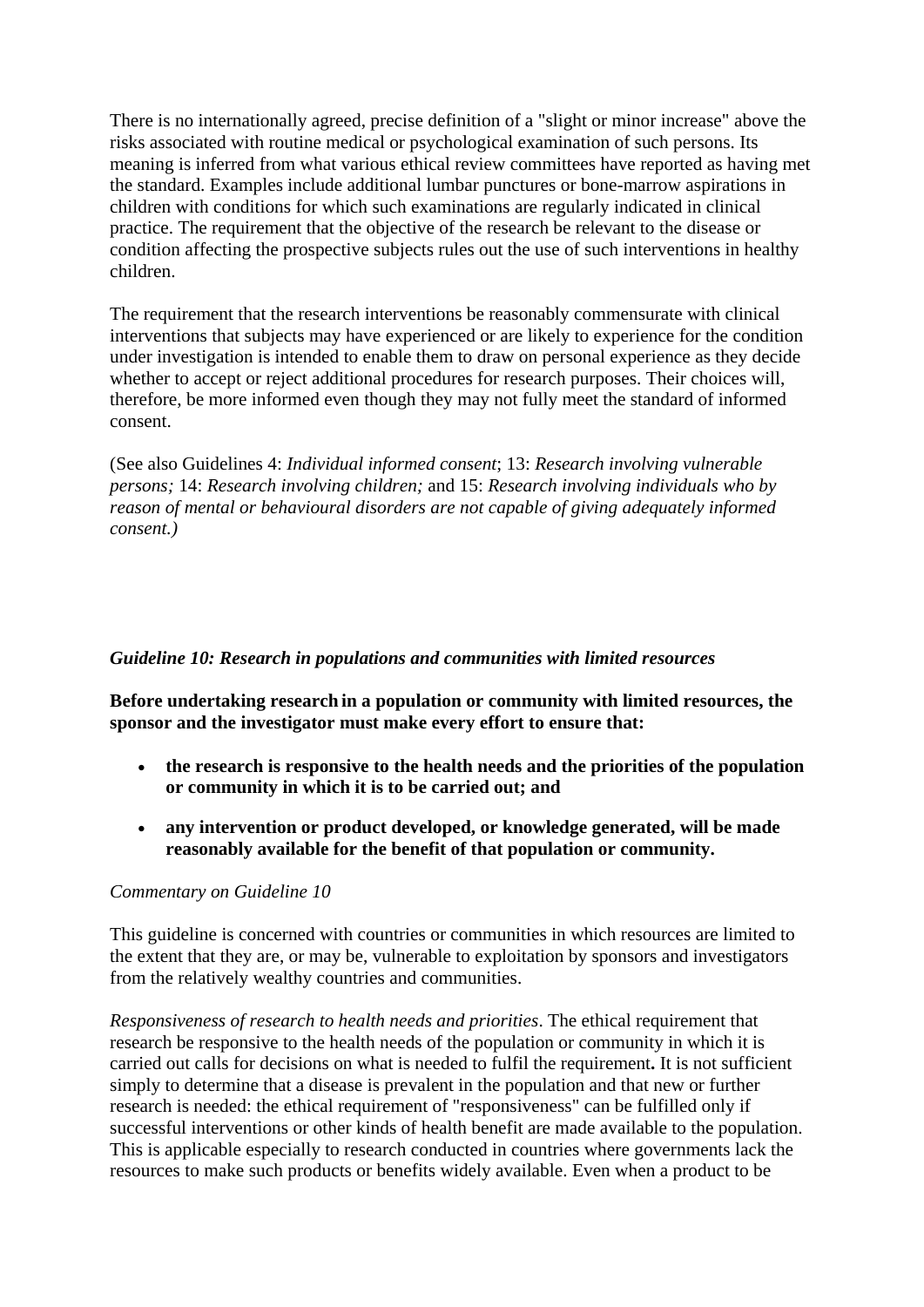There is no internationally agreed, precise definition of a "slight or minor increase" above the risks associated with routine medical or psychological examination of such persons. Its meaning is inferred from what various ethical review committees have reported as having met the standard. Examples include additional lumbar punctures or bone-marrow aspirations in children with conditions for which such examinations are regularly indicated in clinical practice. The requirement that the objective of the research be relevant to the disease or condition affecting the prospective subjects rules out the use of such interventions in healthy children.

The requirement that the research interventions be reasonably commensurate with clinical interventions that subjects may have experienced or are likely to experience for the condition under investigation is intended to enable them to draw on personal experience as they decide whether to accept or reject additional procedures for research purposes. Their choices will, therefore, be more informed even though they may not fully meet the standard of informed consent.

(See also Guidelines 4: *Individual informed consent*; 13: *Research involving vulnerable persons;* 14: *Research involving children;* and 15: *Research involving individuals who by reason of mental or behavioural disorders are not capable of giving adequately informed consent.)*

#### *Guideline 10: Research in populations and communities with limited resources*

**Before undertaking research in a population or community with limited resources, the sponsor and the investigator must make every effort to ensure that:**

- **the research is responsive to the health needs and the priorities of the population or community in which it is to be carried out; and**
- **any intervention or product developed, or knowledge generated, will be made reasonably available for the benefit of that population or community.**

#### *Commentary on Guideline 10*

This guideline is concerned with countries or communities in which resources are limited to the extent that they are, or may be, vulnerable to exploitation by sponsors and investigators from the relatively wealthy countries and communities.

*Responsiveness of research to health needs and priorities*. The ethical requirement that research be responsive to the health needs of the population or community in which it is carried out calls for decisions on what is needed to fulfil the requirement**.** It is not sufficient simply to determine that a disease is prevalent in the population and that new or further research is needed: the ethical requirement of "responsiveness" can be fulfilled only if successful interventions or other kinds of health benefit are made available to the population. This is applicable especially to research conducted in countries where governments lack the resources to make such products or benefits widely available. Even when a product to be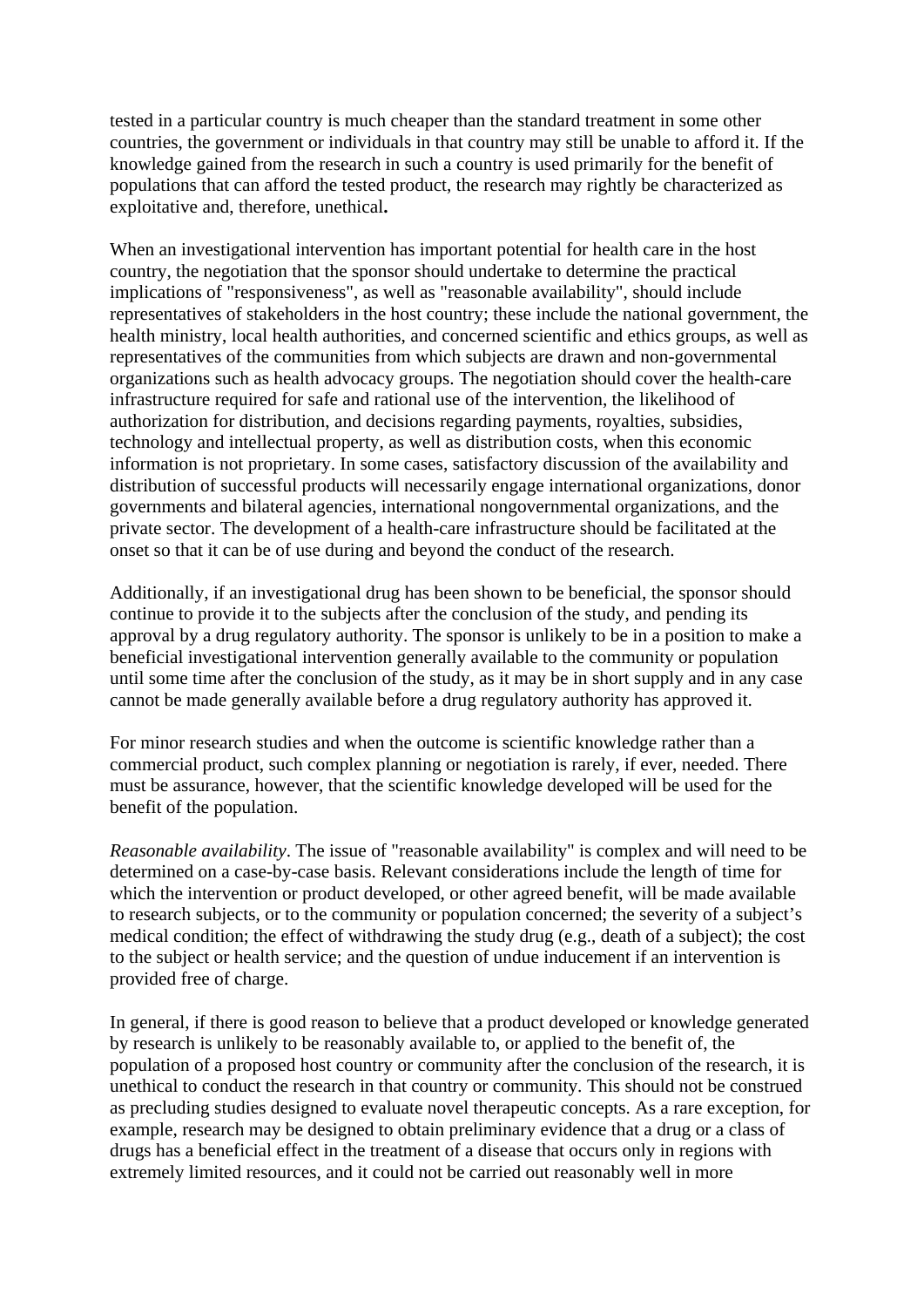tested in a particular country is much cheaper than the standard treatment in some other countries, the government or individuals in that country may still be unable to afford it. If the knowledge gained from the research in such a country is used primarily for the benefit of populations that can afford the tested product, the research may rightly be characterized as exploitative and, therefore, unethical**.**

When an investigational intervention has important potential for health care in the host country, the negotiation that the sponsor should undertake to determine the practical implications of "responsiveness", as well as "reasonable availability", should include representatives of stakeholders in the host country; these include the national government, the health ministry, local health authorities, and concerned scientific and ethics groups, as well as representatives of the communities from which subjects are drawn and non-governmental organizations such as health advocacy groups. The negotiation should cover the health-care infrastructure required for safe and rational use of the intervention, the likelihood of authorization for distribution, and decisions regarding payments, royalties, subsidies, technology and intellectual property, as well as distribution costs, when this economic information is not proprietary. In some cases, satisfactory discussion of the availability and distribution of successful products will necessarily engage international organizations, donor governments and bilateral agencies, international nongovernmental organizations, and the private sector. The development of a health-care infrastructure should be facilitated at the onset so that it can be of use during and beyond the conduct of the research.

Additionally, if an investigational drug has been shown to be beneficial, the sponsor should continue to provide it to the subjects after the conclusion of the study, and pending its approval by a drug regulatory authority. The sponsor is unlikely to be in a position to make a beneficial investigational intervention generally available to the community or population until some time after the conclusion of the study, as it may be in short supply and in any case cannot be made generally available before a drug regulatory authority has approved it.

For minor research studies and when the outcome is scientific knowledge rather than a commercial product, such complex planning or negotiation is rarely, if ever, needed. There must be assurance, however, that the scientific knowledge developed will be used for the benefit of the population.

*Reasonable availability*. The issue of "reasonable availability" is complex and will need to be determined on a case-by-case basis. Relevant considerations include the length of time for which the intervention or product developed, or other agreed benefit, will be made available to research subjects, or to the community or population concerned; the severity of a subject's medical condition; the effect of withdrawing the study drug (e.g., death of a subject); the cost to the subject or health service; and the question of undue inducement if an intervention is provided free of charge.

In general, if there is good reason to believe that a product developed or knowledge generated by research is unlikely to be reasonably available to, or applied to the benefit of, the population of a proposed host country or community after the conclusion of the research, it is unethical to conduct the research in that country or community. This should not be construed as precluding studies designed to evaluate novel therapeutic concepts. As a rare exception, for example, research may be designed to obtain preliminary evidence that a drug or a class of drugs has a beneficial effect in the treatment of a disease that occurs only in regions with extremely limited resources, and it could not be carried out reasonably well in more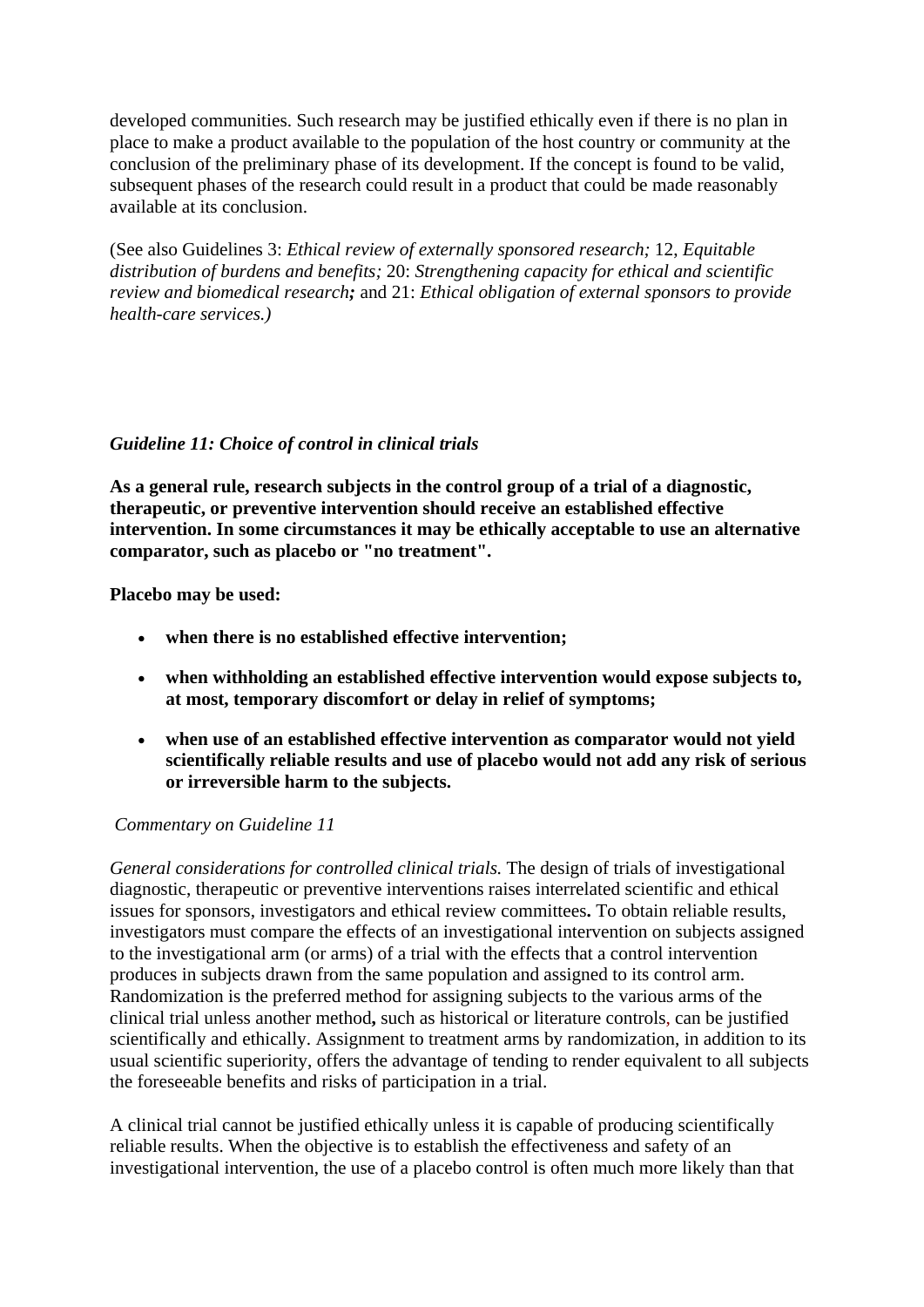developed communities. Such research may be justified ethically even if there is no plan in place to make a product available to the population of the host country or community at the conclusion of the preliminary phase of its development. If the concept is found to be valid, subsequent phases of the research could result in a product that could be made reasonably available at its conclusion.

(See also Guidelines 3: *Ethical review of externally sponsored research;* 12, *Equitable distribution of burdens and benefits;* 20: *Strengthening capacity for ethical and scientific review and biomedical research;* and 21: *Ethical obligation of external sponsors to provide health-care services.)*

# *Guideline 11: Choice of control in clinical trials*

**As a general rule, research subjects in the control group of a trial of a diagnostic, therapeutic, or preventive intervention should receive an established effective intervention. In some circumstances it may be ethically acceptable to use an alternative comparator, such as placebo or "no treatment".**

**Placebo may be used:**

- **when there is no established effective intervention;**
- **when withholding an established effective intervention would expose subjects to, at most, temporary discomfort or delay in relief of symptoms;**
- **when use of an established effective intervention as comparator would not yield scientifically reliable results and use of placebo would not add any risk of serious or irreversible harm to the subjects.**

#### *Commentary on Guideline 11*

*General considerations for controlled clinical trials.* The design of trials of investigational diagnostic, therapeutic or preventive interventions raises interrelated scientific and ethical issues for sponsors, investigators and ethical review committees**.** To obtain reliable results, investigators must compare the effects of an investigational intervention on subjects assigned to the investigational arm (or arms) of a trial with the effects that a control intervention produces in subjects drawn from the same population and assigned to its control arm. Randomization is the preferred method for assigning subjects to the various arms of the clinical trial unless another method**,** such as historical or literature controls, can be justified scientifically and ethically. Assignment to treatment arms by randomization, in addition to its usual scientific superiority, offers the advantage of tending to render equivalent to all subjects the foreseeable benefits and risks of participation in a trial.

A clinical trial cannot be justified ethically unless it is capable of producing scientifically reliable results. When the objective is to establish the effectiveness and safety of an investigational intervention, the use of a placebo control is often much more likely than that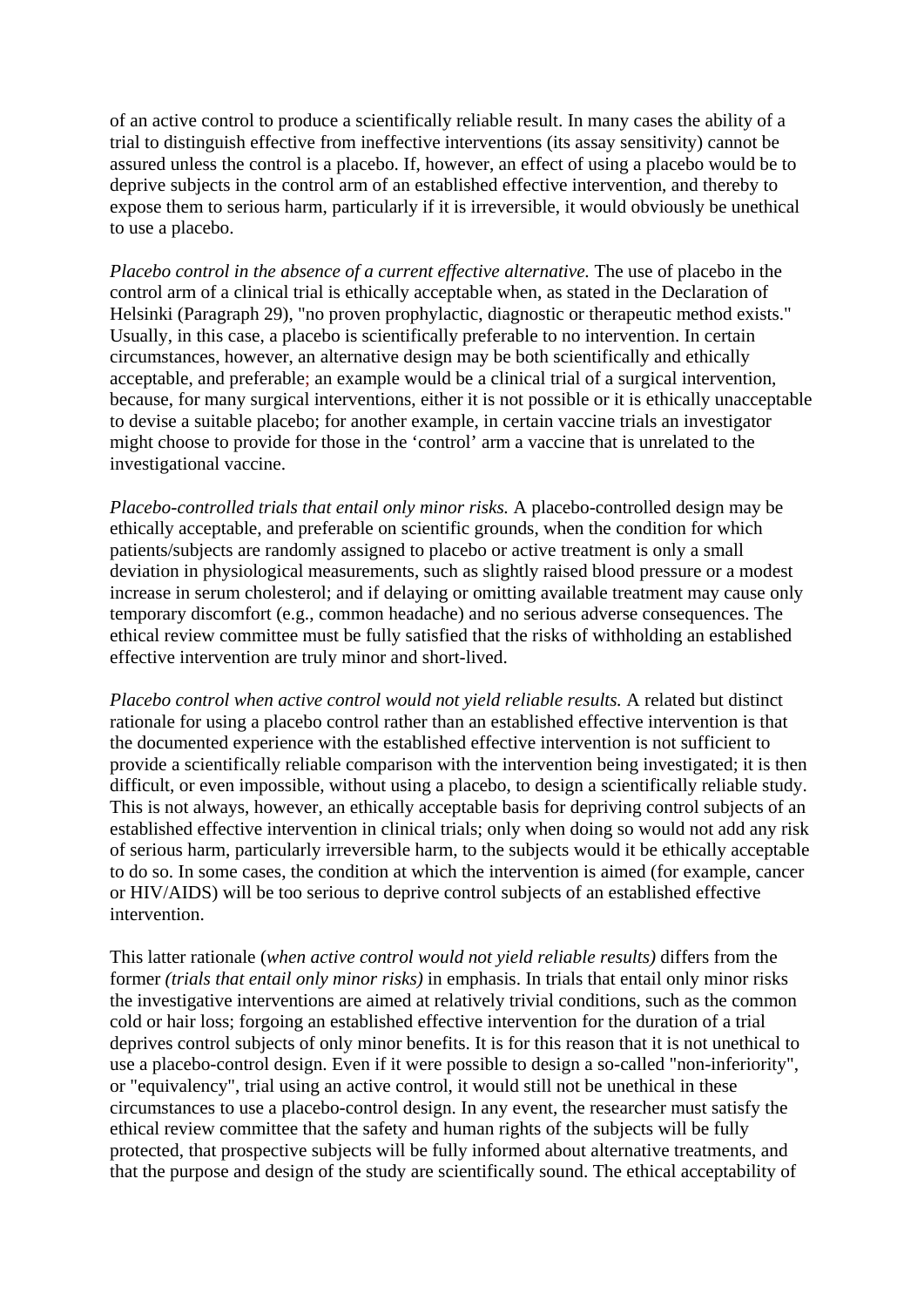of an active control to produce a scientifically reliable result. In many cases the ability of a trial to distinguish effective from ineffective interventions (its assay sensitivity) cannot be assured unless the control is a placebo. If, however, an effect of using a placebo would be to deprive subjects in the control arm of an established effective intervention, and thereby to expose them to serious harm, particularly if it is irreversible, it would obviously be unethical to use a placebo.

*Placebo control in the absence of a current effective alternative.* The use of placebo in the control arm of a clinical trial is ethically acceptable when, as stated in the Declaration of Helsinki (Paragraph 29), "no proven prophylactic, diagnostic or therapeutic method exists." Usually, in this case, a placebo is scientifically preferable to no intervention. In certain circumstances, however, an alternative design may be both scientifically and ethically acceptable, and preferable; an example would be a clinical trial of a surgical intervention, because, for many surgical interventions, either it is not possible or it is ethically unacceptable to devise a suitable placebo; for another example, in certain vaccine trials an investigator might choose to provide for those in the 'control' arm a vaccine that is unrelated to the investigational vaccine.

*Placebo-controlled trials that entail only minor risks.* A placebo-controlled design may be ethically acceptable, and preferable on scientific grounds, when the condition for which patients/subjects are randomly assigned to placebo or active treatment is only a small deviation in physiological measurements, such as slightly raised blood pressure or a modest increase in serum cholesterol; and if delaying or omitting available treatment may cause only temporary discomfort (e.g., common headache) and no serious adverse consequences. The ethical review committee must be fully satisfied that the risks of withholding an established effective intervention are truly minor and short-lived.

*Placebo control when active control would not yield reliable results.* A related but distinct rationale for using a placebo control rather than an established effective intervention is that the documented experience with the established effective intervention is not sufficient to provide a scientifically reliable comparison with the intervention being investigated; it is then difficult, or even impossible, without using a placebo, to design a scientifically reliable study. This is not always, however, an ethically acceptable basis for depriving control subjects of an established effective intervention in clinical trials; only when doing so would not add any risk of serious harm, particularly irreversible harm, to the subjects would it be ethically acceptable to do so. In some cases, the condition at which the intervention is aimed (for example, cancer or HIV/AIDS) will be too serious to deprive control subjects of an established effective intervention.

This latter rationale (*when active control would not yield reliable results)* differs from the former *(trials that entail only minor risks)* in emphasis. In trials that entail only minor risks the investigative interventions are aimed at relatively trivial conditions, such as the common cold or hair loss; forgoing an established effective intervention for the duration of a trial deprives control subjects of only minor benefits. It is for this reason that it is not unethical to use a placebo-control design. Even if it were possible to design a so-called "non-inferiority", or "equivalency", trial using an active control, it would still not be unethical in these circumstances to use a placebo-control design. In any event, the researcher must satisfy the ethical review committee that the safety and human rights of the subjects will be fully protected, that prospective subjects will be fully informed about alternative treatments, and that the purpose and design of the study are scientifically sound. The ethical acceptability of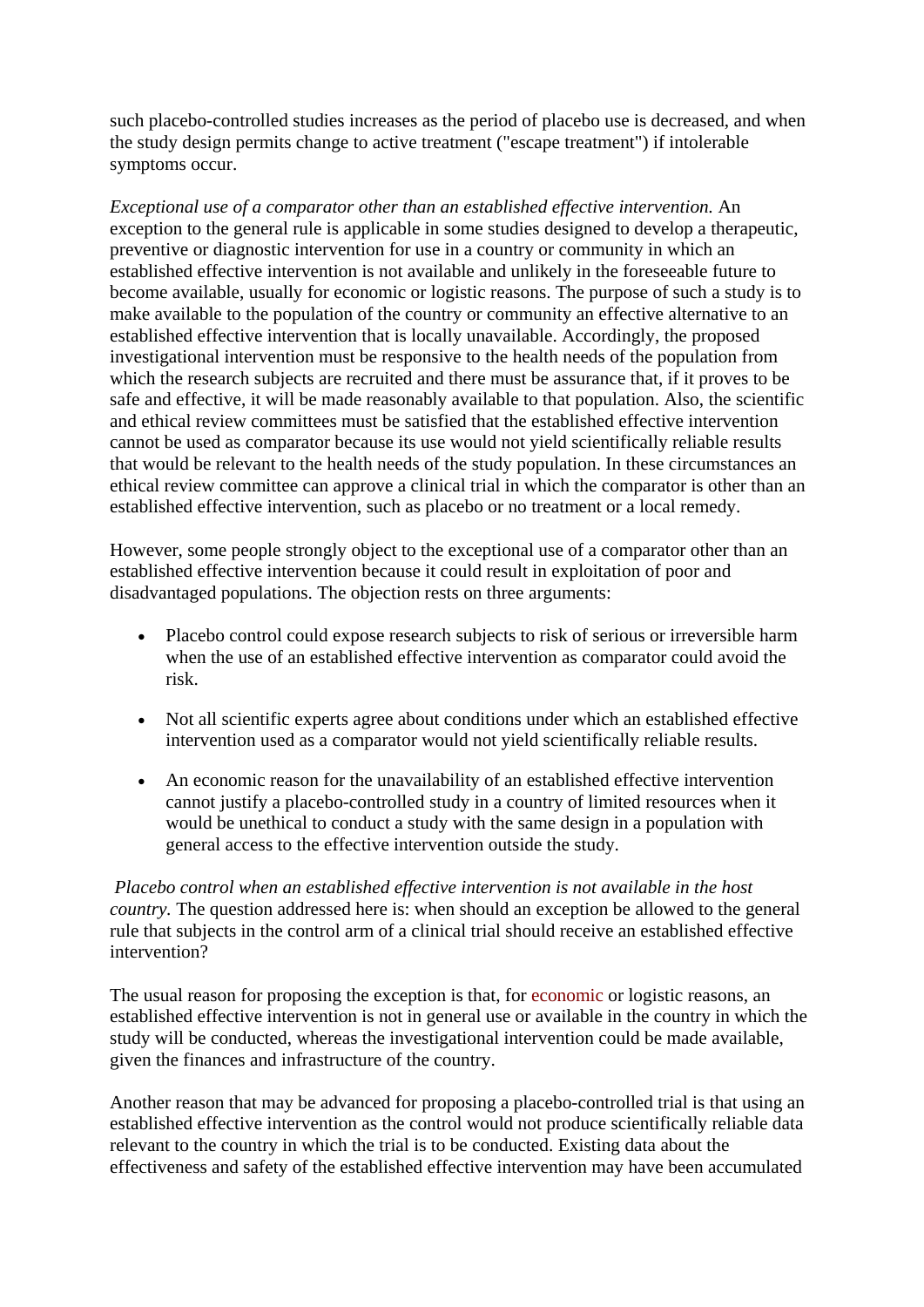such placebo-controlled studies increases as the period of placebo use is decreased, and when the study design permits change to active treatment ("escape treatment") if intolerable symptoms occur.

*Exceptional use of a comparator other than an established effective intervention.* An exception to the general rule is applicable in some studies designed to develop a therapeutic, preventive or diagnostic intervention for use in a country or community in which an established effective intervention is not available and unlikely in the foreseeable future to become available, usually for economic or logistic reasons. The purpose of such a study is to make available to the population of the country or community an effective alternative to an established effective intervention that is locally unavailable. Accordingly, the proposed investigational intervention must be responsive to the health needs of the population from which the research subjects are recruited and there must be assurance that, if it proves to be safe and effective, it will be made reasonably available to that population. Also, the scientific and ethical review committees must be satisfied that the established effective intervention cannot be used as comparator because its use would not yield scientifically reliable results that would be relevant to the health needs of the study population. In these circumstances an ethical review committee can approve a clinical trial in which the comparator is other than an established effective intervention, such as placebo or no treatment or a local remedy.

However, some people strongly object to the exceptional use of a comparator other than an established effective intervention because it could result in exploitation of poor and disadvantaged populations. The objection rests on three arguments:

- Placebo control could expose research subjects to risk of serious or irreversible harm when the use of an established effective intervention as comparator could avoid the risk.
- Not all scientific experts agree about conditions under which an established effective intervention used as a comparator would not yield scientifically reliable results.
- An economic reason for the unavailability of an established effective intervention cannot justify a placebo-controlled study in a country of limited resources when it would be unethical to conduct a study with the same design in a population with general access to the effective intervention outside the study.

*Placebo control when an established effective intervention is not available in the host country.* The question addressed here is: when should an exception be allowed to the general rule that subjects in the control arm of a clinical trial should receive an established effective intervention?

The usual reason for proposing the exception is that, for economic or logistic reasons, an established effective intervention is not in general use or available in the country in which the study will be conducted, whereas the investigational intervention could be made available, given the finances and infrastructure of the country.

Another reason that may be advanced for proposing a placebo-controlled trial is that using an established effective intervention as the control would not produce scientifically reliable data relevant to the country in which the trial is to be conducted. Existing data about the effectiveness and safety of the established effective intervention may have been accumulated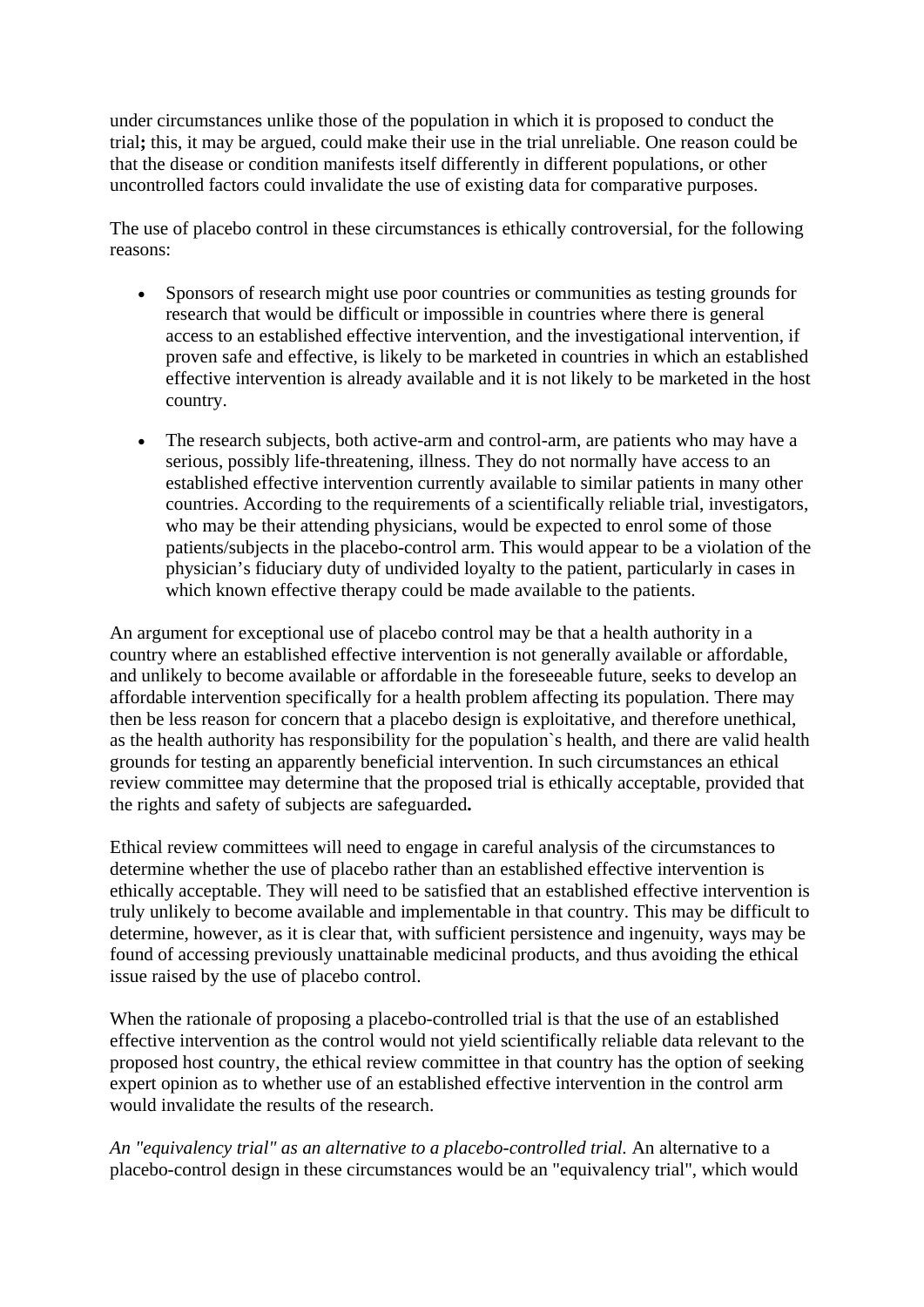under circumstances unlike those of the population in which it is proposed to conduct the trial**;** this, it may be argued, could make their use in the trial unreliable. One reason could be that the disease or condition manifests itself differently in different populations, or other uncontrolled factors could invalidate the use of existing data for comparative purposes.

The use of placebo control in these circumstances is ethically controversial, for the following reasons:

- Sponsors of research might use poor countries or communities as testing grounds for research that would be difficult or impossible in countries where there is general access to an established effective intervention, and the investigational intervention, if proven safe and effective, is likely to be marketed in countries in which an established effective intervention is already available and it is not likely to be marketed in the host country.
- The research subjects, both active-arm and control-arm, are patients who may have a serious, possibly life-threatening, illness. They do not normally have access to an established effective intervention currently available to similar patients in many other countries. According to the requirements of a scientifically reliable trial, investigators, who may be their attending physicians, would be expected to enrol some of those patients/subjects in the placebo-control arm. This would appear to be a violation of the physician's fiduciary duty of undivided loyalty to the patient, particularly in cases in which known effective therapy could be made available to the patients.

An argument for exceptional use of placebo control may be that a health authority in a country where an established effective intervention is not generally available or affordable, and unlikely to become available or affordable in the foreseeable future, seeks to develop an affordable intervention specifically for a health problem affecting its population. There may then be less reason for concern that a placebo design is exploitative, and therefore unethical, as the health authority has responsibility for the population`s health, and there are valid health grounds for testing an apparently beneficial intervention. In such circumstances an ethical review committee may determine that the proposed trial is ethically acceptable, provided that the rights and safety of subjects are safeguarded**.**

Ethical review committees will need to engage in careful analysis of the circumstances to determine whether the use of placebo rather than an established effective intervention is ethically acceptable. They will need to be satisfied that an established effective intervention is truly unlikely to become available and implementable in that country. This may be difficult to determine, however, as it is clear that, with sufficient persistence and ingenuity, ways may be found of accessing previously unattainable medicinal products, and thus avoiding the ethical issue raised by the use of placebo control.

When the rationale of proposing a placebo-controlled trial is that the use of an established effective intervention as the control would not yield scientifically reliable data relevant to the proposed host country, the ethical review committee in that country has the option of seeking expert opinion as to whether use of an established effective intervention in the control arm would invalidate the results of the research.

*An "equivalency trial" as an alternative to a placebo-controlled trial.* An alternative to a placebo-control design in these circumstances would be an "equivalency trial", which would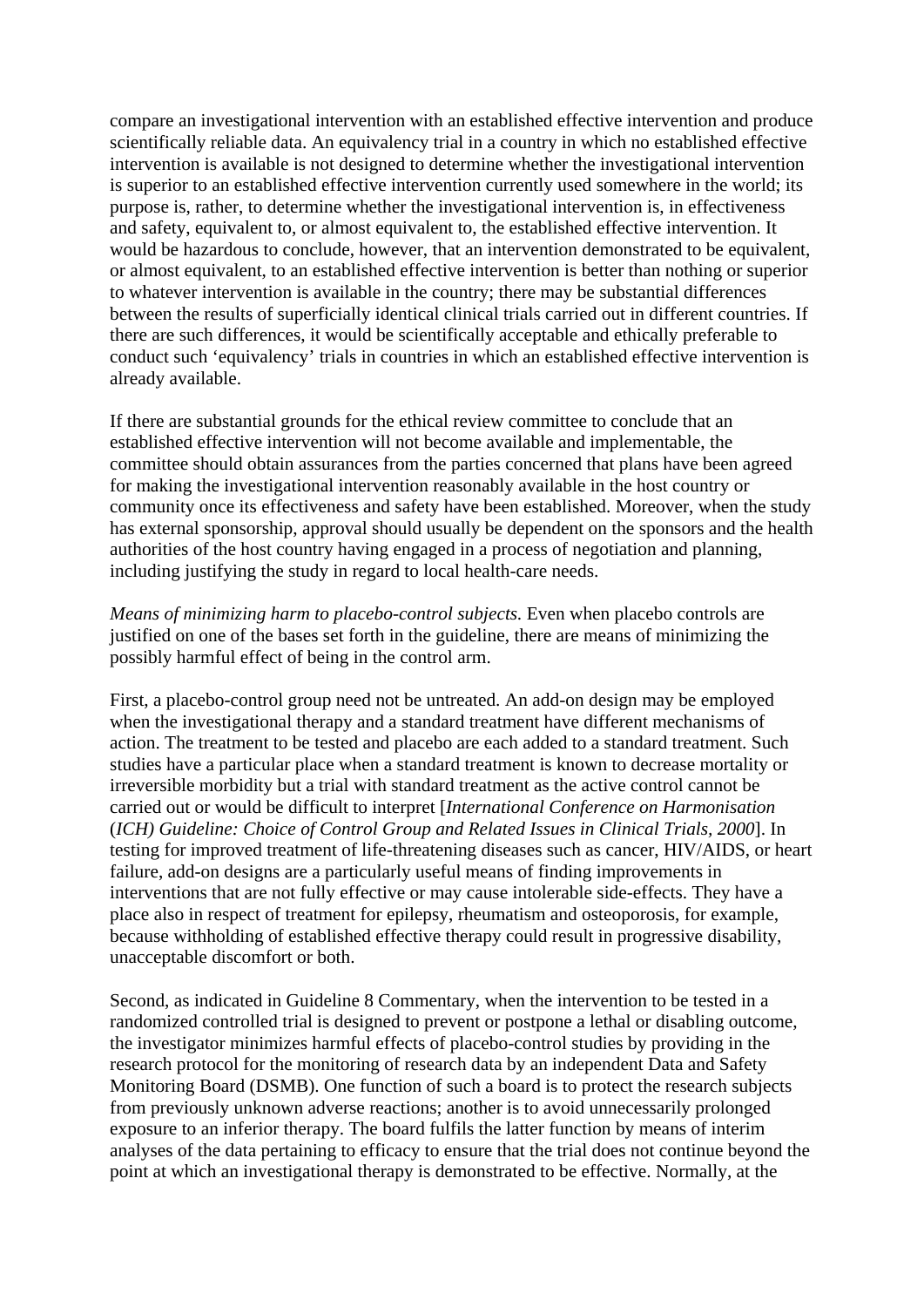compare an investigational intervention with an established effective intervention and produce scientifically reliable data. An equivalency trial in a country in which no established effective intervention is available is not designed to determine whether the investigational intervention is superior to an established effective intervention currently used somewhere in the world; its purpose is, rather, to determine whether the investigational intervention is, in effectiveness and safety, equivalent to, or almost equivalent to, the established effective intervention. It would be hazardous to conclude, however, that an intervention demonstrated to be equivalent, or almost equivalent, to an established effective intervention is better than nothing or superior to whatever intervention is available in the country; there may be substantial differences between the results of superficially identical clinical trials carried out in different countries. If there are such differences, it would be scientifically acceptable and ethically preferable to conduct such 'equivalency' trials in countries in which an established effective intervention is already available.

If there are substantial grounds for the ethical review committee to conclude that an established effective intervention will not become available and implementable, the committee should obtain assurances from the parties concerned that plans have been agreed for making the investigational intervention reasonably available in the host country or community once its effectiveness and safety have been established. Moreover, when the study has external sponsorship, approval should usually be dependent on the sponsors and the health authorities of the host country having engaged in a process of negotiation and planning, including justifying the study in regard to local health-care needs.

*Means of minimizing harm to placebo-control subjects.* Even when placebo controls are justified on one of the bases set forth in the guideline, there are means of minimizing the possibly harmful effect of being in the control arm.

First, a placebo-control group need not be untreated. An add-on design may be employed when the investigational therapy and a standard treatment have different mechanisms of action. The treatment to be tested and placebo are each added to a standard treatment. Such studies have a particular place when a standard treatment is known to decrease mortality or irreversible morbidity but a trial with standard treatment as the active control cannot be carried out or would be difficult to interpret [*International Conference on Harmonisation* (*ICH) Guideline: Choice of Control Group and Related Issues in Clinical Trials, 2000*]. In testing for improved treatment of life-threatening diseases such as cancer, HIV/AIDS, or heart failure, add-on designs are a particularly useful means of finding improvements in interventions that are not fully effective or may cause intolerable side-effects. They have a place also in respect of treatment for epilepsy, rheumatism and osteoporosis, for example, because withholding of established effective therapy could result in progressive disability, unacceptable discomfort or both.

Second, as indicated in Guideline 8 Commentary, when the intervention to be tested in a randomized controlled trial is designed to prevent or postpone a lethal or disabling outcome, the investigator minimizes harmful effects of placebo-control studies by providing in the research protocol for the monitoring of research data by an independent Data and Safety Monitoring Board (DSMB). One function of such a board is to protect the research subjects from previously unknown adverse reactions; another is to avoid unnecessarily prolonged exposure to an inferior therapy. The board fulfils the latter function by means of interim analyses of the data pertaining to efficacy to ensure that the trial does not continue beyond the point at which an investigational therapy is demonstrated to be effective. Normally, at the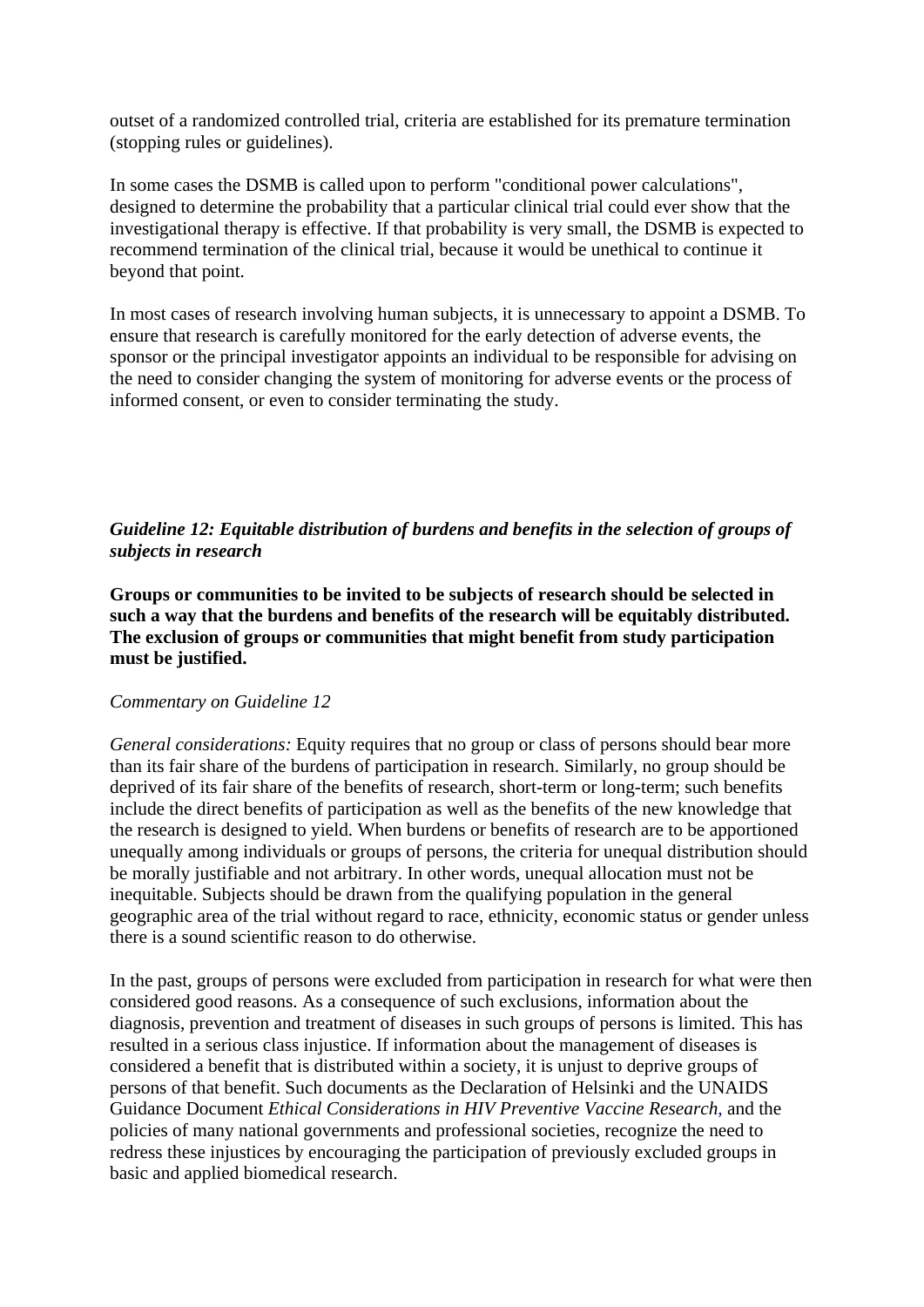outset of a randomized controlled trial, criteria are established for its premature termination (stopping rules or guidelines).

In some cases the DSMB is called upon to perform "conditional power calculations", designed to determine the probability that a particular clinical trial could ever show that the investigational therapy is effective. If that probability is very small, the DSMB is expected to recommend termination of the clinical trial, because it would be unethical to continue it beyond that point.

In most cases of research involving human subjects, it is unnecessary to appoint a DSMB. To ensure that research is carefully monitored for the early detection of adverse events, the sponsor or the principal investigator appoints an individual to be responsible for advising on the need to consider changing the system of monitoring for adverse events or the process of informed consent, or even to consider terminating the study.

# *Guideline 12: Equitable distribution of burdens and benefits in the selection of groups of subjects in research*

**Groups or communities to be invited to be subjects of research should be selected in such a way that the burdens and benefits of the research will be equitably distributed. The exclusion of groups or communities that might benefit from study participation must be justified.**

# *Commentary on Guideline 12*

*General considerations:* Equity requires that no group or class of persons should bear more than its fair share of the burdens of participation in research. Similarly, no group should be deprived of its fair share of the benefits of research, short-term or long-term; such benefits include the direct benefits of participation as well as the benefits of the new knowledge that the research is designed to yield. When burdens or benefits of research are to be apportioned unequally among individuals or groups of persons, the criteria for unequal distribution should be morally justifiable and not arbitrary. In other words, unequal allocation must not be inequitable. Subjects should be drawn from the qualifying population in the general geographic area of the trial without regard to race, ethnicity, economic status or gender unless there is a sound scientific reason to do otherwise.

In the past, groups of persons were excluded from participation in research for what were then considered good reasons. As a consequence of such exclusions, information about the diagnosis, prevention and treatment of diseases in such groups of persons is limited. This has resulted in a serious class injustice. If information about the management of diseases is considered a benefit that is distributed within a society, it is unjust to deprive groups of persons of that benefit. Such documents as the Declaration of Helsinki and the UNAIDS Guidance Document *Ethical Considerations in HIV Preventive Vaccine Research,* and the policies of many national governments and professional societies, recognize the need to redress these injustices by encouraging the participation of previously excluded groups in basic and applied biomedical research.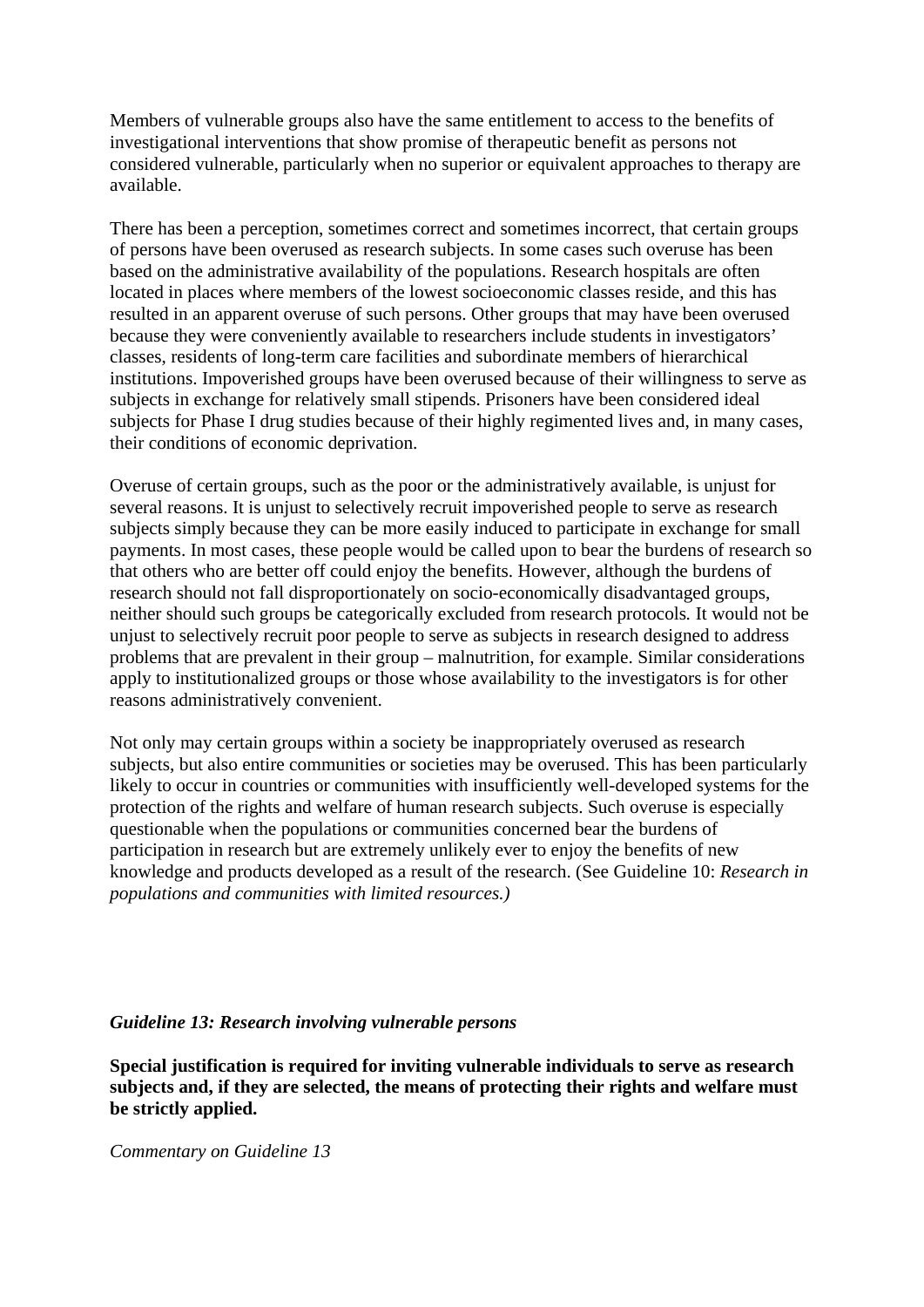Members of vulnerable groups also have the same entitlement to access to the benefits of investigational interventions that show promise of therapeutic benefit as persons not considered vulnerable, particularly when no superior or equivalent approaches to therapy are available.

There has been a perception, sometimes correct and sometimes incorrect, that certain groups of persons have been overused as research subjects. In some cases such overuse has been based on the administrative availability of the populations. Research hospitals are often located in places where members of the lowest socioeconomic classes reside, and this has resulted in an apparent overuse of such persons. Other groups that may have been overused because they were conveniently available to researchers include students in investigators' classes, residents of long-term care facilities and subordinate members of hierarchical institutions. Impoverished groups have been overused because of their willingness to serve as subjects in exchange for relatively small stipends. Prisoners have been considered ideal subjects for Phase I drug studies because of their highly regimented lives and, in many cases, their conditions of economic deprivation.

Overuse of certain groups, such as the poor or the administratively available, is unjust for several reasons. It is unjust to selectively recruit impoverished people to serve as research subjects simply because they can be more easily induced to participate in exchange for small payments. In most cases, these people would be called upon to bear the burdens of research so that others who are better off could enjoy the benefits. However, although the burdens of research should not fall disproportionately on socio-economically disadvantaged groups, neither should such groups be categorically excluded from research protocols*.* It would not be unjust to selectively recruit poor people to serve as subjects in research designed to address problems that are prevalent in their group – malnutrition, for example. Similar considerations apply to institutionalized groups or those whose availability to the investigators is for other reasons administratively convenient.

Not only may certain groups within a society be inappropriately overused as research subjects, but also entire communities or societies may be overused. This has been particularly likely to occur in countries or communities with insufficiently well-developed systems for the protection of the rights and welfare of human research subjects. Such overuse is especially questionable when the populations or communities concerned bear the burdens of participation in research but are extremely unlikely ever to enjoy the benefits of new knowledge and products developed as a result of the research. (See Guideline 10: *Research in populations and communities with limited resources.)*

#### *Guideline 13: Research involving vulnerable persons*

**Special justification is required for inviting vulnerable individuals to serve as research subjects and, if they are selected, the means of protecting their rights and welfare must be strictly applied.**

*Commentary on Guideline 13*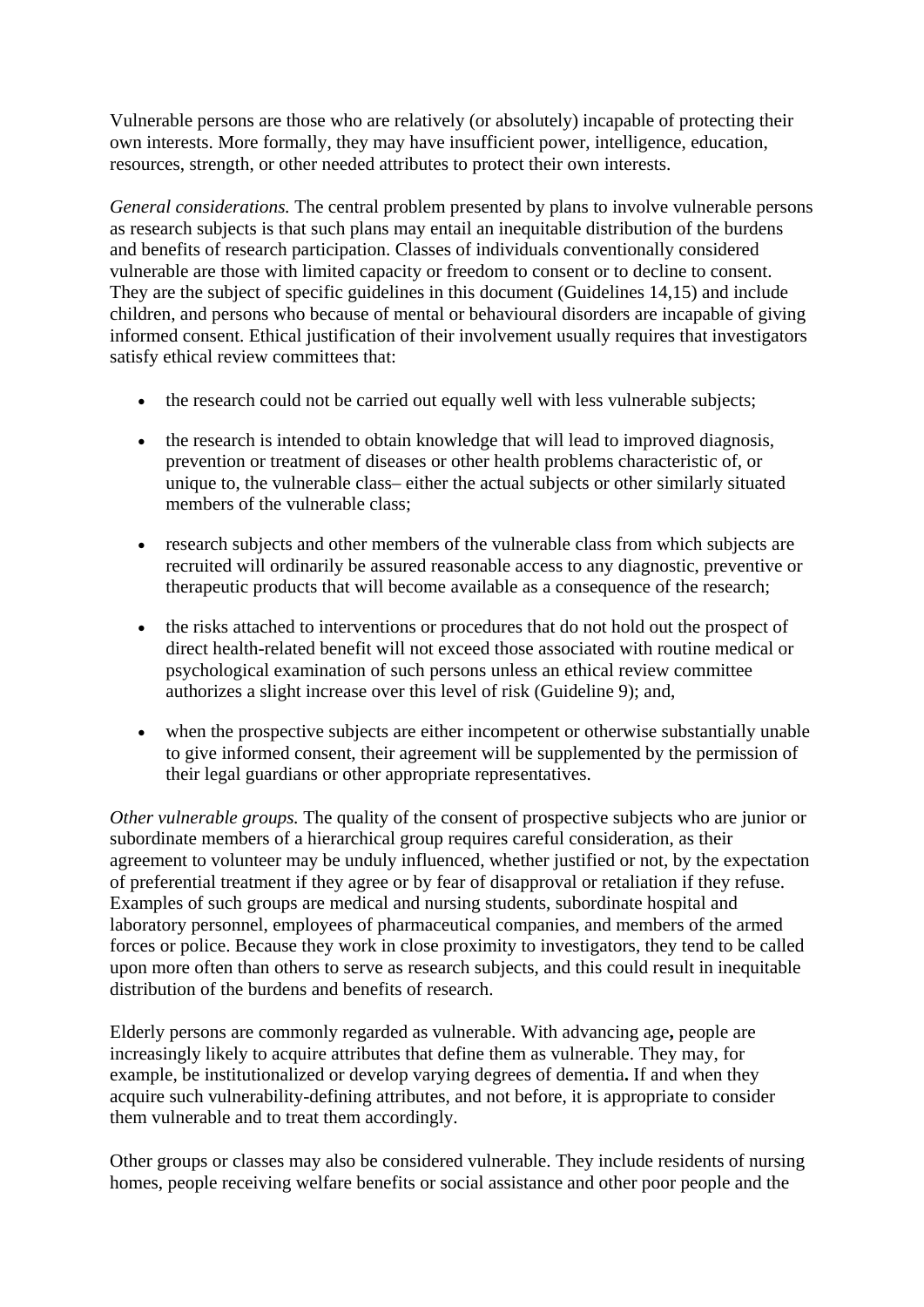Vulnerable persons are those who are relatively (or absolutely) incapable of protecting their own interests. More formally, they may have insufficient power, intelligence, education, resources, strength, or other needed attributes to protect their own interests.

*General considerations.* The central problem presented by plans to involve vulnerable persons as research subjects is that such plans may entail an inequitable distribution of the burdens and benefits of research participation. Classes of individuals conventionally considered vulnerable are those with limited capacity or freedom to consent or to decline to consent. They are the subject of specific guidelines in this document (Guidelines 14,15) and include children, and persons who because of mental or behavioural disorders are incapable of giving informed consent. Ethical justification of their involvement usually requires that investigators satisfy ethical review committees that:

- the research could not be carried out equally well with less vulnerable subjects;
- the research is intended to obtain knowledge that will lead to improved diagnosis, prevention or treatment of diseases or other health problems characteristic of, or unique to, the vulnerable class– either the actual subjects or other similarly situated members of the vulnerable class;
- research subjects and other members of the vulnerable class from which subjects are recruited will ordinarily be assured reasonable access to any diagnostic, preventive or therapeutic products that will become available as a consequence of the research;
- the risks attached to interventions or procedures that do not hold out the prospect of direct health-related benefit will not exceed those associated with routine medical or psychological examination of such persons unless an ethical review committee authorizes a slight increase over this level of risk (Guideline 9); and,
- when the prospective subjects are either incompetent or otherwise substantially unable to give informed consent, their agreement will be supplemented by the permission of their legal guardians or other appropriate representatives.

*Other vulnerable groups.* The quality of the consent of prospective subjects who are junior or subordinate members of a hierarchical group requires careful consideration, as their agreement to volunteer may be unduly influenced, whether justified or not, by the expectation of preferential treatment if they agree or by fear of disapproval or retaliation if they refuse. Examples of such groups are medical and nursing students, subordinate hospital and laboratory personnel, employees of pharmaceutical companies, and members of the armed forces or police. Because they work in close proximity to investigators, they tend to be called upon more often than others to serve as research subjects, and this could result in inequitable distribution of the burdens and benefits of research.

Elderly persons are commonly regarded as vulnerable. With advancing age**,** people are increasingly likely to acquire attributes that define them as vulnerable. They may, for example, be institutionalized or develop varying degrees of dementia**.** If and when they acquire such vulnerability-defining attributes, and not before, it is appropriate to consider them vulnerable and to treat them accordingly.

Other groups or classes may also be considered vulnerable. They include residents of nursing homes, people receiving welfare benefits or social assistance and other poor people and the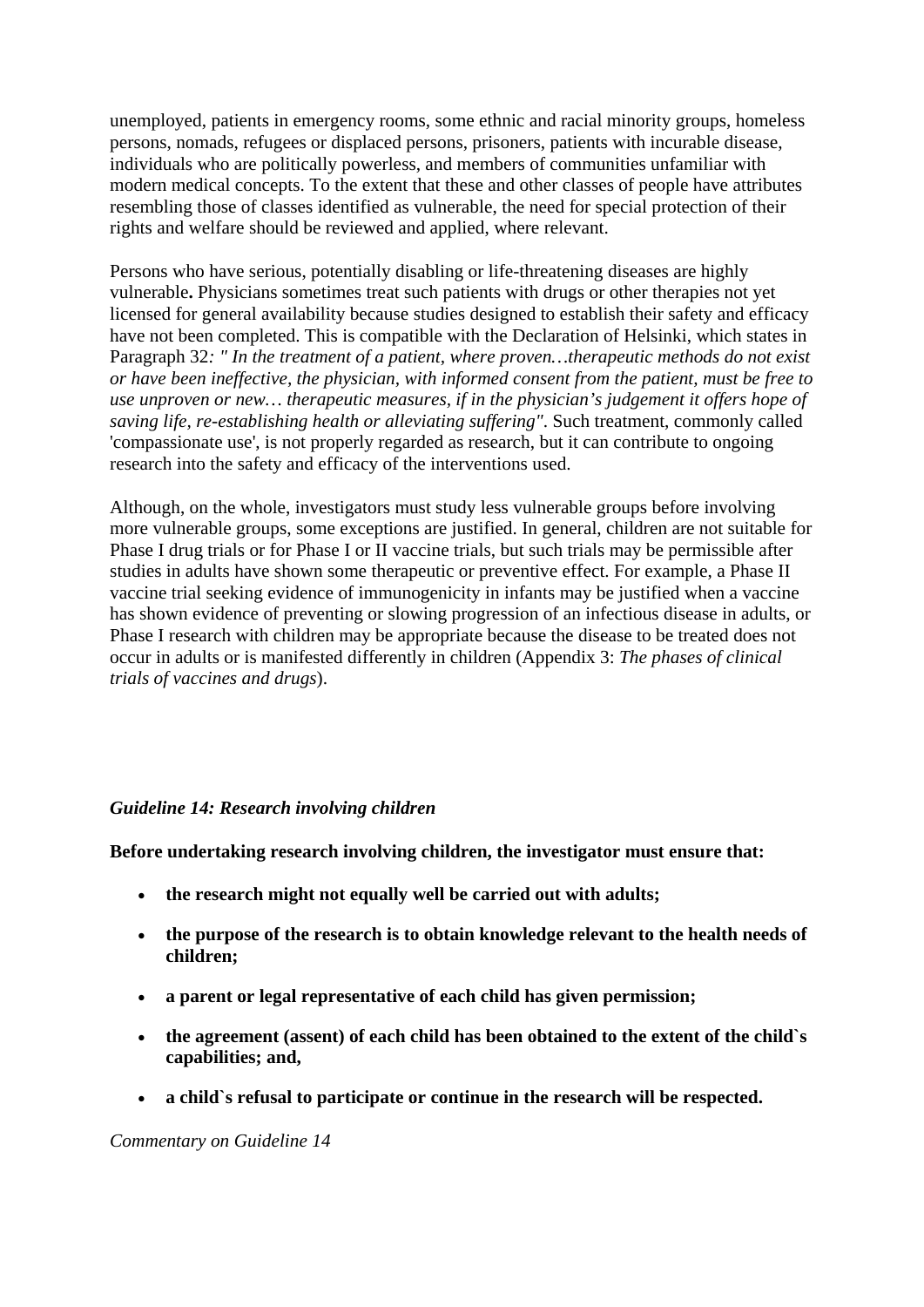unemployed, patients in emergency rooms, some ethnic and racial minority groups, homeless persons, nomads, refugees or displaced persons, prisoners, patients with incurable disease, individuals who are politically powerless, and members of communities unfamiliar with modern medical concepts. To the extent that these and other classes of people have attributes resembling those of classes identified as vulnerable, the need for special protection of their rights and welfare should be reviewed and applied, where relevant.

Persons who have serious, potentially disabling or life-threatening diseases are highly vulnerable**.** Physicians sometimes treat such patients with drugs or other therapies not yet licensed for general availability because studies designed to establish their safety and efficacy have not been completed. This is compatible with the Declaration of Helsinki, which states in Paragraph 32*: " In the treatment of a patient, where proven…therapeutic methods do not exist or have been ineffective, the physician, with informed consent from the patient, must be free to use unproven or new… therapeutic measures, if in the physician's judgement it offers hope of saving life, re-establishing health or alleviating suffering"*. Such treatment, commonly called 'compassionate use', is not properly regarded as research, but it can contribute to ongoing research into the safety and efficacy of the interventions used.

Although, on the whole, investigators must study less vulnerable groups before involving more vulnerable groups, some exceptions are justified. In general, children are not suitable for Phase I drug trials or for Phase I or II vaccine trials, but such trials may be permissible after studies in adults have shown some therapeutic or preventive effect. For example, a Phase II vaccine trial seeking evidence of immunogenicity in infants may be justified when a vaccine has shown evidence of preventing or slowing progression of an infectious disease in adults, or Phase I research with children may be appropriate because the disease to be treated does not occur in adults or is manifested differently in children (Appendix 3: *The phases of clinical trials of vaccines and drugs*).

# *Guideline 14: Research involving children*

**Before undertaking research involving children, the investigator must ensure that:**

- **the research might not equally well be carried out with adults;**
- **the purpose of the research is to obtain knowledge relevant to the health needs of children;**
- **a parent or legal representative of each child has given permission;**
- **the agreement (assent) of each child has been obtained to the extent of the child`s capabilities; and,**
- **a child`s refusal to participate or continue in the research will be respected.**

*Commentary on Guideline 14*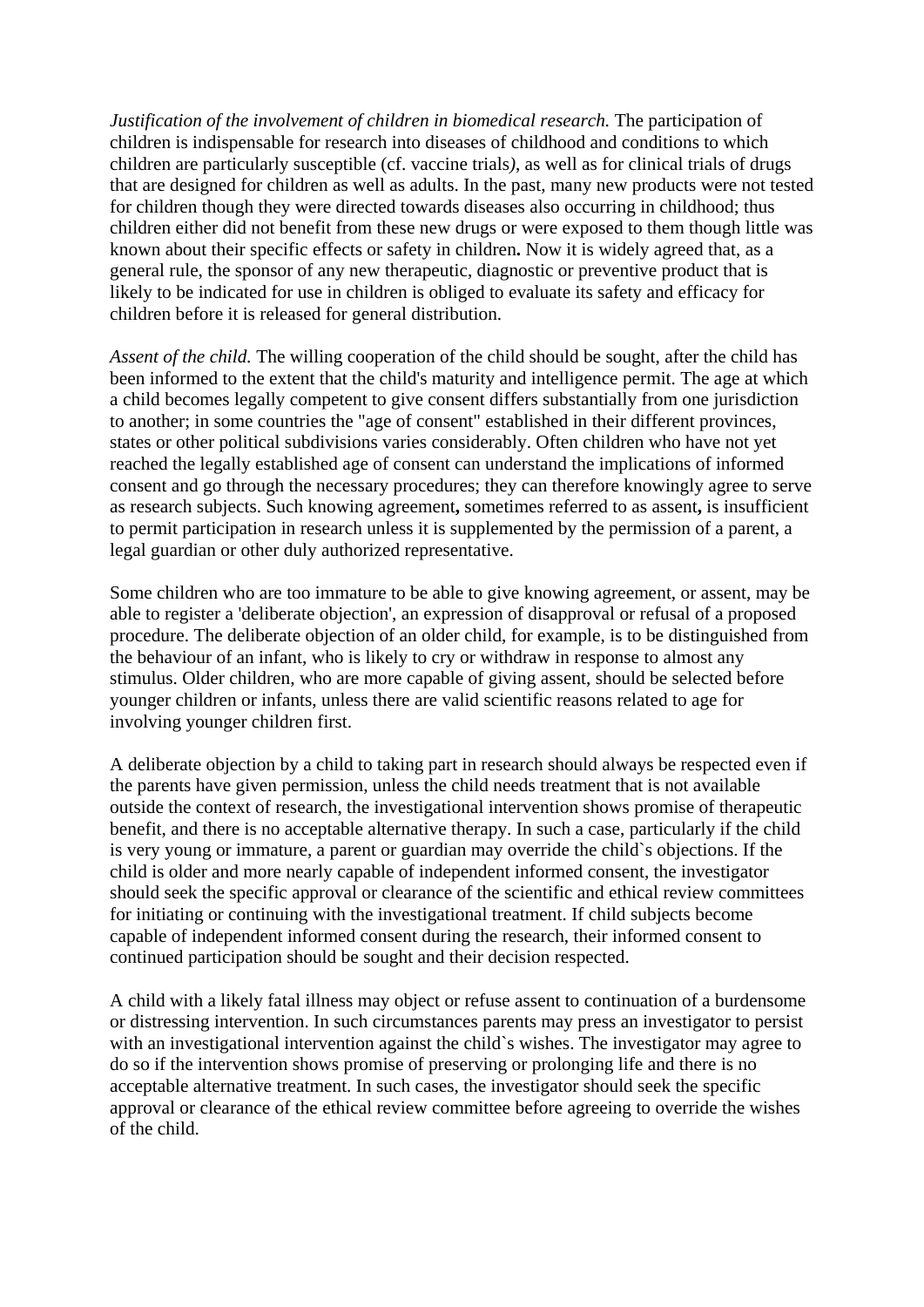*Justification of the involvement of children in biomedical research.* The participation of children is indispensable for research into diseases of childhood and conditions to which children are particularly susceptible (cf. vaccine trials*)*, as well as for clinical trials of drugs that are designed for children as well as adults. In the past, many new products were not tested for children though they were directed towards diseases also occurring in childhood; thus children either did not benefit from these new drugs or were exposed to them though little was known about their specific effects or safety in children**.** Now it is widely agreed that, as a general rule, the sponsor of any new therapeutic, diagnostic or preventive product that is likely to be indicated for use in children is obliged to evaluate its safety and efficacy for children before it is released for general distribution.

*Assent of the child.* The willing cooperation of the child should be sought, after the child has been informed to the extent that the child's maturity and intelligence permit. The age at which a child becomes legally competent to give consent differs substantially from one jurisdiction to another; in some countries the "age of consent" established in their different provinces, states or other political subdivisions varies considerably. Often children who have not yet reached the legally established age of consent can understand the implications of informed consent and go through the necessary procedures; they can therefore knowingly agree to serve as research subjects. Such knowing agreement**,** sometimes referred to as assent**,** is insufficient to permit participation in research unless it is supplemented by the permission of a parent, a legal guardian or other duly authorized representative.

Some children who are too immature to be able to give knowing agreement, or assent, may be able to register a 'deliberate objection', an expression of disapproval or refusal of a proposed procedure. The deliberate objection of an older child, for example, is to be distinguished from the behaviour of an infant, who is likely to cry or withdraw in response to almost any stimulus. Older children, who are more capable of giving assent, should be selected before younger children or infants, unless there are valid scientific reasons related to age for involving younger children first.

A deliberate objection by a child to taking part in research should always be respected even if the parents have given permission, unless the child needs treatment that is not available outside the context of research, the investigational intervention shows promise of therapeutic benefit, and there is no acceptable alternative therapy. In such a case, particularly if the child is very young or immature, a parent or guardian may override the child`s objections. If the child is older and more nearly capable of independent informed consent, the investigator should seek the specific approval or clearance of the scientific and ethical review committees for initiating or continuing with the investigational treatment. If child subjects become capable of independent informed consent during the research, their informed consent to continued participation should be sought and their decision respected.

A child with a likely fatal illness may object or refuse assent to continuation of a burdensome or distressing intervention. In such circumstances parents may press an investigator to persist with an investigational intervention against the child`s wishes. The investigator may agree to do so if the intervention shows promise of preserving or prolonging life and there is no acceptable alternative treatment. In such cases, the investigator should seek the specific approval or clearance of the ethical review committee before agreeing to override the wishes of the child.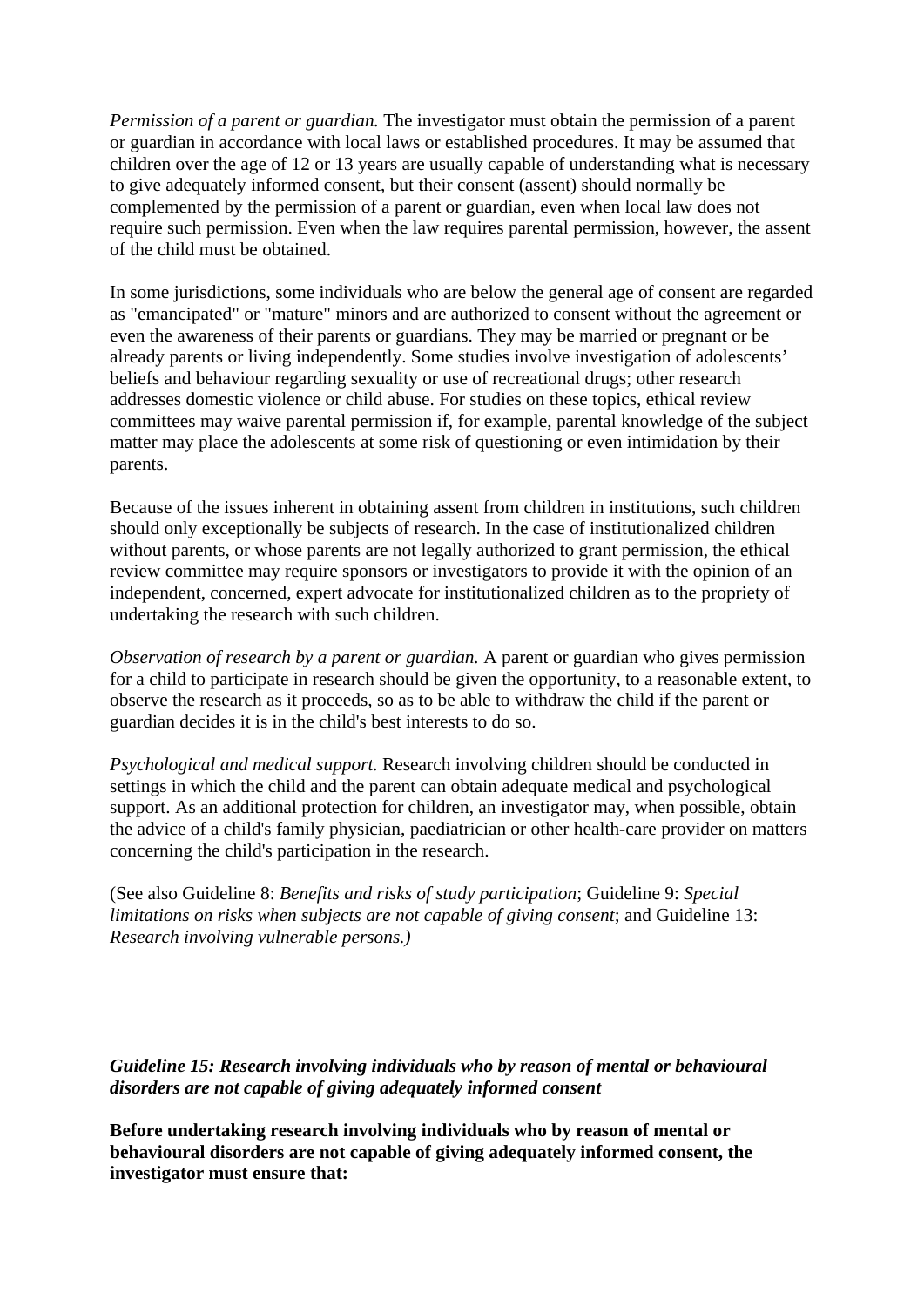*Permission of a parent or guardian.* The investigator must obtain the permission of a parent or guardian in accordance with local laws or established procedures. It may be assumed that children over the age of 12 or 13 years are usually capable of understanding what is necessary to give adequately informed consent, but their consent (assent) should normally be complemented by the permission of a parent or guardian, even when local law does not require such permission. Even when the law requires parental permission, however, the assent of the child must be obtained.

In some jurisdictions, some individuals who are below the general age of consent are regarded as "emancipated" or "mature" minors and are authorized to consent without the agreement or even the awareness of their parents or guardians. They may be married or pregnant or be already parents or living independently. Some studies involve investigation of adolescents' beliefs and behaviour regarding sexuality or use of recreational drugs; other research addresses domestic violence or child abuse. For studies on these topics, ethical review committees may waive parental permission if, for example, parental knowledge of the subject matter may place the adolescents at some risk of questioning or even intimidation by their parents.

Because of the issues inherent in obtaining assent from children in institutions, such children should only exceptionally be subjects of research. In the case of institutionalized children without parents, or whose parents are not legally authorized to grant permission, the ethical review committee may require sponsors or investigators to provide it with the opinion of an independent, concerned, expert advocate for institutionalized children as to the propriety of undertaking the research with such children.

*Observation of research by a parent or guardian.* A parent or guardian who gives permission for a child to participate in research should be given the opportunity, to a reasonable extent, to observe the research as it proceeds, so as to be able to withdraw the child if the parent or guardian decides it is in the child's best interests to do so.

*Psychological and medical support.* Research involving children should be conducted in settings in which the child and the parent can obtain adequate medical and psychological support. As an additional protection for children, an investigator may, when possible, obtain the advice of a child's family physician, paediatrician or other health-care provider on matters concerning the child's participation in the research.

(See also Guideline 8: *Benefits and risks of study participation*; Guideline 9: *Special limitations on risks when subjects are not capable of giving consent*; and Guideline 13: *Research involving vulnerable persons.)*

*Guideline 15: Research involving individuals who by reason of mental or behavioural disorders are not capable of giving adequately informed consent*

**Before undertaking research involving individuals who by reason of mental or behavioural disorders are not capable of giving adequately informed consent, the investigator must ensure that:**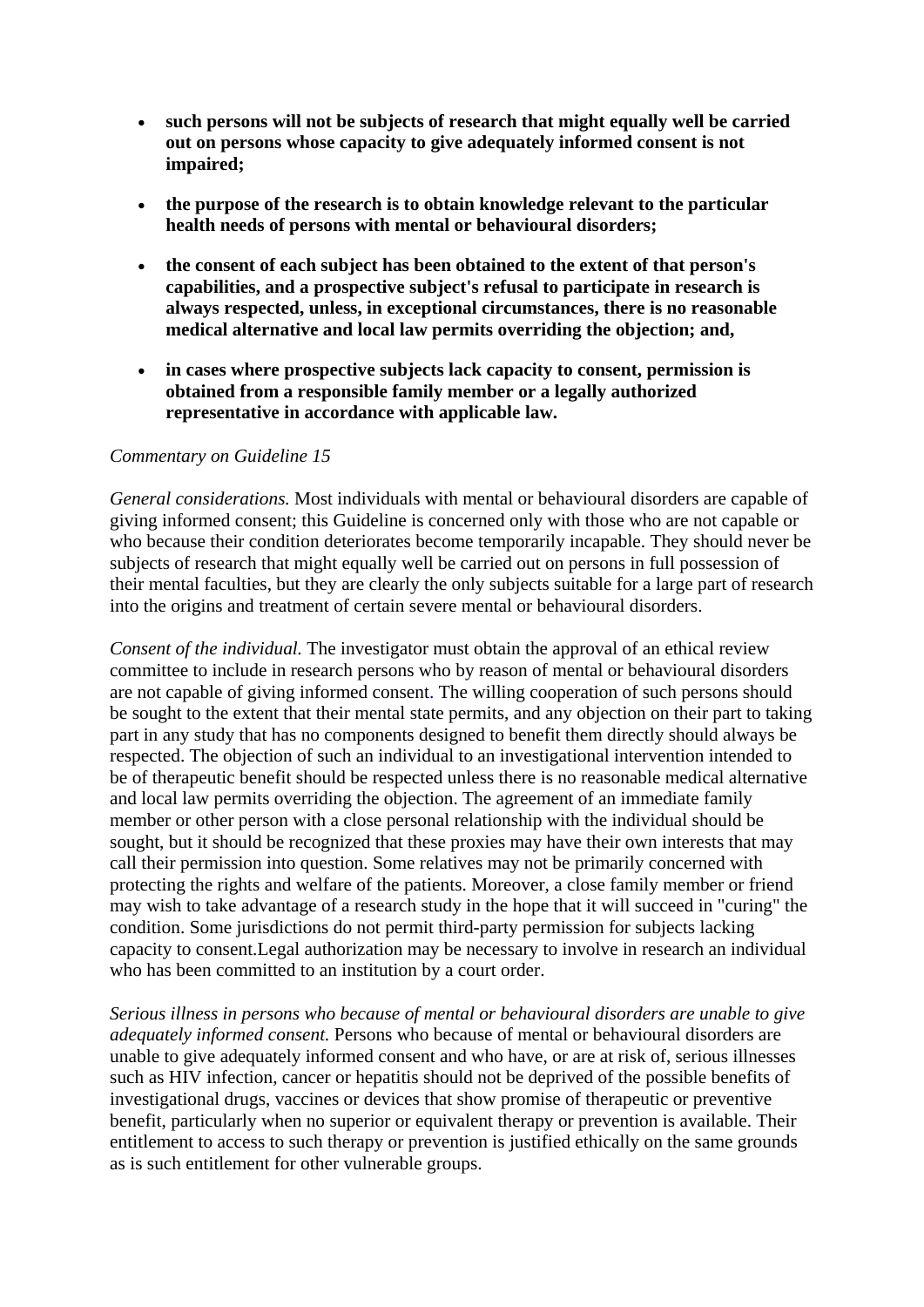- **such persons will not be subjects of research that might equally well be carried out on persons whose capacity to give adequately informed consent is not impaired;**
- **the purpose of the research is to obtain knowledge relevant to the particular health needs of persons with mental or behavioural disorders;**
- **the consent of each subject has been obtained to the extent of that person's capabilities, and a prospective subject's refusal to participate in research is always respected, unless, in exceptional circumstances, there is no reasonable medical alternative and local law permits overriding the objection; and,**
- **in cases where prospective subjects lack capacity to consent, permission is obtained from a responsible family member or a legally authorized representative in accordance with applicable law.**

#### *Commentary on Guideline 15*

*General considerations.* Most individuals with mental or behavioural disorders are capable of giving informed consent; this Guideline is concerned only with those who are not capable or who because their condition deteriorates become temporarily incapable. They should never be subjects of research that might equally well be carried out on persons in full possession of their mental faculties, but they are clearly the only subjects suitable for a large part of research into the origins and treatment of certain severe mental or behavioural disorders.

*Consent of the individual.* The investigator must obtain the approval of an ethical review committee to include in research persons who by reason of mental or behavioural disorders are not capable of giving informed consent. The willing cooperation of such persons should be sought to the extent that their mental state permits, and any objection on their part to taking part in any study that has no components designed to benefit them directly should always be respected. The objection of such an individual to an investigational intervention intended to be of therapeutic benefit should be respected unless there is no reasonable medical alternative and local law permits overriding the objection. The agreement of an immediate family member or other person with a close personal relationship with the individual should be sought, but it should be recognized that these proxies may have their own interests that may call their permission into question. Some relatives may not be primarily concerned with protecting the rights and welfare of the patients. Moreover, a close family member or friend may wish to take advantage of a research study in the hope that it will succeed in "curing" the condition. Some jurisdictions do not permit third-party permission for subjects lacking capacity to consent.Legal authorization may be necessary to involve in research an individual who has been committed to an institution by a court order.

*Serious illness in persons who because of mental or behavioural disorders are unable to give adequately informed consent.* Persons who because of mental or behavioural disorders are unable to give adequately informed consent and who have, or are at risk of, serious illnesses such as HIV infection, cancer or hepatitis should not be deprived of the possible benefits of investigational drugs, vaccines or devices that show promise of therapeutic or preventive benefit, particularly when no superior or equivalent therapy or prevention is available. Their entitlement to access to such therapy or prevention is justified ethically on the same grounds as is such entitlement for other vulnerable groups.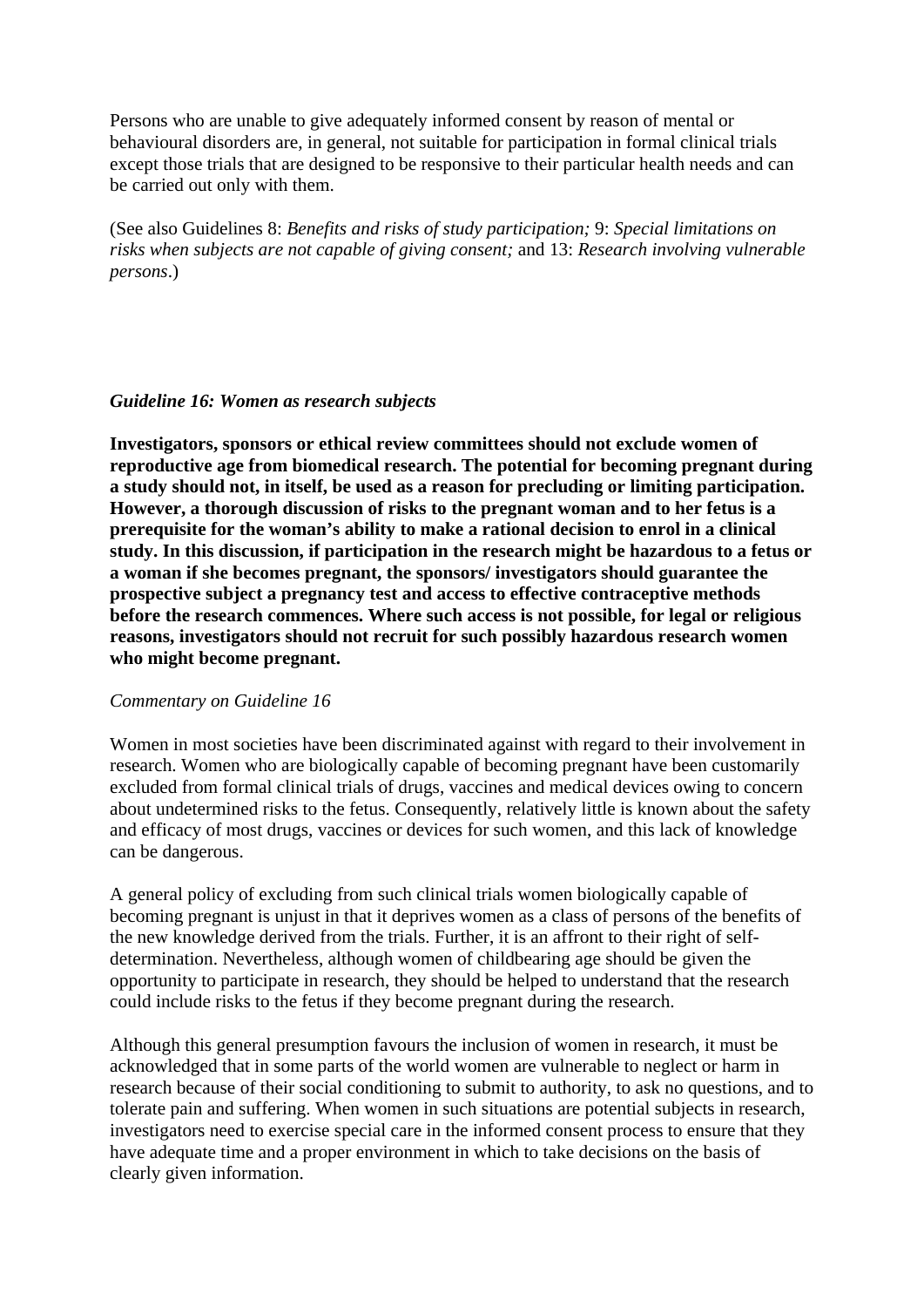Persons who are unable to give adequately informed consent by reason of mental or behavioural disorders are, in general, not suitable for participation in formal clinical trials except those trials that are designed to be responsive to their particular health needs and can be carried out only with them.

(See also Guidelines 8: *Benefits and risks of study participation;* 9: *Special limitations on risks when subjects are not capable of giving consent;* and 13: *Research involving vulnerable persons*.)

#### *Guideline 16: Women as research subjects*

**Investigators, sponsors or ethical review committees should not exclude women of reproductive age from biomedical research. The potential for becoming pregnant during a study should not, in itself, be used as a reason for precluding or limiting participation. However, a thorough discussion of risks to the pregnant woman and to her fetus is a prerequisite for the woman's ability to make a rational decision to enrol in a clinical study. In this discussion, if participation in the research might be hazardous to a fetus or a woman if she becomes pregnant, the sponsors/ investigators should guarantee the prospective subject a pregnancy test and access to effective contraceptive methods before the research commences. Where such access is not possible, for legal or religious reasons, investigators should not recruit for such possibly hazardous research women who might become pregnant.**

#### *Commentary on Guideline 16*

Women in most societies have been discriminated against with regard to their involvement in research. Women who are biologically capable of becoming pregnant have been customarily excluded from formal clinical trials of drugs, vaccines and medical devices owing to concern about undetermined risks to the fetus. Consequently, relatively little is known about the safety and efficacy of most drugs, vaccines or devices for such women, and this lack of knowledge can be dangerous.

A general policy of excluding from such clinical trials women biologically capable of becoming pregnant is unjust in that it deprives women as a class of persons of the benefits of the new knowledge derived from the trials. Further, it is an affront to their right of selfdetermination. Nevertheless, although women of childbearing age should be given the opportunity to participate in research, they should be helped to understand that the research could include risks to the fetus if they become pregnant during the research.

Although this general presumption favours the inclusion of women in research, it must be acknowledged that in some parts of the world women are vulnerable to neglect or harm in research because of their social conditioning to submit to authority, to ask no questions, and to tolerate pain and suffering. When women in such situations are potential subjects in research, investigators need to exercise special care in the informed consent process to ensure that they have adequate time and a proper environment in which to take decisions on the basis of clearly given information.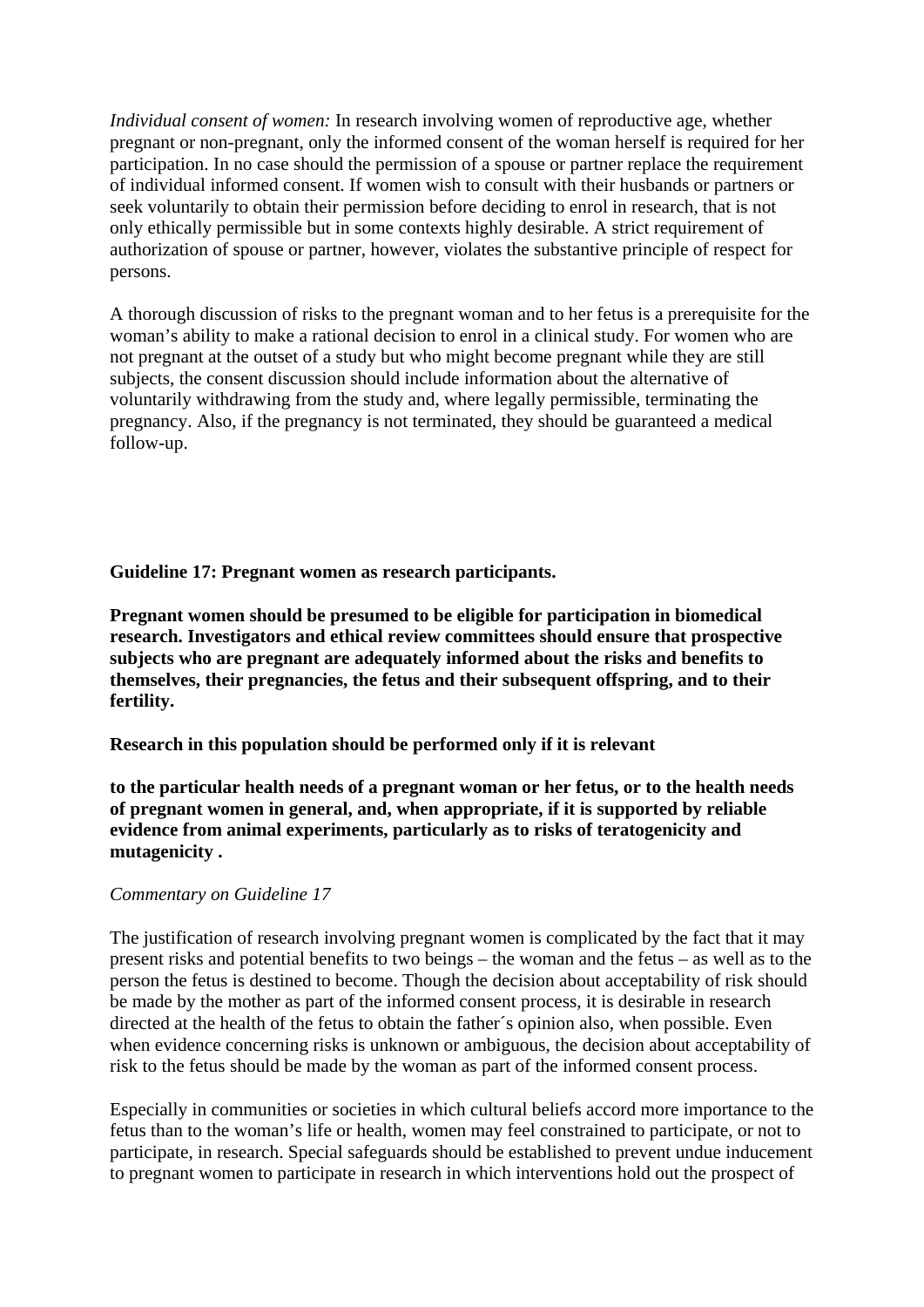*Individual consent of women:* In research involving women of reproductive age, whether pregnant or non-pregnant, only the informed consent of the woman herself is required for her participation. In no case should the permission of a spouse or partner replace the requirement of individual informed consent. If women wish to consult with their husbands or partners or seek voluntarily to obtain their permission before deciding to enrol in research, that is not only ethically permissible but in some contexts highly desirable. A strict requirement of authorization of spouse or partner, however, violates the substantive principle of respect for persons.

A thorough discussion of risks to the pregnant woman and to her fetus is a prerequisite for the woman's ability to make a rational decision to enrol in a clinical study. For women who are not pregnant at the outset of a study but who might become pregnant while they are still subjects, the consent discussion should include information about the alternative of voluntarily withdrawing from the study and, where legally permissible, terminating the pregnancy. Also, if the pregnancy is not terminated, they should be guaranteed a medical follow-up.

**Guideline 17: Pregnant women as research participants.**

**Pregnant women should be presumed to be eligible for participation in biomedical research. Investigators and ethical review committees should ensure that prospective subjects who are pregnant are adequately informed about the risks and benefits to themselves, their pregnancies, the fetus and their subsequent offspring, and to their fertility.**

**Research in this population should be performed only if it is relevant**

**to the particular health needs of a pregnant woman or her fetus, or to the health needs of pregnant women in general, and, when appropriate, if it is supported by reliable evidence from animal experiments, particularly as to risks of teratogenicity and mutagenicity .**

#### *Commentary on Guideline 17*

The justification of research involving pregnant women is complicated by the fact that it may present risks and potential benefits to two beings – the woman and the fetus – as well as to the person the fetus is destined to become. Though the decision about acceptability of risk should be made by the mother as part of the informed consent process, it is desirable in research directed at the health of the fetus to obtain the father´s opinion also, when possible. Even when evidence concerning risks is unknown or ambiguous, the decision about acceptability of risk to the fetus should be made by the woman as part of the informed consent process.

Especially in communities or societies in which cultural beliefs accord more importance to the fetus than to the woman's life or health, women may feel constrained to participate, or not to participate, in research. Special safeguards should be established to prevent undue inducement to pregnant women to participate in research in which interventions hold out the prospect of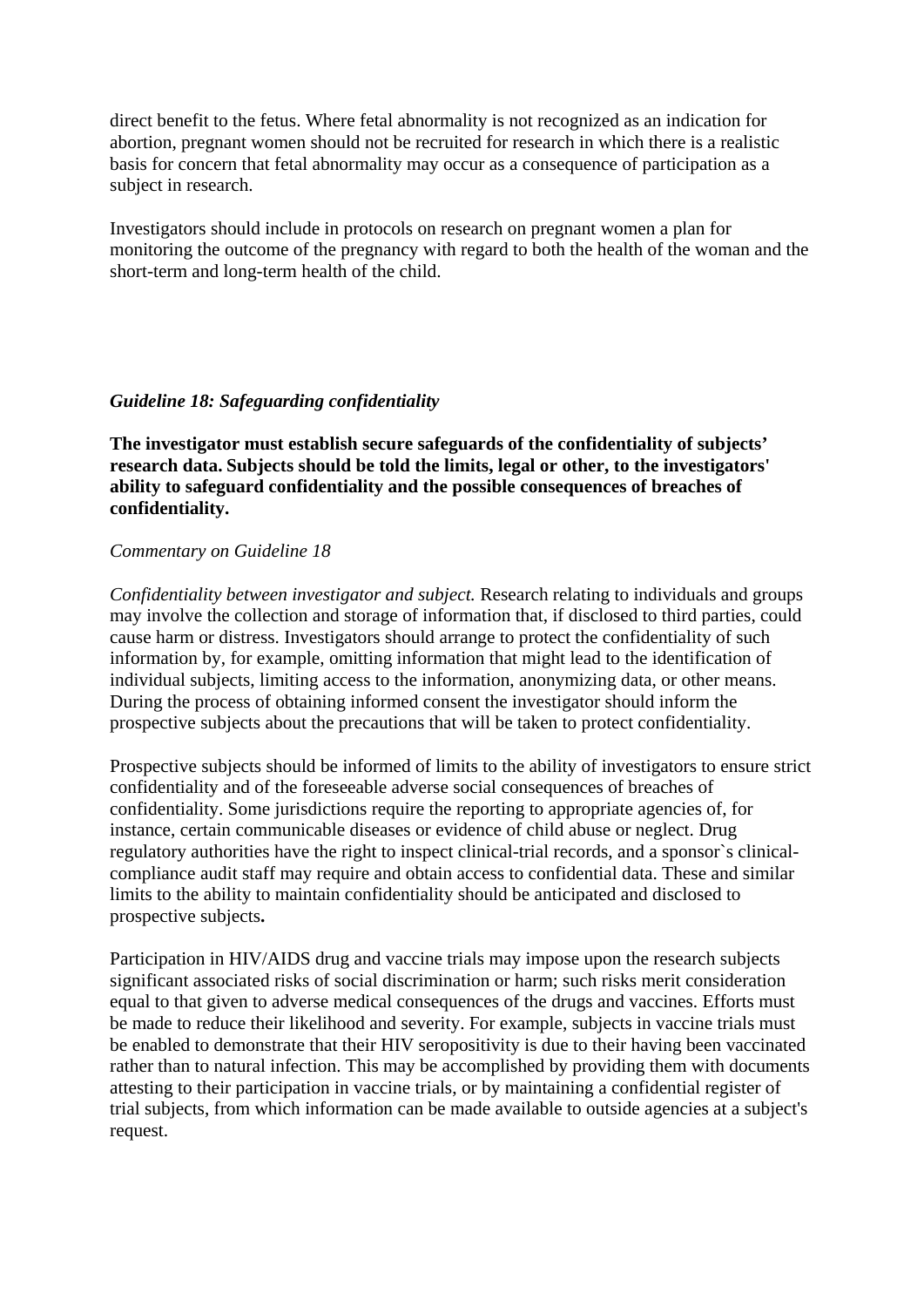direct benefit to the fetus. Where fetal abnormality is not recognized as an indication for abortion, pregnant women should not be recruited for research in which there is a realistic basis for concern that fetal abnormality may occur as a consequence of participation as a subject in research.

Investigators should include in protocols on research on pregnant women a plan for monitoring the outcome of the pregnancy with regard to both the health of the woman and the short-term and long-term health of the child.

#### *Guideline 18: Safeguarding confidentiality*

**The investigator must establish secure safeguards of the confidentiality of subjects' research data. Subjects should be told the limits, legal or other, to the investigators' ability to safeguard confidentiality and the possible consequences of breaches of confidentiality.**

#### *Commentary on Guideline 18*

*Confidentiality between investigator and subject.* Research relating to individuals and groups may involve the collection and storage of information that, if disclosed to third parties, could cause harm or distress. Investigators should arrange to protect the confidentiality of such information by, for example, omitting information that might lead to the identification of individual subjects, limiting access to the information, anonymizing data, or other means. During the process of obtaining informed consent the investigator should inform the prospective subjects about the precautions that will be taken to protect confidentiality.

Prospective subjects should be informed of limits to the ability of investigators to ensure strict confidentiality and of the foreseeable adverse social consequences of breaches of confidentiality. Some jurisdictions require the reporting to appropriate agencies of, for instance, certain communicable diseases or evidence of child abuse or neglect. Drug regulatory authorities have the right to inspect clinical-trial records, and a sponsor`s clinicalcompliance audit staff may require and obtain access to confidential data. These and similar limits to the ability to maintain confidentiality should be anticipated and disclosed to prospective subjects**.**

Participation in HIV/AIDS drug and vaccine trials may impose upon the research subjects significant associated risks of social discrimination or harm; such risks merit consideration equal to that given to adverse medical consequences of the drugs and vaccines. Efforts must be made to reduce their likelihood and severity. For example, subjects in vaccine trials must be enabled to demonstrate that their HIV seropositivity is due to their having been vaccinated rather than to natural infection. This may be accomplished by providing them with documents attesting to their participation in vaccine trials, or by maintaining a confidential register of trial subjects, from which information can be made available to outside agencies at a subject's request.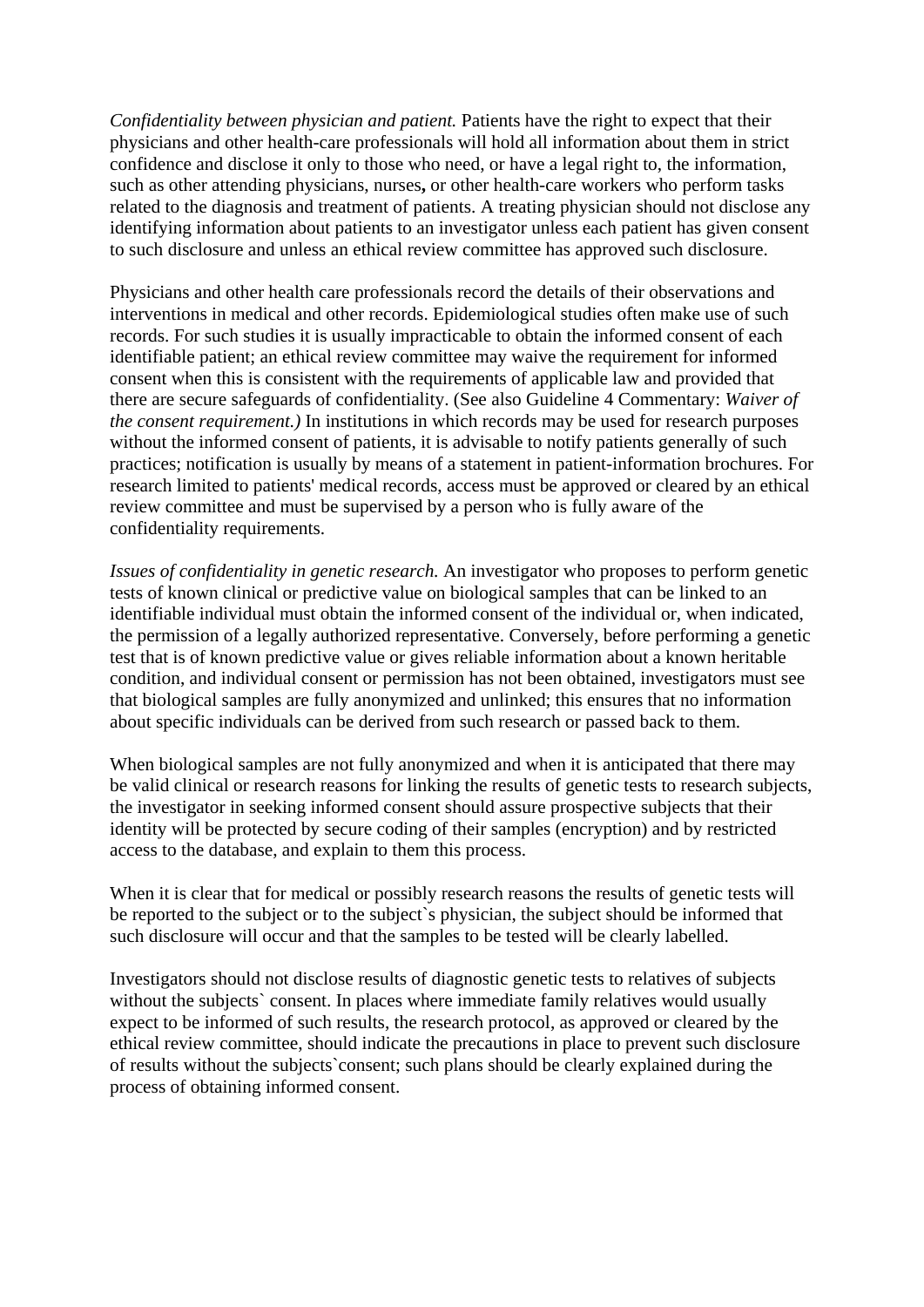*Confidentiality between physician and patient.* Patients have the right to expect that their physicians and other health-care professionals will hold all information about them in strict confidence and disclose it only to those who need, or have a legal right to, the information, such as other attending physicians, nurses**,** or other health-care workers who perform tasks related to the diagnosis and treatment of patients. A treating physician should not disclose any identifying information about patients to an investigator unless each patient has given consent to such disclosure and unless an ethical review committee has approved such disclosure.

Physicians and other health care professionals record the details of their observations and interventions in medical and other records. Epidemiological studies often make use of such records. For such studies it is usually impracticable to obtain the informed consent of each identifiable patient; an ethical review committee may waive the requirement for informed consent when this is consistent with the requirements of applicable law and provided that there are secure safeguards of confidentiality. (See also Guideline 4 Commentary: *Waiver of the consent requirement.)* In institutions in which records may be used for research purposes without the informed consent of patients, it is advisable to notify patients generally of such practices; notification is usually by means of a statement in patient-information brochures. For research limited to patients' medical records, access must be approved or cleared by an ethical review committee and must be supervised by a person who is fully aware of the confidentiality requirements.

*Issues of confidentiality in genetic research.* An investigator who proposes to perform genetic tests of known clinical or predictive value on biological samples that can be linked to an identifiable individual must obtain the informed consent of the individual or, when indicated, the permission of a legally authorized representative. Conversely, before performing a genetic test that is of known predictive value or gives reliable information about a known heritable condition, and individual consent or permission has not been obtained, investigators must see that biological samples are fully anonymized and unlinked; this ensures that no information about specific individuals can be derived from such research or passed back to them.

When biological samples are not fully anonymized and when it is anticipated that there may be valid clinical or research reasons for linking the results of genetic tests to research subjects, the investigator in seeking informed consent should assure prospective subjects that their identity will be protected by secure coding of their samples (encryption) and by restricted access to the database, and explain to them this process.

When it is clear that for medical or possibly research reasons the results of genetic tests will be reported to the subject or to the subject's physician, the subject should be informed that such disclosure will occur and that the samples to be tested will be clearly labelled.

Investigators should not disclose results of diagnostic genetic tests to relatives of subjects without the subjects' consent. In places where immediate family relatives would usually expect to be informed of such results, the research protocol, as approved or cleared by the ethical review committee, should indicate the precautions in place to prevent such disclosure of results without the subjects`consent; such plans should be clearly explained during the process of obtaining informed consent.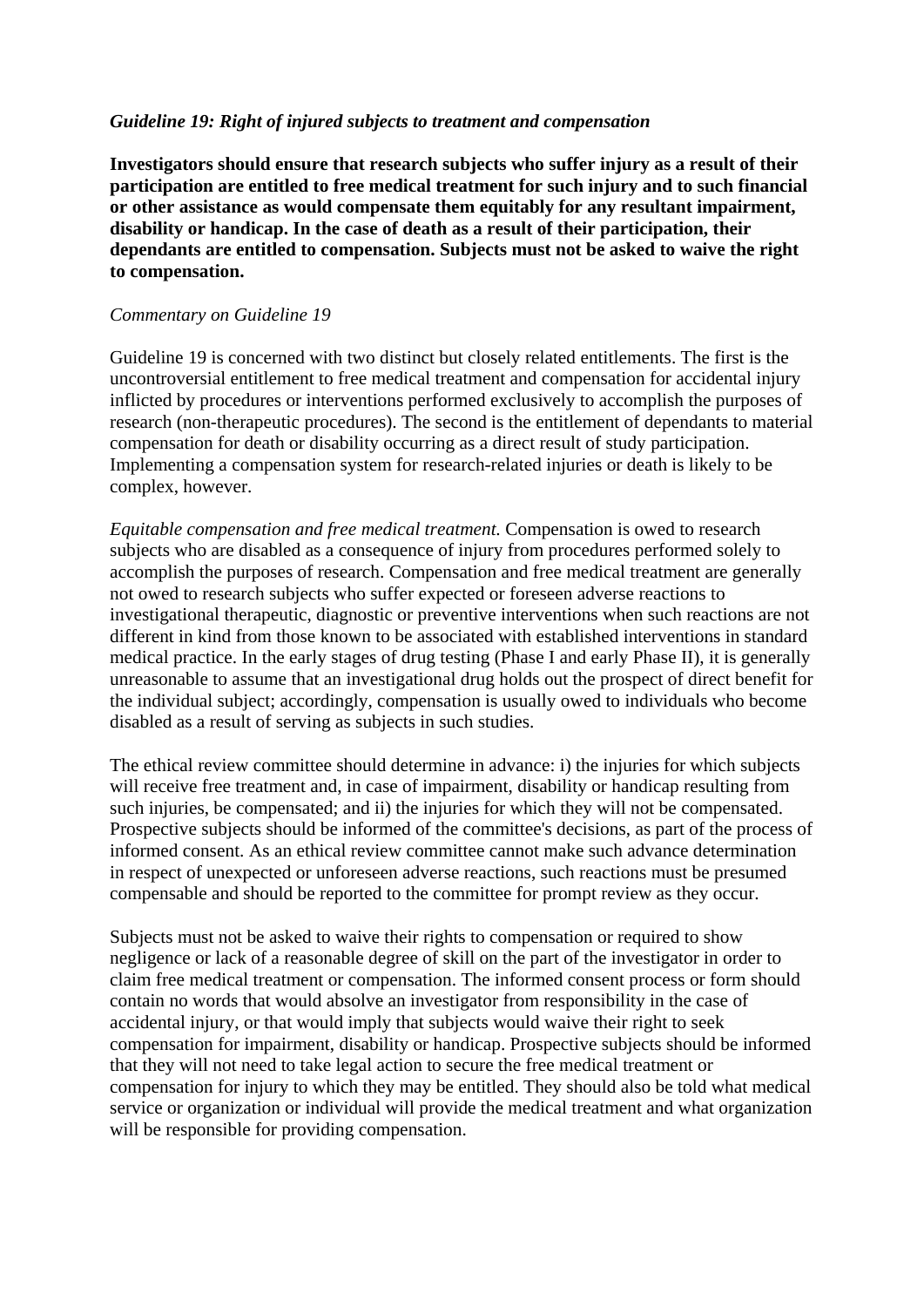#### *Guideline 19: Right of injured subjects to treatment and compensation*

**Investigators should ensure that research subjects who suffer injury as a result of their participation are entitled to free medical treatment for such injury and to such financial or other assistance as would compensate them equitably for any resultant impairment, disability or handicap. In the case of death as a result of their participation, their dependants are entitled to compensation. Subjects must not be asked to waive the right to compensation.**

#### *Commentary on Guideline 19*

Guideline 19 is concerned with two distinct but closely related entitlements. The first is the uncontroversial entitlement to free medical treatment and compensation for accidental injury inflicted by procedures or interventions performed exclusively to accomplish the purposes of research (non-therapeutic procedures). The second is the entitlement of dependants to material compensation for death or disability occurring as a direct result of study participation. Implementing a compensation system for research-related injuries or death is likely to be complex, however.

*Equitable compensation and free medical treatment.* Compensation is owed to research subjects who are disabled as a consequence of injury from procedures performed solely to accomplish the purposes of research. Compensation and free medical treatment are generally not owed to research subjects who suffer expected or foreseen adverse reactions to investigational therapeutic, diagnostic or preventive interventions when such reactions are not different in kind from those known to be associated with established interventions in standard medical practice. In the early stages of drug testing (Phase I and early Phase II), it is generally unreasonable to assume that an investigational drug holds out the prospect of direct benefit for the individual subject; accordingly, compensation is usually owed to individuals who become disabled as a result of serving as subjects in such studies.

The ethical review committee should determine in advance: i) the injuries for which subjects will receive free treatment and, in case of impairment, disability or handicap resulting from such injuries, be compensated; and ii) the injuries for which they will not be compensated. Prospective subjects should be informed of the committee's decisions, as part of the process of informed consent. As an ethical review committee cannot make such advance determination in respect of unexpected or unforeseen adverse reactions, such reactions must be presumed compensable and should be reported to the committee for prompt review as they occur.

Subjects must not be asked to waive their rights to compensation or required to show negligence or lack of a reasonable degree of skill on the part of the investigator in order to claim free medical treatment or compensation. The informed consent process or form should contain no words that would absolve an investigator from responsibility in the case of accidental injury, or that would imply that subjects would waive their right to seek compensation for impairment, disability or handicap. Prospective subjects should be informed that they will not need to take legal action to secure the free medical treatment or compensation for injury to which they may be entitled. They should also be told what medical service or organization or individual will provide the medical treatment and what organization will be responsible for providing compensation.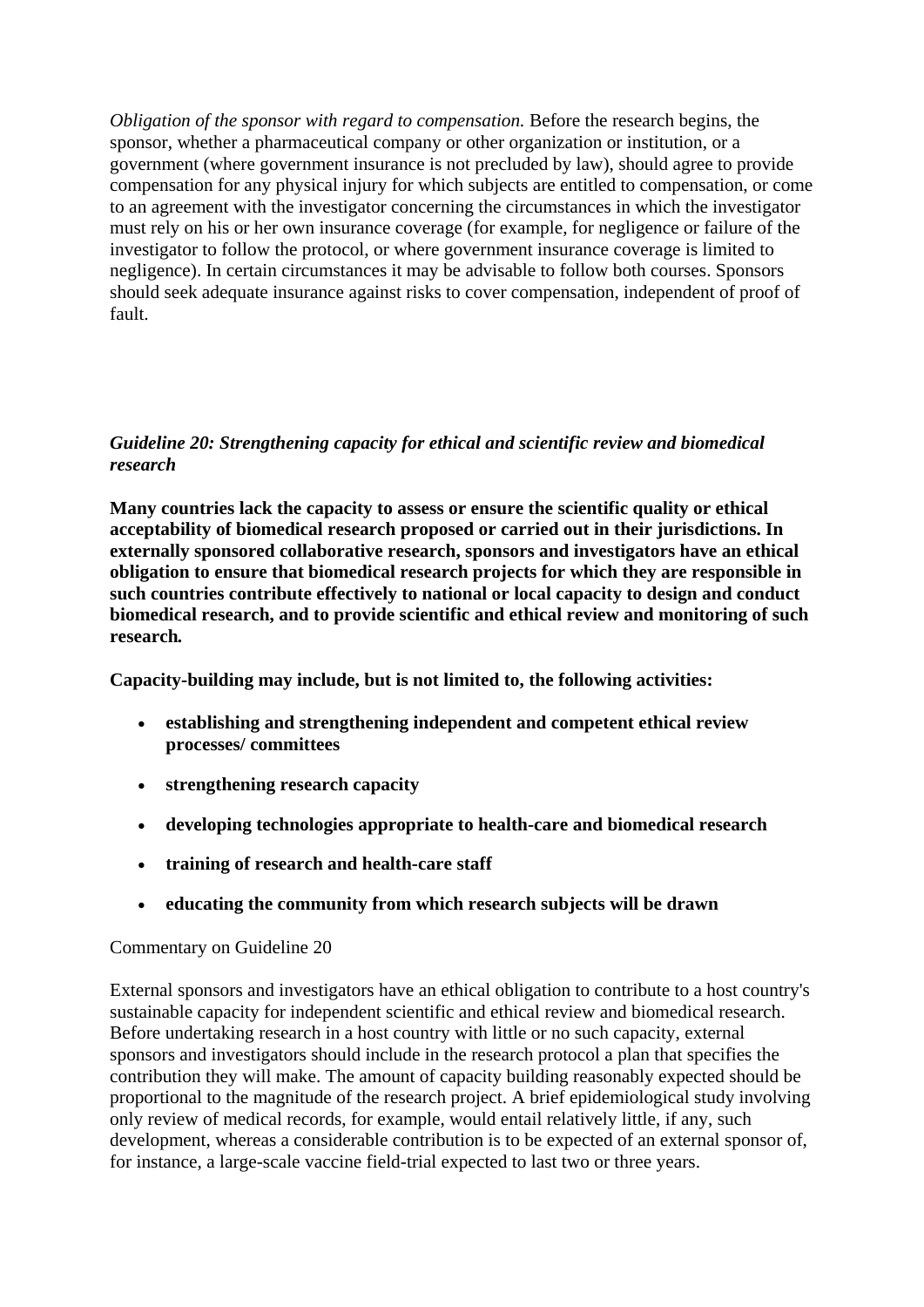*Obligation of the sponsor with regard to compensation.* Before the research begins, the sponsor, whether a pharmaceutical company or other organization or institution, or a government (where government insurance is not precluded by law), should agree to provide compensation for any physical injury for which subjects are entitled to compensation, or come to an agreement with the investigator concerning the circumstances in which the investigator must rely on his or her own insurance coverage (for example, for negligence or failure of the investigator to follow the protocol, or where government insurance coverage is limited to negligence). In certain circumstances it may be advisable to follow both courses. Sponsors should seek adequate insurance against risks to cover compensation, independent of proof of fault.

# *Guideline 20: Strengthening capacity for ethical and scientific review and biomedical research*

**Many countries lack the capacity to assess or ensure the scientific quality or ethical acceptability of biomedical research proposed or carried out in their jurisdictions. In externally sponsored collaborative research, sponsors and investigators have an ethical obligation to ensure that biomedical research projects for which they are responsible in such countries contribute effectively to national or local capacity to design and conduct biomedical research, and to provide scientific and ethical review and monitoring of such research***.*

**Capacity-building may include, but is not limited to, the following activities:**

- **establishing and strengthening independent and competent ethical review processes/ committees**
- **strengthening research capacity**
- **developing technologies appropriate to health-care and biomedical research**
- **training of research and health-care staff**
- **educating the community from which research subjects will be drawn**

#### Commentary on Guideline 20

External sponsors and investigators have an ethical obligation to contribute to a host country's sustainable capacity for independent scientific and ethical review and biomedical research. Before undertaking research in a host country with little or no such capacity, external sponsors and investigators should include in the research protocol a plan that specifies the contribution they will make. The amount of capacity building reasonably expected should be proportional to the magnitude of the research project. A brief epidemiological study involving only review of medical records, for example, would entail relatively little, if any, such development, whereas a considerable contribution is to be expected of an external sponsor of, for instance, a large-scale vaccine field-trial expected to last two or three years.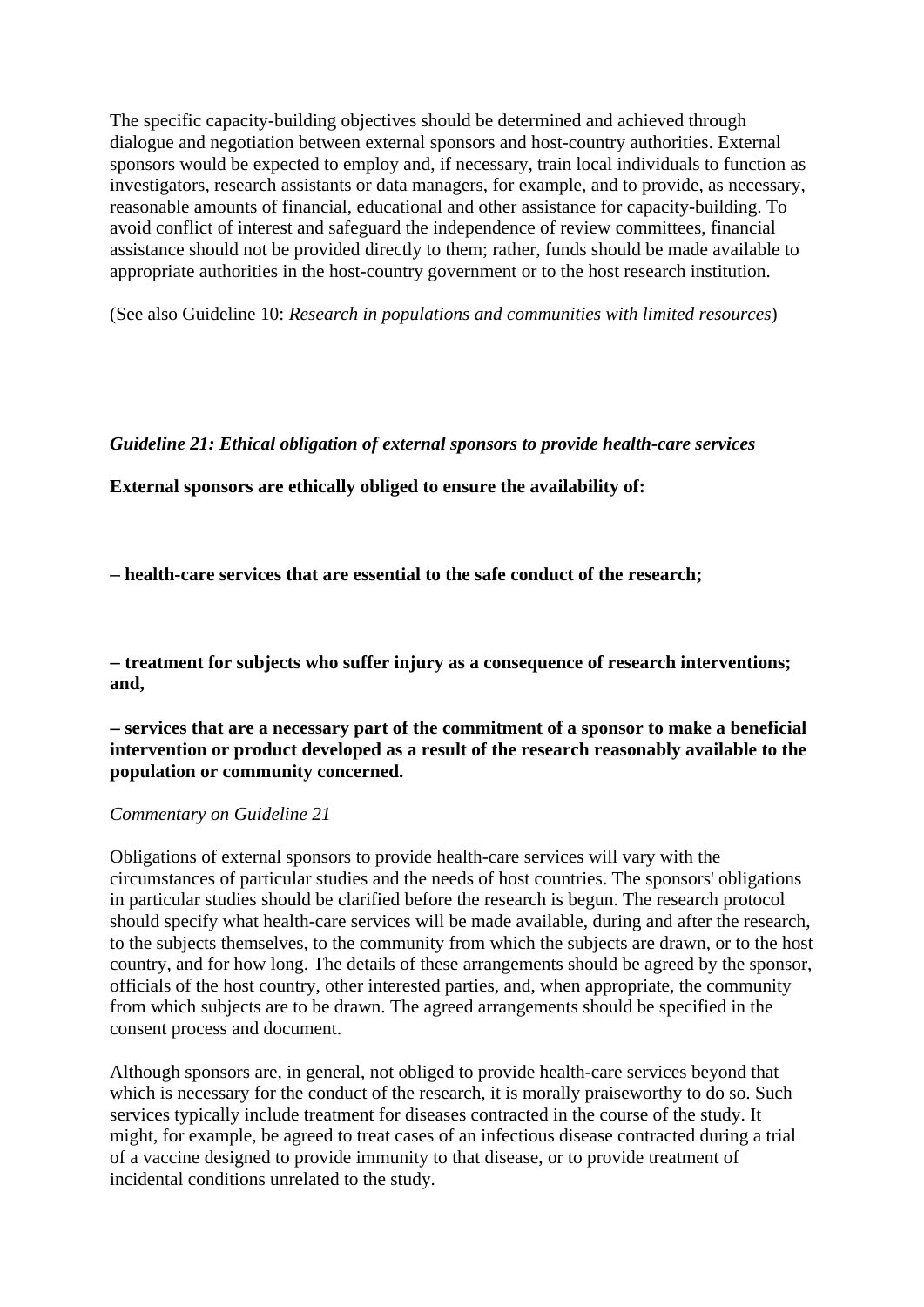The specific capacity-building objectives should be determined and achieved through dialogue and negotiation between external sponsors and host-country authorities. External sponsors would be expected to employ and, if necessary, train local individuals to function as investigators, research assistants or data managers, for example, and to provide, as necessary, reasonable amounts of financial, educational and other assistance for capacity-building. To avoid conflict of interest and safeguard the independence of review committees, financial assistance should not be provided directly to them; rather, funds should be made available to appropriate authorities in the host-country government or to the host research institution.

(See also Guideline 10: *Research in populations and communities with limited resources*)

#### *Guideline 21: Ethical obligation of external sponsors to provide health-care services*

**External sponsors are ethically obliged to ensure the availability of:**

− **health-care services that are essential to the safe conduct of the research;**

− **treatment for subjects who suffer injury as a consequence of research interventions; and,**

− **services that are a necessary part of the commitment of a sponsor to make a beneficial intervention or product developed as a result of the research reasonably available to the population or community concerned.**

#### *Commentary on Guideline 21*

Obligations of external sponsors to provide health-care services will vary with the circumstances of particular studies and the needs of host countries. The sponsors' obligations in particular studies should be clarified before the research is begun. The research protocol should specify what health-care services will be made available, during and after the research, to the subjects themselves, to the community from which the subjects are drawn, or to the host country, and for how long. The details of these arrangements should be agreed by the sponsor, officials of the host country, other interested parties, and, when appropriate, the community from which subjects are to be drawn. The agreed arrangements should be specified in the consent process and document.

Although sponsors are, in general, not obliged to provide health-care services beyond that which is necessary for the conduct of the research, it is morally praiseworthy to do so. Such services typically include treatment for diseases contracted in the course of the study. It might, for example, be agreed to treat cases of an infectious disease contracted during a trial of a vaccine designed to provide immunity to that disease, or to provide treatment of incidental conditions unrelated to the study.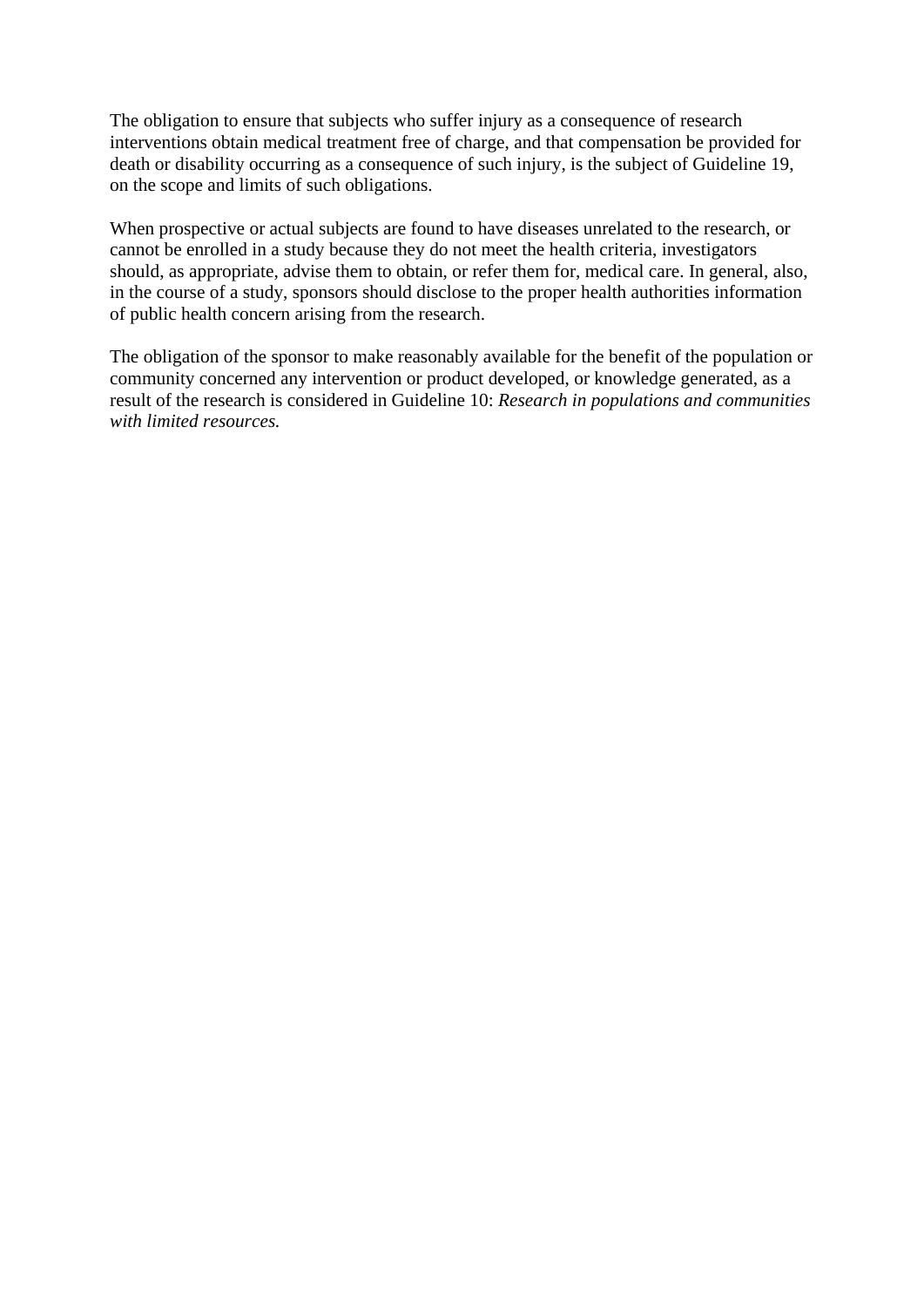The obligation to ensure that subjects who suffer injury as a consequence of research interventions obtain medical treatment free of charge, and that compensation be provided for death or disability occurring as a consequence of such injury, is the subject of Guideline 19, on the scope and limits of such obligations.

When prospective or actual subjects are found to have diseases unrelated to the research, or cannot be enrolled in a study because they do not meet the health criteria, investigators should, as appropriate, advise them to obtain, or refer them for, medical care. In general, also, in the course of a study, sponsors should disclose to the proper health authorities information of public health concern arising from the research.

The obligation of the sponsor to make reasonably available for the benefit of the population or community concerned any intervention or product developed, or knowledge generated, as a result of the research is considered in Guideline 10: *Research in populations and communities with limited resources.*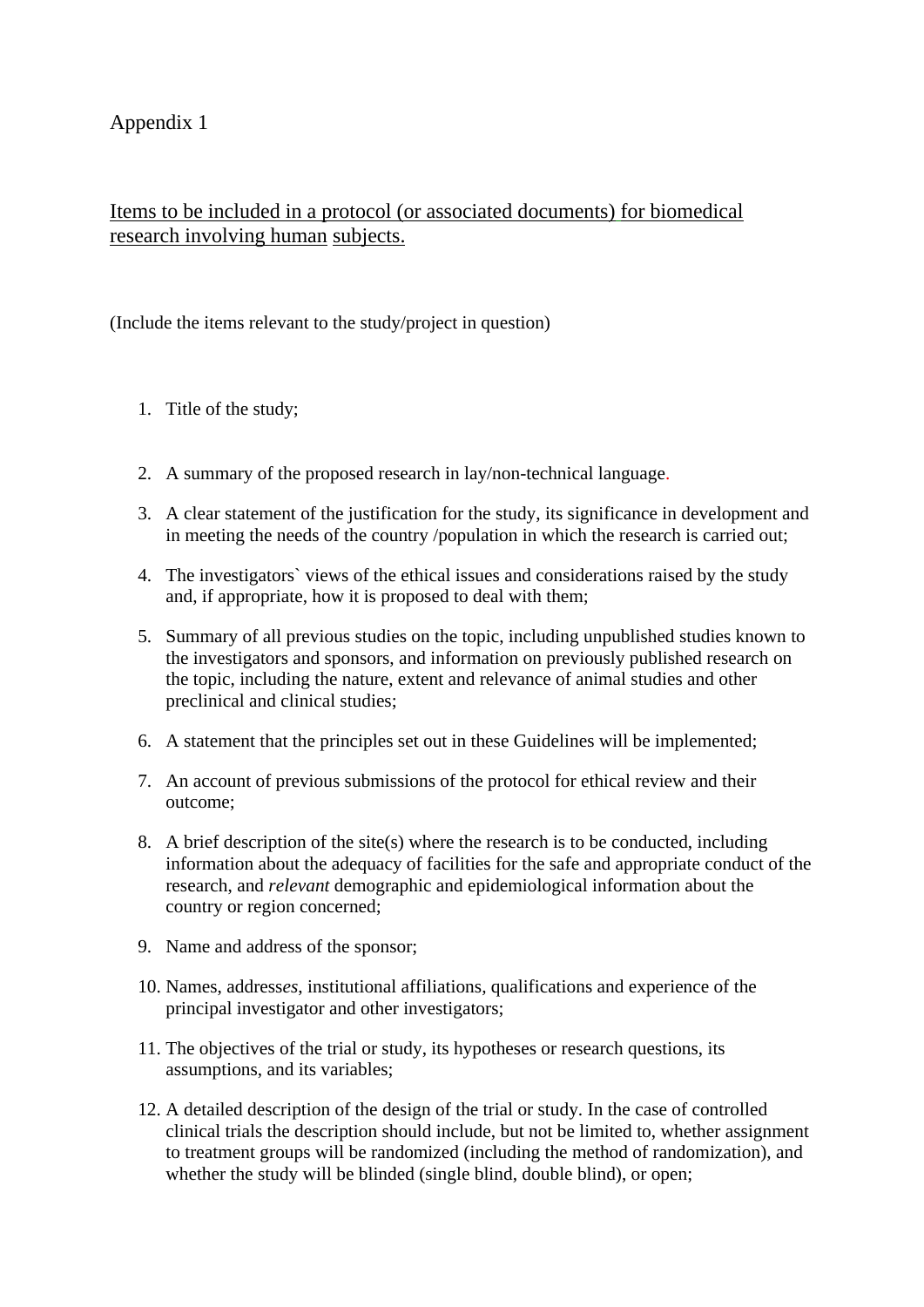# Appendix 1

# Items to be included in a protocol (or associated documents) for biomedical research involving human subjects.

(Include the items relevant to the study/project in question)

- 1. Title of the study;
- 2. A summary of the proposed research in lay/non-technical language.
- 3. A clear statement of the justification for the study, its significance in development and in meeting the needs of the country /population in which the research is carried out;
- 4. The investigators` views of the ethical issues and considerations raised by the study and, if appropriate, how it is proposed to deal with them;
- 5. Summary of all previous studies on the topic, including unpublished studies known to the investigators and sponsors, and information on previously published research on the topic, including the nature, extent and relevance of animal studies and other preclinical and clinical studies;
- 6. A statement that the principles set out in these Guidelines will be implemented;
- 7. An account of previous submissions of the protocol for ethical review and their outcome;
- 8. A brief description of the site(s) where the research is to be conducted, including information about the adequacy of facilities for the safe and appropriate conduct of the research, and *relevant* demographic and epidemiological information about the country or region concerned;
- 9. Name and address of the sponsor;
- 10. Names, address*es*, institutional affiliations*,* qualifications and experience of the principal investigator and other investigators;
- 11. The objectives of the trial or study, its hypotheses or research questions, its assumptions, and its variables;
- 12. A detailed description of the design of the trial or study. In the case of controlled clinical trials the description should include, but not be limited to, whether assignment to treatment groups will be randomized (including the method of randomization), and whether the study will be blinded (single blind, double blind), or open;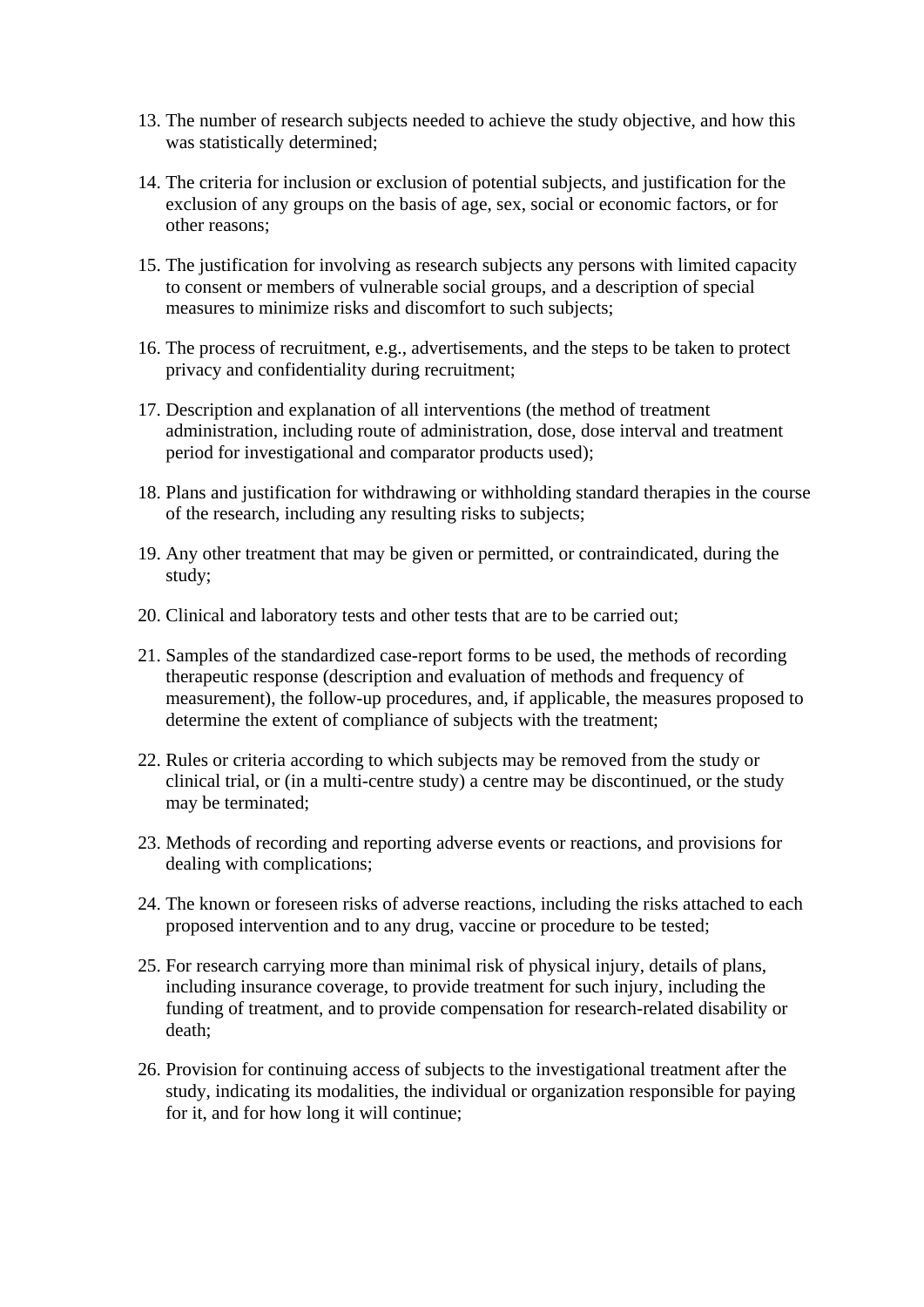- 13. The number of research subjects needed to achieve the study objective, and how this was statistically determined;
- 14. The criteria for inclusion or exclusion of potential subjects, and justification for the exclusion of any groups on the basis of age, sex, social or economic factors, or for other reasons;
- 15. The justification for involving as research subjects any persons with limited capacity to consent or members of vulnerable social groups, and a description of special measures to minimize risks and discomfort to such subjects;
- 16. The process of recruitment, e.g., advertisements, and the steps to be taken to protect privacy and confidentiality during recruitment;
- 17. Description and explanation of all interventions (the method of treatment administration, including route of administration, dose, dose interval and treatment period for investigational and comparator products used);
- 18. Plans and justification for withdrawing or withholding standard therapies in the course of the research, including any resulting risks to subjects;
- 19. Any other treatment that may be given or permitted, or contraindicated, during the study;
- 20. Clinical and laboratory tests and other tests that are to be carried out;
- 21. Samples of the standardized case-report forms to be used, the methods of recording therapeutic response (description and evaluation of methods and frequency of measurement), the follow-up procedures, and, if applicable, the measures proposed to determine the extent of compliance of subjects with the treatment;
- 22. Rules or criteria according to which subjects may be removed from the study or clinical trial, or (in a multi-centre study) a centre may be discontinued, or the study may be terminated;
- 23. Methods of recording and reporting adverse events or reactions, and provisions for dealing with complications;
- 24. The known or foreseen risks of adverse reactions, including the risks attached to each proposed intervention and to any drug, vaccine or procedure to be tested;
- 25. For research carrying more than minimal risk of physical injury, details of plans, including insurance coverage, to provide treatment for such injury, including the funding of treatment, and to provide compensation for research-related disability or death;
- 26. Provision for continuing access of subjects to the investigational treatment after the study, indicating its modalities, the individual or organization responsible for paying for it, and for how long it will continue;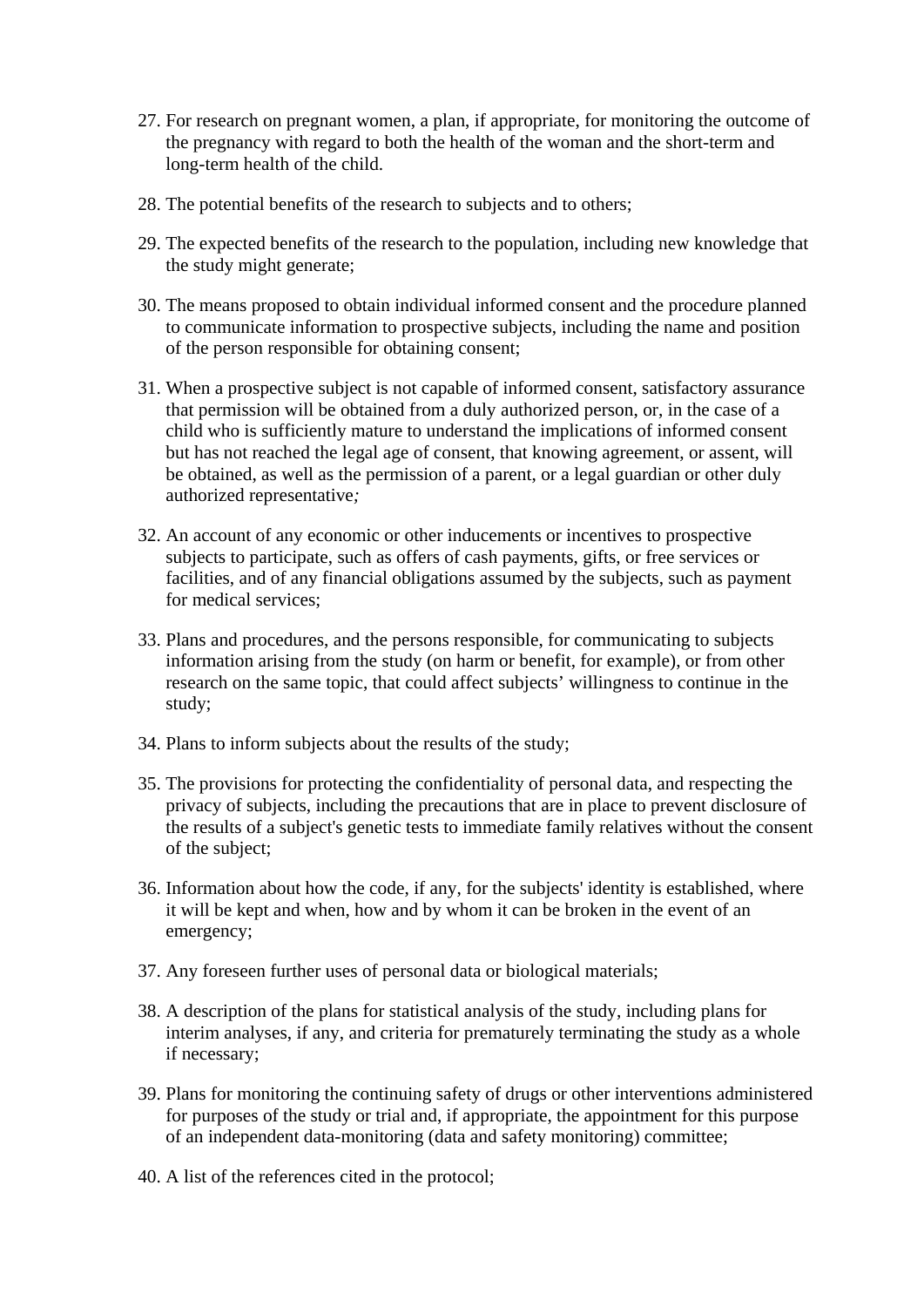- 27. For research on pregnant women, a plan, if appropriate, for monitoring the outcome of the pregnancy with regard to both the health of the woman and the short-term and long-term health of the child.
- 28. The potential benefits of the research to subjects and to others;
- 29. The expected benefits of the research to the population, including new knowledge that the study might generate;
- 30. The means proposed to obtain individual informed consent and the procedure planned to communicate information to prospective subjects, including the name and position of the person responsible for obtaining consent;
- 31. When a prospective subject is not capable of informed consent, satisfactory assurance that permission will be obtained from a duly authorized person, or, in the case of a child who is sufficiently mature to understand the implications of informed consent but has not reached the legal age of consent, that knowing agreement, or assent, will be obtained, as well as the permission of a parent, or a legal guardian or other duly authorized representative*;*
- 32. An account of any economic or other inducements or incentives to prospective subjects to participate, such as offers of cash payments, gifts, or free services or facilities, and of any financial obligations assumed by the subjects, such as payment for medical services;
- 33. Plans and procedures, and the persons responsible, for communicating to subjects information arising from the study (on harm or benefit, for example), or from other research on the same topic, that could affect subjects' willingness to continue in the study;
- 34. Plans to inform subjects about the results of the study;
- 35. The provisions for protecting the confidentiality of personal data, and respecting the privacy of subjects, including the precautions that are in place to prevent disclosure of the results of a subject's genetic tests to immediate family relatives without the consent of the subject;
- 36. Information about how the code, if any, for the subjects' identity is established, where it will be kept and when, how and by whom it can be broken in the event of an emergency;
- 37. Any foreseen further uses of personal data or biological materials;
- 38. A description of the plans for statistical analysis of the study, including plans for interim analyses, if any, and criteria for prematurely terminating the study as a whole if necessary;
- 39. Plans for monitoring the continuing safety of drugs or other interventions administered for purposes of the study or trial and, if appropriate, the appointment for this purpose of an independent data-monitoring (data and safety monitoring) committee;
- 40. A list of the references cited in the protocol;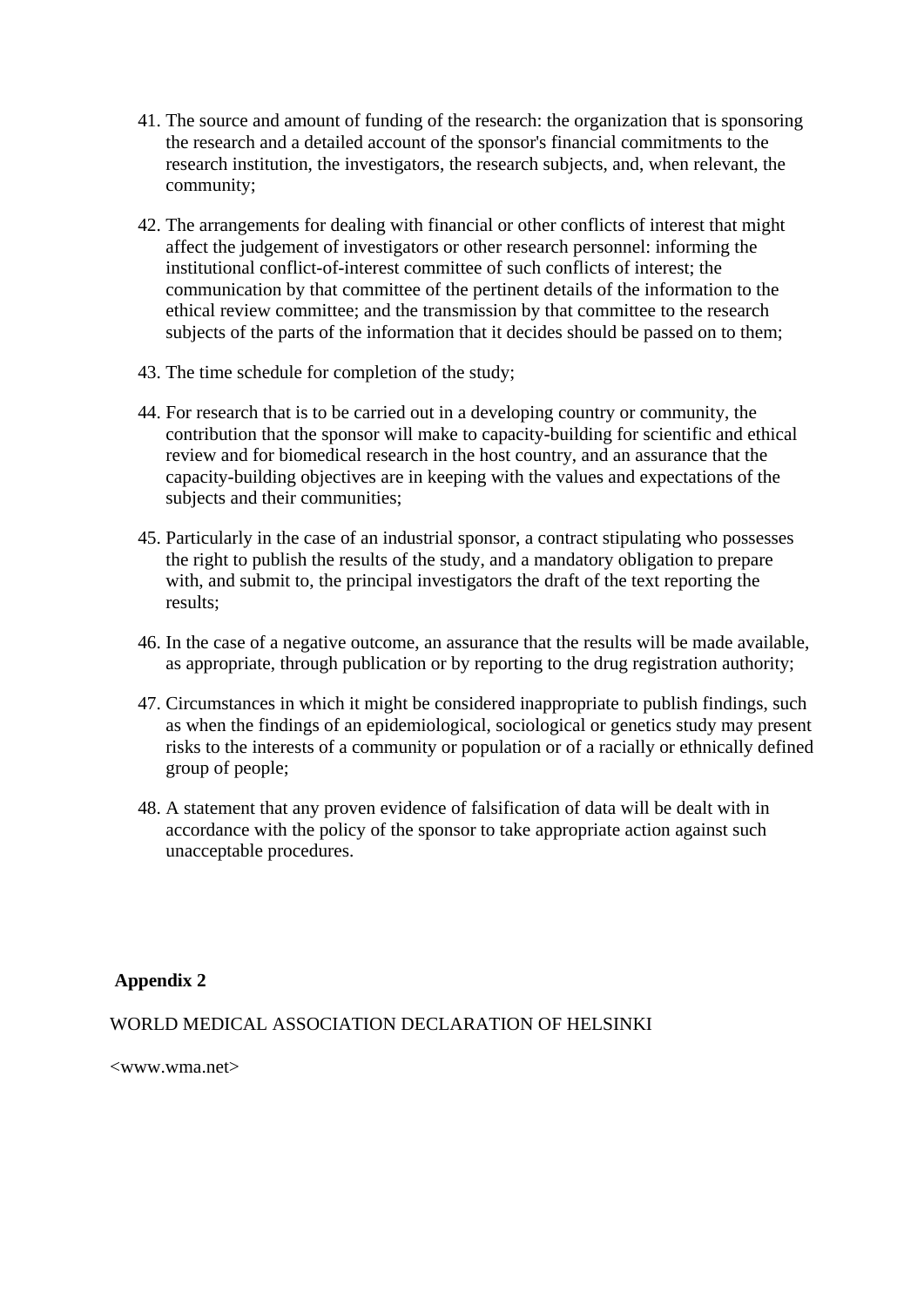- 41. The source and amount of funding of the research: the organization that is sponsoring the research and a detailed account of the sponsor's financial commitments to the research institution, the investigators, the research subjects, and, when relevant, the community;
- 42. The arrangements for dealing with financial or other conflicts of interest that might affect the judgement of investigators or other research personnel: informing the institutional conflict-of-interest committee of such conflicts of interest; the communication by that committee of the pertinent details of the information to the ethical review committee; and the transmission by that committee to the research subjects of the parts of the information that it decides should be passed on to them;
- 43. The time schedule for completion of the study;
- 44. For research that is to be carried out in a developing country or community, the contribution that the sponsor will make to capacity-building for scientific and ethical review and for biomedical research in the host country, and an assurance that the capacity-building objectives are in keeping with the values and expectations of the subjects and their communities;
- 45. Particularly in the case of an industrial sponsor, a contract stipulating who possesses the right to publish the results of the study, and a mandatory obligation to prepare with, and submit to, the principal investigators the draft of the text reporting the results;
- 46. In the case of a negative outcome, an assurance that the results will be made available, as appropriate, through publication or by reporting to the drug registration authority;
- 47. Circumstances in which it might be considered inappropriate to publish findings, such as when the findings of an epidemiological, sociological or genetics study may present risks to the interests of a community or population or of a racially or ethnically defined group of people;
- 48. A statement that any proven evidence of falsification of data will be dealt with in accordance with the policy of the sponsor to take appropriate action against such unacceptable procedures.

# **Appendix 2**

#### WORLD MEDICAL ASSOCIATION DECLARATION OF HELSINKI

<www.wma.net>